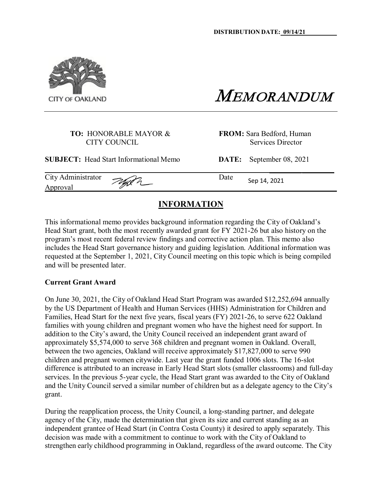

MEMORANDUM

#### **TO:** HONORABLE MAYOR & **FROM:** Sara Bedford, Human CITY COUNCIL Services Director

**SUBJECT:** Head Start Informational Memo **DATE:** September 08, 2021

City Administrator Approval

Date Sep 14, <sup>2021</sup> **\_**

### **INFORMATION**

This informational memo provides background information regarding the City of Oakland's Head Start grant, both the most recently awarded grant for FY 2021-26 but also history on the program's most recent federal review findings and corrective action plan. This memo also includes the Head Start governance history and guiding legislation. Additional information was requested at the September 1, 2021, City Council meeting on this topic which is being compiled and will be presented later.

#### **Current Grant Award**

On June 30, 2021, the City of Oakland Head Start Program was awarded \$12,252,694 annually by the US Department of Health and Human Services (HHS) Administration for Children and Families, Head Start for the next five years, fiscal years (FY) 2021-26, to serve 622 Oakland families with young children and pregnant women who have the highest need for support. In addition to the City's award, the Unity Council received an independent grant award of approximately \$5,574,000 to serve 368 children and pregnant women in Oakland. Overall, between the two agencies, Oakland will receive approximately \$17,827,000 to serve 990 children and pregnant women citywide. Last year the grant funded 1006 slots. The 16-slot difference is attributed to an increase in Early Head Start slots (smaller classrooms) and full-day services. In the previous 5-year cycle, the Head Start grant was awarded to the City of Oakland and the Unity Council served a similar number of children but as a delegate agency to the City's grant.

During the reapplication process, the Unity Council, a long-standing partner, and delegate agency of the City, made the determination that given its size and current standing as an independent grantee of Head Start (in Contra Costa County) it desired to apply separately. This decision was made with a commitment to continue to work with the City of Oakland to strengthen early childhood programming in Oakland, regardless of the award outcome. The City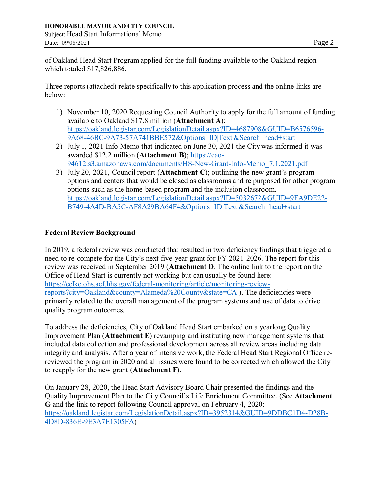of Oakland Head Start Program applied for the full funding available to the Oakland region which totaled \$17,826,886.

Three reports (attached) relate specifically to this application process and the online links are below:

- 1) November 10, 2020 Requesting Council Authority to apply for the full amount of funding available to Oakland \$17.8 million (**Attachment A**); [https://oakland.legistar.com/LegislationDetail.aspx?ID=4687908&GUID=B6576596-](https://oakland.legistar.com/LegislationDetail.aspx?ID=4687908&GUID=B6576596-9A68-46BC-9A73-57A741BBE572&Options=ID%7CText%7C&Search=head%2Bstart) [9A68-46BC-9A73-57A741BBE572&Options=ID|Text|&Search=head+start](https://oakland.legistar.com/LegislationDetail.aspx?ID=4687908&GUID=B6576596-9A68-46BC-9A73-57A741BBE572&Options=ID%7CText%7C&Search=head%2Bstart)
- 2) July 1, 2021 Info Memo that indicated on June 30, 2021 the City was informed it was awarded \$12.2 million (**Attachment B**); [https://cao-](https://cao-94612.s3.amazonaws.com/documents/HS-New-Grant-Info-Memo_7.1.2021.pdf)[94612.s3.amazonaws.com/documents/HS-New-Grant-Info-Memo\\_7.1.2021.pdf](https://cao-94612.s3.amazonaws.com/documents/HS-New-Grant-Info-Memo_7.1.2021.pdf)
- 3) July 20, 2021, Council report (**Attachment C**); outlining the new grant's program options and centers that would be closed as classrooms and re purposed for other program options such as the home-based program and the inclusion classroom. [https://oakland.legistar.com/LegislationDetail.aspx?ID=5032672&GUID=9FA9DE22-](https://oakland.legistar.com/LegislationDetail.aspx?ID=5032672&GUID=9FA9DE22-B749-4A4D-BA5C-AF8A29BA64F4&Options=ID%7CText%7C&Search=head%2Bstart) [B749-4A4D-BA5C-AF8A29BA64F4&Options=ID|Text|&Search=head+start](https://oakland.legistar.com/LegislationDetail.aspx?ID=5032672&GUID=9FA9DE22-B749-4A4D-BA5C-AF8A29BA64F4&Options=ID%7CText%7C&Search=head%2Bstart)

### **Federal Review Background**

In 2019, a federal review was conducted that resulted in two deficiency findings that triggered a need to re-compete for the City's next five-year grant for FY 2021-2026. The report for this review was received in September 2019 (**Attachment D**. The online link to the report on the Office of Head Start is currently not working but can usually be found here: [https://eclkc.ohs.acf.hhs.gov/federal-monitoring/article/monitoring-review](https://eclkc.ohs.acf.hhs.gov/federal-monitoring/article/monitoring-review-reports?city=Oakland&county=Alameda%20County&state=CA)[reports?city=Oakland&county=Alameda%20County&state=CA](https://eclkc.ohs.acf.hhs.gov/federal-monitoring/article/monitoring-review-reports?city=Oakland&county=Alameda%20County&state=CA) ). The deficiencies were primarily related to the overall management of the program systems and use of data to drive quality program outcomes.

To address the deficiencies, City of Oakland Head Start embarked on a yearlong Quality Improvement Plan (**Attachment E**) revamping and instituting new management systems that included data collection and professional development across all review areas including data integrity and analysis. After a year of intensive work, the Federal Head Start Regional Office rereviewed the program in 2020 and all issues were found to be corrected which allowed the City to reapply for the new grant (**Attachment F**).

On January 28, 2020, the Head Start Advisory Board Chair presented the findings and the Quality Improvement Plan to the City Council's Life Enrichment Committee. (See **Attachment G** and the link to report following Council approval on February 4, 2020: [https://oakland.legistar.com/LegislationDetail.aspx?ID=3952314&GUID=9DDBC1D4-D28B-](https://oakland.legistar.com/LegislationDetail.aspx?ID=3952314&GUID=9DDBC1D4-D28B-4D8D-836E-9E3A7E1305FA)[4D8D-836E-9E3A7E1305FA\)](https://oakland.legistar.com/LegislationDetail.aspx?ID=3952314&GUID=9DDBC1D4-D28B-4D8D-836E-9E3A7E1305FA)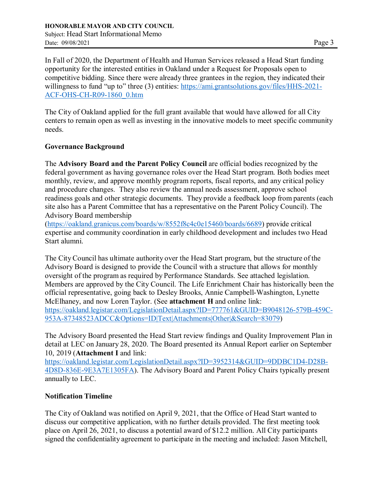In Fall of 2020, the Department of Health and Human Services released a Head Start funding opportunity for the interested entities in Oakland under a Request for Proposals open to competitive bidding. Since there were already three grantees in the region, they indicated their willingness to fund "up to" three (3) entities: [https://ami.grantsolutions.gov/files/HHS-2021-](https://ami.grantsolutions.gov/files/HHS-2021-ACF-OHS-CH-R09-1860_0.htm) [ACF-OHS-CH-R09-1860\\_0.htm](https://ami.grantsolutions.gov/files/HHS-2021-ACF-OHS-CH-R09-1860_0.htm)

The City of Oakland applied for the full grant available that would have allowed for all City centers to remain open as well as investing in the innovative models to meet specific community needs.

### **Governance Background**

The **Advisory Board and the Parent Policy Council** are official bodies recognized by the federal government as having governance roles over the Head Start program. Both bodies meet monthly, review, and approve monthly program reports, fiscal reports, and any critical policy and procedure changes. They also review the annual needs assessment, approve school readiness goals and other strategic documents. They provide a feedback loop from parents (each site also has a Parent Committee that has a representative on the Parent Policy Council). The Advisory Board membership

[\(https://oakland.granicus.com/boards/w/8552f8c4c0e15460/boards/6689\)](https://oakland.granicus.com/boards/w/8552f8c4c0e15460/boards/6689) provide critical expertise and community coordination in early childhood development and includes two Head Start alumni.

The CityCouncil has ultimate authority over the Head Start program, but the structure of the Advisory Board is designed to provide the Council with a structure that allows for monthly oversight of the program as required by Performance Standards. See attached legislation. Members are approved by the City Council. The Life Enrichment Chair has historically been the official representative, going back to Desley Brooks, Annie Campbell-Washington, Lynette McElhaney, and now Loren Taylor. (See **attachment H** and online link: [https://oakland.legistar.com/LegislationDetail.aspx?ID=777761&GUID=B9048126-579B-459C-](https://oakland.legistar.com/LegislationDetail.aspx?ID=777761&GUID=B9048126-579B-459C-953A-87348523ADCC&Options=ID%7CText%7CAttachments%7COther%7C&Search=83079)[953A-87348523ADCC&Options=ID|Text|Attachments|Other|&Search=83079\)](https://oakland.legistar.com/LegislationDetail.aspx?ID=777761&GUID=B9048126-579B-459C-953A-87348523ADCC&Options=ID%7CText%7CAttachments%7COther%7C&Search=83079)

The Advisory Board presented the Head Start review findings and Quality Improvement Plan in detail at LEC on January 28, 2020. The Board presented its Annual Report earlier on September 10, 2019 (**Attachment I** and link:

[https://oakland.legistar.com/LegislationDetail.aspx?ID=3952314&GUID=9DDBC1D4-D28B-](https://oakland.legistar.com/LegislationDetail.aspx?ID=3952314&GUID=9DDBC1D4-D28B-4D8D-836E-9E3A7E1305FA)[4D8D-836E-9E3A7E1305FA\)](https://oakland.legistar.com/LegislationDetail.aspx?ID=3952314&GUID=9DDBC1D4-D28B-4D8D-836E-9E3A7E1305FA). The Advisory Board and Parent Policy Chairs typically present annually to LEC.

### **Notification Timeline**

The City of Oakland was notified on April 9, 2021, that the Office of Head Start wanted to discuss our competitive application, with no further details provided. The first meeting took place on April 26, 2021, to discuss a potential award of \$12.2 million. All City participants signed the confidentiality agreement to participate in the meeting and included: Jason Mitchell,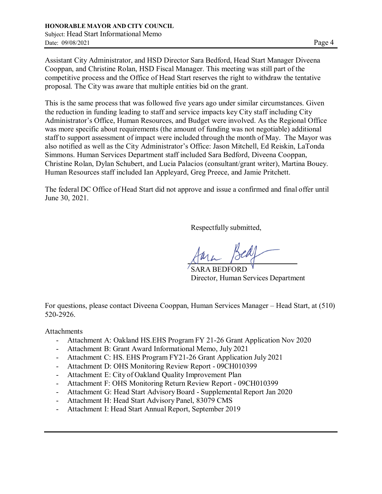Assistant City Administrator, and HSD Director Sara Bedford, Head Start Manager Diveena Cooppan, and Christine Rolan, HSD Fiscal Manager. This meeting was still part of the competitive process and the Office of Head Start reserves the right to withdraw the tentative proposal. The City was aware that multiple entities bid on the grant.

This is the same process that was followed five years ago under similar circumstances. Given the reduction in funding leading to staff and service impacts key City staff including City Administrator's Office, Human Resources, and Budget were involved. As the Regional Office was more specific about requirements (the amount of funding was not negotiable) additional staff to support assessment of impact were included through the month of May. The Mayor was also notified as well as the City Administrator's Office: Jason Mitchell, Ed Reiskin, LaTonda Simmons. Human Services Department staff included Sara Bedford, Diveena Cooppan, Christine Rolan, Dylan Schubert, and Lucia Palacios (consultant/grant writer), Martina Bouey. Human Resources staff included Ian Appleyard, Greg Preece, and Jamie Pritchett.

The federal DC Office of Head Start did not approve and issue a confirmed and final offer until June 30, 2021.

Respectfully submitted,

SARA BEDFORD Director, Human Services Department

For questions, please contact Diveena Cooppan, Human Services Manager – Head Start, at (510) 520-2926.

#### Attachments

- Attachment A: Oakland HS.EHS Program FY 21-26 Grant Application Nov 2020
- Attachment B: Grant Award Informational Memo, July 2021
- Attachment C: HS. EHS Program FY21-26 Grant Application July 2021
- Attachment D: OHS Monitoring Review Report 09CH010399
- Attachment E: City of Oakland Quality Improvement Plan
- Attachment F: OHS Monitoring Return Review Report 09CH010399
- Attachment G: Head Start AdvisoryBoard Supplemental Report Jan 2020
- Attachment H: Head Start Advisory Panel, 83079 CMS
- Attachment I: Head Start Annual Report, September 2019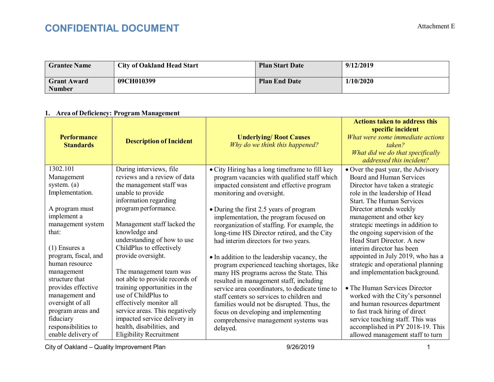### **CONFIDENTIAL DOCUMENT** Attachment E

| <b>Grantee Name</b>                 | <b>City of Oakland Head Start</b> | <b>Plan Start Date</b> | 9/12/2019 |
|-------------------------------------|-----------------------------------|------------------------|-----------|
| <b>Grant Award</b><br><b>Number</b> | 09CH010399                        | <b>Plan End Date</b>   | 1/10/2020 |

#### **1. Area of Deficiency: Program Management**

| <b>Performance</b><br><b>Standards</b>  | <b>Description of Incident</b>                            | <b>Underlying/ Root Causes</b><br>Why do we think this happened?                               | <b>Actions taken to address this</b><br>specific incident<br>What were some immediate actions<br>taken?<br>What did we do that specifically<br>addressed this incident? |
|-----------------------------------------|-----------------------------------------------------------|------------------------------------------------------------------------------------------------|-------------------------------------------------------------------------------------------------------------------------------------------------------------------------|
| 1302.101<br>Management                  | During interviews, file<br>reviews and a review of data   | • City Hiring has a long timeframe to fill key<br>program vacancies with qualified staff which | • Over the past year, the Advisory<br>Board and Human Services                                                                                                          |
| system. $(a)$                           | the management staff was                                  | impacted consistent and effective program                                                      | Director have taken a strategic                                                                                                                                         |
| Implementation.                         | unable to provide                                         | monitoring and oversight.                                                                      | role in the leadership of Head                                                                                                                                          |
|                                         | information regarding                                     |                                                                                                | <b>Start. The Human Services</b>                                                                                                                                        |
| A program must<br>implement a           | program performance.                                      | • During the first 2.5 years of program<br>implementation, the program focused on              | Director attends weekly<br>management and other key                                                                                                                     |
| management system                       | Management staff lacked the                               | reorganization of staffing. For example, the                                                   | strategic meetings in addition to                                                                                                                                       |
| that:                                   | knowledge and                                             | long-time HS Director retired, and the City                                                    | the ongoing supervision of the                                                                                                                                          |
|                                         | understanding of how to use                               | had interim directors for two years.                                                           | Head Start Director. A new                                                                                                                                              |
| $(1)$ Ensures a<br>program, fiscal, and | ChildPlus to effectively<br>provide oversight.            |                                                                                                | interim director has been                                                                                                                                               |
| human resource                          |                                                           | • In addition to the leadership vacancy, the<br>program experienced teaching shortages, like   | appointed in July 2019, who has a<br>strategic and operational planning                                                                                                 |
| management                              | The management team was                                   | many HS programs across the State. This                                                        | and implementation background.                                                                                                                                          |
| structure that                          | not able to provide records of                            | resulted in management staff, including                                                        |                                                                                                                                                                         |
| provides effective                      | training opportunities in the                             | service area coordinators, to dedicate time to                                                 | • The Human Services Director                                                                                                                                           |
| management and                          | use of ChildPlus to                                       | staff centers so services to children and                                                      | worked with the City's personnel                                                                                                                                        |
| oversight of all                        | effectively monitor all<br>service areas. This negatively | families would not be disrupted. Thus, the                                                     | and human resources department                                                                                                                                          |
| program areas and<br>fiduciary          | impacted service delivery in                              | focus on developing and implementing                                                           | to fast track hiring of direct<br>service teaching staff. This was                                                                                                      |
| responsibilities to                     | health, disabilities, and                                 | comprehensive management systems was<br>delayed.                                               | accomplished in PY 2018-19. This                                                                                                                                        |
| enable delivery of                      | <b>Eligibility Recruitment</b>                            |                                                                                                | allowed management staff to turn                                                                                                                                        |

City of Oakland – Quality Improvement Plan and the control of the control of 9/26/2019 1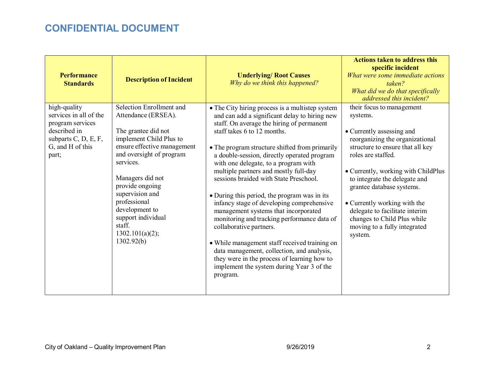| <b>Performance</b><br><b>Standards</b>                                                                                          | <b>Description of Incident</b>                                                                                                                                                                                                                                                                                                         | <b>Underlying/ Root Causes</b><br>Why do we think this happened?                                                                                                                                                                                                                                                                                                                                                                                                                                                                                                                                                                                                                                                                                                                                                               | <b>Actions taken to address this</b><br>specific incident<br>What were some immediate actions<br>taken?<br>What did we do that specifically<br>addressed this incident?                                                                                                                                                                                                                                          |
|---------------------------------------------------------------------------------------------------------------------------------|----------------------------------------------------------------------------------------------------------------------------------------------------------------------------------------------------------------------------------------------------------------------------------------------------------------------------------------|--------------------------------------------------------------------------------------------------------------------------------------------------------------------------------------------------------------------------------------------------------------------------------------------------------------------------------------------------------------------------------------------------------------------------------------------------------------------------------------------------------------------------------------------------------------------------------------------------------------------------------------------------------------------------------------------------------------------------------------------------------------------------------------------------------------------------------|------------------------------------------------------------------------------------------------------------------------------------------------------------------------------------------------------------------------------------------------------------------------------------------------------------------------------------------------------------------------------------------------------------------|
| high-quality<br>services in all of the<br>program services<br>described in<br>subparts C, D, E, F,<br>G, and H of this<br>part; | Selection Enrollment and<br>Attendance (ERSEA).<br>The grantee did not<br>implement Child Plus to<br>ensure effective management<br>and oversight of program<br>services.<br>Managers did not<br>provide ongoing<br>supervision and<br>professional<br>development to<br>support individual<br>staff.<br>1302.101(a)(2);<br>1302.92(b) | • The City hiring process is a multistep system<br>and can add a significant delay to hiring new<br>staff. On average the hiring of permanent<br>staff takes 6 to 12 months.<br>• The program structure shifted from primarily<br>a double-session, directly operated program<br>with one delegate, to a program with<br>multiple partners and mostly full-day<br>sessions braided with State Preschool.<br>• During this period, the program was in its<br>infancy stage of developing comprehensive<br>management systems that incorporated<br>monitoring and tracking performance data of<br>collaborative partners.<br>• While management staff received training on<br>data management, collection, and analysis,<br>they were in the process of learning how to<br>implement the system during Year 3 of the<br>program. | their focus to management<br>systems.<br>• Currently assessing and<br>reorganizing the organizational<br>structure to ensure that all key<br>roles are staffed.<br>• Currently, working with ChildPlus<br>to integrate the delegate and<br>grantee database systems.<br>• Currently working with the<br>delegate to facilitate interim<br>changes to Child Plus while<br>moving to a fully integrated<br>system. |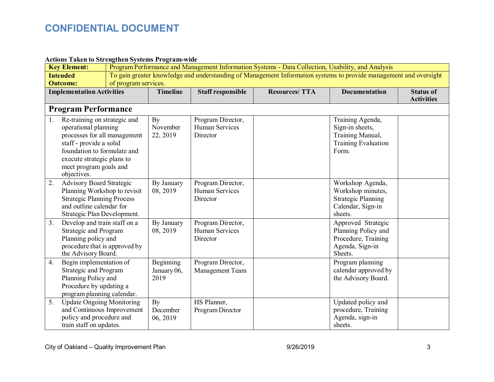### **Actions Taken to Strengthen Systems Program-wide**

|    | <b>Key Element:</b><br>Program Performance and Management Information Systems - Data Collection, Usability, and Analysis             |  |                 |                          |                      |                                         |                                       |
|----|--------------------------------------------------------------------------------------------------------------------------------------|--|-----------------|--------------------------|----------------------|-----------------------------------------|---------------------------------------|
|    | To gain greater knowledge and understanding of Management Information systems to provide management and oversight<br><b>Intended</b> |  |                 |                          |                      |                                         |                                       |
|    | of program services.<br><b>Outcome:</b>                                                                                              |  |                 |                          |                      |                                         |                                       |
|    | <b>Implementation Activities</b>                                                                                                     |  | <b>Timeline</b> | <b>Staff responsible</b> | <b>Resources/TTA</b> | <b>Documentation</b>                    | <b>Status of</b><br><b>Activities</b> |
|    | <b>Program Performance</b>                                                                                                           |  |                 |                          |                      |                                         |                                       |
|    |                                                                                                                                      |  |                 |                          |                      |                                         |                                       |
| 1. | Re-training on strategic and                                                                                                         |  | By              | Program Director,        |                      | Training Agenda,                        |                                       |
|    | operational planning                                                                                                                 |  | November        | <b>Human Services</b>    |                      | Sign-in sheets,                         |                                       |
|    | processes for all management<br>staff - provide a solid                                                                              |  | 22, 2019        | Director                 |                      | Training Manual,<br>Training Evaluation |                                       |
|    | foundation to formulate and                                                                                                          |  |                 |                          |                      | Form.                                   |                                       |
|    | execute strategic plans to                                                                                                           |  |                 |                          |                      |                                         |                                       |
|    | meet program goals and                                                                                                               |  |                 |                          |                      |                                         |                                       |
|    | objectives.                                                                                                                          |  |                 |                          |                      |                                         |                                       |
| 2. | <b>Advisory Board Strategic</b>                                                                                                      |  | By January      | Program Director,        |                      | Workshop Agenda,                        |                                       |
|    | Planning Workshop to revisit                                                                                                         |  | 08, 2019        | <b>Human Services</b>    |                      | Workshop minutes,                       |                                       |
|    | <b>Strategic Planning Process</b>                                                                                                    |  |                 | Director                 |                      | <b>Strategic Planning</b>               |                                       |
|    | and outline calendar for                                                                                                             |  |                 |                          |                      | Calendar, Sign-in                       |                                       |
|    | Strategic Plan Development.                                                                                                          |  |                 |                          |                      | sheets.                                 |                                       |
| 3. | Develop and train staff on a                                                                                                         |  | By January      | Program Director,        |                      | Approved Strategic                      |                                       |
|    | Strategic and Program                                                                                                                |  | 08, 2019        | <b>Human Services</b>    |                      | Planning Policy and                     |                                       |
|    | Planning policy and<br>procedure that is approved by                                                                                 |  |                 | Director                 |                      | Procedure, Training<br>Agenda, Sign-in  |                                       |
|    | the Advisory Board.                                                                                                                  |  |                 |                          |                      | Sheets.                                 |                                       |
| 4. | Begin implementation of                                                                                                              |  | Beginning       | Program Director,        |                      | Program planning                        |                                       |
|    | Strategic and Program                                                                                                                |  | January 06,     | Management Team          |                      | calendar approved by                    |                                       |
|    | Planning Policy and                                                                                                                  |  | 2019            |                          |                      | the Advisory Board.                     |                                       |
|    | Procedure by updating a                                                                                                              |  |                 |                          |                      |                                         |                                       |
|    | program planning calendar.                                                                                                           |  |                 |                          |                      |                                         |                                       |
| 5. | <b>Update Ongoing Monitoring</b>                                                                                                     |  | By              | HS Planner,              |                      | Updated policy and                      |                                       |
|    | and Continuous Improvement                                                                                                           |  | December        | Program Director         |                      | procedure, Training                     |                                       |
|    | policy and procedure and                                                                                                             |  | 06, 2019        |                          |                      | Agenda, sign-in                         |                                       |
|    | train staff on updates.                                                                                                              |  |                 |                          |                      | sheets.                                 |                                       |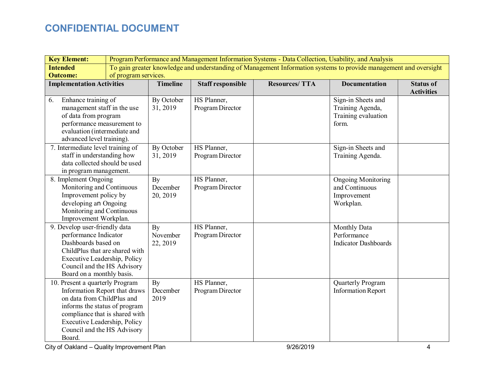| <b>Key Element:</b>                                                                                                                                                                                                                        | Program Performance and Management Information Systems - Data Collection, Usability, and Analysis                 |                            |                                 |                      |                                                                         |                                       |
|--------------------------------------------------------------------------------------------------------------------------------------------------------------------------------------------------------------------------------------------|-------------------------------------------------------------------------------------------------------------------|----------------------------|---------------------------------|----------------------|-------------------------------------------------------------------------|---------------------------------------|
| <b>Intended</b>                                                                                                                                                                                                                            | To gain greater knowledge and understanding of Management Information systems to provide management and oversight |                            |                                 |                      |                                                                         |                                       |
| <b>Outcome:</b>                                                                                                                                                                                                                            | of program services.                                                                                              |                            |                                 |                      |                                                                         |                                       |
| <b>Implementation Activities</b>                                                                                                                                                                                                           |                                                                                                                   | <b>Timeline</b>            | <b>Staff responsible</b>        | <b>Resources/TTA</b> | <b>Documentation</b>                                                    | <b>Status of</b><br><b>Activities</b> |
| Enhance training of<br>6.<br>management staff in the use<br>of data from program<br>performance measurement to<br>evaluation (intermediate and<br>advanced level training).                                                                |                                                                                                                   | By October<br>31, 2019     | HS Planner,<br>Program Director |                      | Sign-in Sheets and<br>Training Agenda,<br>Training evaluation<br>form.  |                                       |
| 7. Intermediate level training of<br>staff in understanding how<br>data collected should be used<br>in program management.                                                                                                                 |                                                                                                                   | By October<br>31, 2019     | HS Planner,<br>Program Director |                      | Sign-in Sheets and<br>Training Agenda.                                  |                                       |
| 8. Implement Ongoing<br>Monitoring and Continuous<br>Improvement policy by<br>developing an Ongoing<br>Monitoring and Continuous<br>Improvement Workplan.                                                                                  |                                                                                                                   | By<br>December<br>20, 2019 | HS Planner,<br>Program Director |                      | <b>Ongoing Monitoring</b><br>and Continuous<br>Improvement<br>Workplan. |                                       |
| 9. Develop user-friendly data<br>performance Indicator<br>Dashboards based on<br>ChildPlus that are shared with<br>Executive Leadership, Policy<br>Council and the HS Advisory<br>Board on a monthly basis.                                |                                                                                                                   | By<br>November<br>22, 2019 | HS Planner,<br>Program Director |                      | <b>Monthly Data</b><br>Performance<br><b>Indicator Dashboards</b>       |                                       |
| 10. Present a quarterly Program<br>Information Report that draws<br>on data from ChildPlus and<br>informs the status of program<br>compliance that is shared with<br>Executive Leadership, Policy<br>Council and the HS Advisory<br>Board. |                                                                                                                   | By<br>December<br>2019     | HS Planner,<br>Program Director |                      | Quarterly Program<br><b>Information Report</b>                          |                                       |

City of Oakland – Quality Improvement Plan and the control of the control of 9/26/2019 4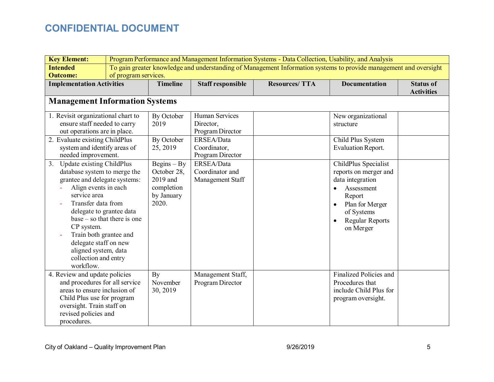| <b>Key Element:</b>                                                                                                                                                                                                                                                                                                      | Program Performance and Management Information Systems - Data Collection, Usability, and Analysis |                                                                               |                                                   |                                                                                                                   |                                                                                                                                                                   |                                       |
|--------------------------------------------------------------------------------------------------------------------------------------------------------------------------------------------------------------------------------------------------------------------------------------------------------------------------|---------------------------------------------------------------------------------------------------|-------------------------------------------------------------------------------|---------------------------------------------------|-------------------------------------------------------------------------------------------------------------------|-------------------------------------------------------------------------------------------------------------------------------------------------------------------|---------------------------------------|
| <b>Intended</b>                                                                                                                                                                                                                                                                                                          |                                                                                                   |                                                                               |                                                   | To gain greater knowledge and understanding of Management Information systems to provide management and oversight |                                                                                                                                                                   |                                       |
| <b>Outcome:</b>                                                                                                                                                                                                                                                                                                          | of program services.                                                                              |                                                                               |                                                   |                                                                                                                   |                                                                                                                                                                   |                                       |
| <b>Implementation Activities</b>                                                                                                                                                                                                                                                                                         |                                                                                                   | <b>Timeline</b>                                                               | <b>Staff responsible</b>                          | <b>Resources/TTA</b>                                                                                              | <b>Documentation</b>                                                                                                                                              | <b>Status of</b><br><b>Activities</b> |
|                                                                                                                                                                                                                                                                                                                          |                                                                                                   |                                                                               |                                                   |                                                                                                                   |                                                                                                                                                                   |                                       |
| <b>Management Information Systems</b>                                                                                                                                                                                                                                                                                    |                                                                                                   |                                                                               |                                                   |                                                                                                                   |                                                                                                                                                                   |                                       |
| 1. Revisit organizational chart to<br>ensure staff needed to carry<br>out operations are in place.                                                                                                                                                                                                                       |                                                                                                   | By October<br>2019                                                            | Human Services<br>Director,<br>Program Director   |                                                                                                                   | New organizational<br>structure                                                                                                                                   |                                       |
| 2. Evaluate existing ChildPlus<br>system and identify areas of<br>needed improvement.                                                                                                                                                                                                                                    |                                                                                                   | By October<br>25, 2019                                                        | ERSEA/Data<br>Coordinator,<br>Program Director    |                                                                                                                   | Child Plus System<br><b>Evaluation Report.</b>                                                                                                                    |                                       |
| Update existing ChildPlus<br>3.<br>database system to merge the<br>grantee and delegate systems:<br>Align events in each<br>service area<br>Transfer data from<br>delegate to grantee data<br>CP system.<br>Train both grantee and<br>delegate staff on new<br>aligned system, data<br>collection and entry<br>workflow. | $base - so that there is one$                                                                     | $Begins - By$<br>October 28,<br>2019 and<br>completion<br>by January<br>2020. | ERSEA/Data<br>Coordinator and<br>Management Staff |                                                                                                                   | ChildPlus Specialist<br>reports on merger and<br>data integration<br>Assessment<br>Report<br>Plan for Merger<br>of Systems<br><b>Regular Reports</b><br>on Merger |                                       |
| 4. Review and update policies<br>and procedures for all service<br>areas to ensure inclusion of<br>Child Plus use for program<br>oversight. Train staff on<br>revised policies and<br>procedures.                                                                                                                        |                                                                                                   | By<br>November<br>30, 2019                                                    | Management Staff,<br>Program Director             |                                                                                                                   | Finalized Policies and<br>Procedures that<br>include Child Plus for<br>program oversight.                                                                         |                                       |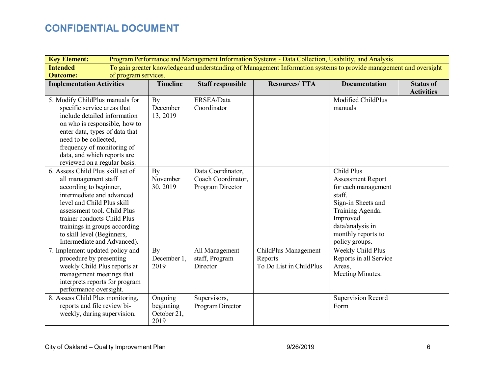| <b>Key Element:</b>                                       | Program Performance and Management Information Systems - Data Collection, Usability, and Analysis                 |                     |                          |                         |                           |                   |
|-----------------------------------------------------------|-------------------------------------------------------------------------------------------------------------------|---------------------|--------------------------|-------------------------|---------------------------|-------------------|
| <b>Intended</b>                                           | To gain greater knowledge and understanding of Management Information systems to provide management and oversight |                     |                          |                         |                           |                   |
| <b>Outcome:</b>                                           | of program services.                                                                                              |                     |                          |                         |                           |                   |
| <b>Implementation Activities</b>                          |                                                                                                                   | <b>Timeline</b>     | <b>Staff responsible</b> | <b>Resources/TTA</b>    | <b>Documentation</b>      | <b>Status of</b>  |
|                                                           |                                                                                                                   |                     |                          |                         |                           | <b>Activities</b> |
| 5. Modify ChildPlus manuals for                           |                                                                                                                   | By                  | ERSEA/Data               |                         | Modified ChildPlus        |                   |
| specific service areas that                               |                                                                                                                   | December            | Coordinator              |                         | manuals                   |                   |
| include detailed information                              |                                                                                                                   | 13, 2019            |                          |                         |                           |                   |
| on who is responsible, how to                             |                                                                                                                   |                     |                          |                         |                           |                   |
| enter data, types of data that                            |                                                                                                                   |                     |                          |                         |                           |                   |
| need to be collected,                                     |                                                                                                                   |                     |                          |                         |                           |                   |
| frequency of monitoring of                                |                                                                                                                   |                     |                          |                         |                           |                   |
| data, and which reports are                               |                                                                                                                   |                     |                          |                         |                           |                   |
| reviewed on a regular basis.                              |                                                                                                                   |                     |                          |                         |                           |                   |
| 6. Assess Child Plus skill set of                         |                                                                                                                   | By                  | Data Coordinator,        |                         | Child Plus                |                   |
| all management staff                                      |                                                                                                                   | November            | Coach Coordinator,       |                         | <b>Assessment Report</b>  |                   |
| according to beginner,                                    |                                                                                                                   | 30, 2019            | Program Director         |                         | for each management       |                   |
| intermediate and advanced                                 |                                                                                                                   |                     |                          |                         | staff.                    |                   |
| level and Child Plus skill                                |                                                                                                                   |                     |                          |                         | Sign-in Sheets and        |                   |
| assessment tool. Child Plus                               |                                                                                                                   |                     |                          |                         | Training Agenda.          |                   |
| trainer conducts Child Plus                               |                                                                                                                   |                     |                          |                         | Improved                  |                   |
| trainings in groups according                             |                                                                                                                   |                     |                          |                         | data/analysis in          |                   |
| to skill level (Beginners,<br>Intermediate and Advanced). |                                                                                                                   |                     |                          |                         | monthly reports to        |                   |
|                                                           |                                                                                                                   |                     |                          |                         | policy groups.            |                   |
| 7. Implement updated policy and                           |                                                                                                                   | By                  | All Management           | ChildPlus Management    | Weekly Child Plus         |                   |
| procedure by presenting                                   |                                                                                                                   | December 1,         | staff, Program           | Reports                 | Reports in all Service    |                   |
| weekly Child Plus reports at                              |                                                                                                                   | 2019                | Director                 | To Do List in ChildPlus | Areas,                    |                   |
| management meetings that                                  |                                                                                                                   |                     |                          |                         | Meeting Minutes.          |                   |
| interprets reports for program                            |                                                                                                                   |                     |                          |                         |                           |                   |
| performance oversight.                                    |                                                                                                                   |                     |                          |                         |                           |                   |
| 8. Assess Child Plus monitoring,                          |                                                                                                                   | Ongoing             | Supervisors,             |                         | <b>Supervision Record</b> |                   |
| reports and file review bi-                               |                                                                                                                   | beginning           | Program Director         |                         | Form                      |                   |
| weekly, during supervision.                               |                                                                                                                   | October 21,<br>2019 |                          |                         |                           |                   |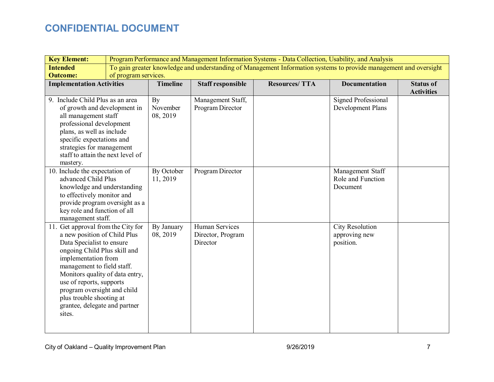| <b>Key Element:</b>                                                                                                                                                                                                                                                                                                                                       | Program Performance and Management Information Systems - Data Collection, Usability, and Analysis |                            |                                                 |                                                                                                                   |                                                   |                                       |
|-----------------------------------------------------------------------------------------------------------------------------------------------------------------------------------------------------------------------------------------------------------------------------------------------------------------------------------------------------------|---------------------------------------------------------------------------------------------------|----------------------------|-------------------------------------------------|-------------------------------------------------------------------------------------------------------------------|---------------------------------------------------|---------------------------------------|
| <b>Intended</b>                                                                                                                                                                                                                                                                                                                                           |                                                                                                   |                            |                                                 | To gain greater knowledge and understanding of Management Information systems to provide management and oversight |                                                   |                                       |
| <b>Outcome:</b>                                                                                                                                                                                                                                                                                                                                           | of program services.                                                                              |                            |                                                 |                                                                                                                   |                                                   |                                       |
| <b>Implementation Activities</b>                                                                                                                                                                                                                                                                                                                          |                                                                                                   | <b>Timeline</b>            | <b>Staff responsible</b>                        | <b>Resources/TTA</b>                                                                                              | <b>Documentation</b>                              | <b>Status of</b><br><b>Activities</b> |
| 9. Include Child Plus as an area<br>of growth and development in<br>all management staff<br>professional development<br>plans, as well as include<br>specific expectations and<br>strategies for management<br>staff to attain the next level of<br>mastery.                                                                                              |                                                                                                   | By<br>November<br>08, 2019 | Management Staff,<br>Program Director           |                                                                                                                   | <b>Signed Professional</b><br>Development Plans   |                                       |
| 10. Include the expectation of<br>advanced Child Plus<br>knowledge and understanding<br>to effectively monitor and<br>provide program oversight as a<br>key role and function of all<br>management staff.                                                                                                                                                 |                                                                                                   | By October<br>11, 2019     | Program Director                                |                                                                                                                   | Management Staff<br>Role and Function<br>Document |                                       |
| 11. Get approval from the City for<br>a new position of Child Plus<br>Data Specialist to ensure<br>ongoing Child Plus skill and<br>implementation from<br>management to field staff.<br>Monitors quality of data entry,<br>use of reports, supports<br>program oversight and child<br>plus trouble shooting at<br>grantee, delegate and partner<br>sites. |                                                                                                   | By January<br>08, 2019     | Human Services<br>Director, Program<br>Director |                                                                                                                   | City Resolution<br>approving new<br>position.     |                                       |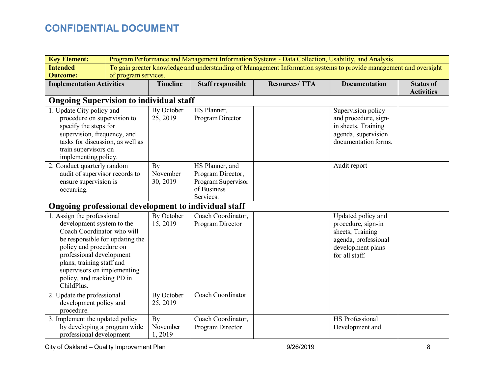| <b>Key Element:</b>                                                                                                                                                                                                                                                                     | Program Performance and Management Information Systems - Data Collection, Usability, and Analysis                 |                            |                                                                                        |                      |                                                                                                                             |                                       |
|-----------------------------------------------------------------------------------------------------------------------------------------------------------------------------------------------------------------------------------------------------------------------------------------|-------------------------------------------------------------------------------------------------------------------|----------------------------|----------------------------------------------------------------------------------------|----------------------|-----------------------------------------------------------------------------------------------------------------------------|---------------------------------------|
| <b>Intended</b>                                                                                                                                                                                                                                                                         | To gain greater knowledge and understanding of Management Information systems to provide management and oversight |                            |                                                                                        |                      |                                                                                                                             |                                       |
| <b>Outcome:</b>                                                                                                                                                                                                                                                                         | of program services.                                                                                              |                            |                                                                                        |                      |                                                                                                                             |                                       |
| <b>Implementation Activities</b>                                                                                                                                                                                                                                                        |                                                                                                                   | <b>Timeline</b>            | <b>Staff responsible</b>                                                               | <b>Resources/TTA</b> | <b>Documentation</b>                                                                                                        | <b>Status of</b><br><b>Activities</b> |
| <b>Ongoing Supervision to individual staff</b>                                                                                                                                                                                                                                          |                                                                                                                   |                            |                                                                                        |                      |                                                                                                                             |                                       |
| 1. Update City policy and<br>procedure on supervision to<br>specify the steps for<br>supervision, frequency, and<br>tasks for discussion, as well as<br>train supervisors on<br>implementing policy.                                                                                    |                                                                                                                   | By October<br>25, 2019     | HS Planner,<br>Program Director                                                        |                      | Supervision policy<br>and procedure, sign-<br>in sheets, Training<br>agenda, supervision<br>documentation forms.            |                                       |
| 2. Conduct quarterly random<br>audit of supervisor records to<br>ensure supervision is<br>occurring.                                                                                                                                                                                    |                                                                                                                   | By<br>November<br>30, 2019 | HS Planner, and<br>Program Director,<br>Program Supervisor<br>of Business<br>Services. |                      | Audit report                                                                                                                |                                       |
| Ongoing professional development to individual staff                                                                                                                                                                                                                                    |                                                                                                                   |                            |                                                                                        |                      |                                                                                                                             |                                       |
| 1. Assign the professional<br>development system to the<br>Coach Coordinator who will<br>be responsible for updating the<br>policy and procedure on<br>professional development<br>plans, training staff and<br>supervisors on implementing<br>policy, and tracking PD in<br>ChildPlus. |                                                                                                                   | By October<br>15, 2019     | Coach Coordinator,<br>Program Director                                                 |                      | Updated policy and<br>procedure, sign-in<br>sheets, Training<br>agenda, professional<br>development plans<br>for all staff. |                                       |
| 2. Update the professional<br>development policy and<br>procedure.                                                                                                                                                                                                                      |                                                                                                                   | By October<br>25, 2019     | Coach Coordinator                                                                      |                      |                                                                                                                             |                                       |
| 3. Implement the updated policy<br>by developing a program wide<br>professional development                                                                                                                                                                                             |                                                                                                                   | By<br>November<br>1,2019   | Coach Coordinator,<br>Program Director                                                 |                      | HS Professional<br>Development and                                                                                          |                                       |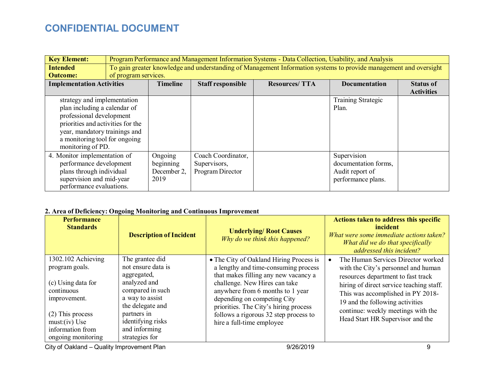| <b>Key Element:</b>               |                      | Program Performance and Management Information Systems - Data Collection, Usability, and Analysis |                          |                                                                                                                   |                           |                   |
|-----------------------------------|----------------------|---------------------------------------------------------------------------------------------------|--------------------------|-------------------------------------------------------------------------------------------------------------------|---------------------------|-------------------|
| <b>Intended</b>                   |                      |                                                                                                   |                          | To gain greater knowledge and understanding of Management Information systems to provide management and oversight |                           |                   |
| <b>Outcome:</b>                   | of program services. |                                                                                                   |                          |                                                                                                                   |                           |                   |
| <b>Implementation Activities</b>  |                      | <b>Timeline</b>                                                                                   | <b>Staff responsible</b> | <b>Resources/TTA</b>                                                                                              | <b>Documentation</b>      | <b>Status of</b>  |
|                                   |                      |                                                                                                   |                          |                                                                                                                   |                           | <b>Activities</b> |
| strategy and implementation       |                      |                                                                                                   |                          |                                                                                                                   | <b>Training Strategic</b> |                   |
| plan including a calendar of      |                      |                                                                                                   |                          |                                                                                                                   | Plan.                     |                   |
| professional development          |                      |                                                                                                   |                          |                                                                                                                   |                           |                   |
| priorities and activities for the |                      |                                                                                                   |                          |                                                                                                                   |                           |                   |
| year, mandatory trainings and     |                      |                                                                                                   |                          |                                                                                                                   |                           |                   |
| a monitoring tool for ongoing     |                      |                                                                                                   |                          |                                                                                                                   |                           |                   |
| monitoring of PD.                 |                      |                                                                                                   |                          |                                                                                                                   |                           |                   |
| 4. Monitor implementation of      |                      | Ongoing                                                                                           | Coach Coordinator,       |                                                                                                                   | Supervision               |                   |
| performance development           |                      | beginning                                                                                         | Supervisors,             |                                                                                                                   | documentation forms,      |                   |
| plans through individual          |                      | December 2,                                                                                       | Program Director         |                                                                                                                   | Audit report of           |                   |
| supervision and mid-year          |                      | 2019                                                                                              |                          |                                                                                                                   | performance plans.        |                   |
| performance evaluations.          |                      |                                                                                                   |                          |                                                                                                                   |                           |                   |

### **2. Area of Deficiency: Ongoing Monitoring and Continuous Improvement**

| <b>Performance</b><br><b>Standards</b>                                                                                                                                      | <b>Description of Incident</b>                                                                                                                                                                         | <b>Underlying/ Root Causes</b><br>Why do we think this happened?                                                                                                                                                                                                                                                                           | <b>Actions taken to address this specific</b><br>incident<br>What were some immediate actions taken?<br>What did we do that specifically<br>addressed this incident?                                                                                                                                          |
|-----------------------------------------------------------------------------------------------------------------------------------------------------------------------------|--------------------------------------------------------------------------------------------------------------------------------------------------------------------------------------------------------|--------------------------------------------------------------------------------------------------------------------------------------------------------------------------------------------------------------------------------------------------------------------------------------------------------------------------------------------|---------------------------------------------------------------------------------------------------------------------------------------------------------------------------------------------------------------------------------------------------------------------------------------------------------------|
| 1302.102 Achieving<br>program goals.<br>(c) Using data for<br>continuous<br>improvement.<br>$(2)$ This process<br>$must:(iv)$ Use<br>information from<br>ongoing monitoring | The grantee did<br>not ensure data is<br>aggregated,<br>analyzed and<br>compared in such<br>a way to assist<br>the delegate and<br>partners in<br>identifying risks<br>and informing<br>strategies for | • The City of Oakland Hiring Process is<br>a lengthy and time-consuming process<br>that makes filling any new vacancy a<br>challenge. New Hires can take<br>anywhere from 6 months to 1 year<br>depending on competing City<br>priorities. The City's hiring process<br>follows a rigorous 32 step process to<br>hire a full-time employee | The Human Services Director worked<br>with the City's personnel and human<br>resources department to fast track<br>hiring of direct service teaching staff.<br>This was accomplished in PY 2018-<br>19 and the following activities<br>continue: weekly meetings with the<br>Head Start HR Supervisor and the |

City of Oakland – Quality Improvement Plan 9/26/2019 9/26/2019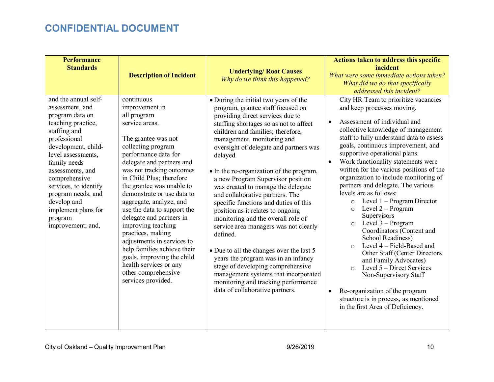| <b>Performance</b><br><b>Standards</b>                                                                                                                                                                                                                                                                                                  | <b>Description of Incident</b>                                                                                                                                                                                                                                                                                                                                                                                                                                                                                                                                                         | <b>Underlying/ Root Causes</b><br>Why do we think this happened?                                                                                                                                                                                                                                                                                                                                                                                                                                                                                                                                                                                                                                                                                                                                                                                               | Actions taken to address this specific<br>incident<br>What were some immediate actions taken?<br>What did we do that specifically<br>addressed this incident?                                                                                                                                                                                                                                                                                                                                                                                                                                                                                                                                                                                                                                                                                                                                                                                               |
|-----------------------------------------------------------------------------------------------------------------------------------------------------------------------------------------------------------------------------------------------------------------------------------------------------------------------------------------|----------------------------------------------------------------------------------------------------------------------------------------------------------------------------------------------------------------------------------------------------------------------------------------------------------------------------------------------------------------------------------------------------------------------------------------------------------------------------------------------------------------------------------------------------------------------------------------|----------------------------------------------------------------------------------------------------------------------------------------------------------------------------------------------------------------------------------------------------------------------------------------------------------------------------------------------------------------------------------------------------------------------------------------------------------------------------------------------------------------------------------------------------------------------------------------------------------------------------------------------------------------------------------------------------------------------------------------------------------------------------------------------------------------------------------------------------------------|-------------------------------------------------------------------------------------------------------------------------------------------------------------------------------------------------------------------------------------------------------------------------------------------------------------------------------------------------------------------------------------------------------------------------------------------------------------------------------------------------------------------------------------------------------------------------------------------------------------------------------------------------------------------------------------------------------------------------------------------------------------------------------------------------------------------------------------------------------------------------------------------------------------------------------------------------------------|
| and the annual self-<br>assessment, and<br>program data on<br>teaching practice,<br>staffing and<br>professional<br>development, child-<br>level assessments,<br>family needs<br>assessments, and<br>comprehensive<br>services, to identify<br>program needs, and<br>develop and<br>implement plans for<br>program<br>improvement; and, | continuous<br>improvement in<br>all program<br>service areas.<br>The grantee was not<br>collecting program<br>performance data for<br>delegate and partners and<br>was not tracking outcomes<br>in Child Plus; therefore<br>the grantee was unable to<br>demonstrate or use data to<br>aggregate, analyze, and<br>use the data to support the<br>delegate and partners in<br>improving teaching<br>practices, making<br>adjustments in services to<br>help families achieve their<br>goals, improving the child<br>health services or any<br>other comprehensive<br>services provided. | • During the initial two years of the<br>program, grantee staff focused on<br>providing direct services due to<br>staffing shortages so as not to affect<br>children and families; therefore,<br>management, monitoring and<br>oversight of delegate and partners was<br>delayed.<br>• In the re-organization of the program,<br>a new Program Supervisor position<br>was created to manage the delegate<br>and collaborative partners. The<br>specific functions and duties of this<br>position as it relates to ongoing<br>monitoring and the overall role of<br>service area managers was not clearly<br>defined.<br>• Due to all the changes over the last 5<br>years the program was in an infancy<br>stage of developing comprehensive<br>management systems that incorporated<br>monitoring and tracking performance<br>data of collaborative partners. | City HR Team to prioritize vacancies<br>and keep processes moving.<br>Assessment of individual and<br>$\bullet$<br>collective knowledge of management<br>staff to fully understand data to assess<br>goals, continuous improvement, and<br>supportive operational plans.<br>Work functionality statements were<br>$\bullet$<br>written for the various positions of the<br>organization to include monitoring of<br>partners and delegate. The various<br>levels are as follows:<br>Level $1 -$ Program Director<br>$\circ$<br>Level $2$ – Program<br>$\circ$<br>Supervisors<br>Level $3 - Program$<br>$\circ$<br>Coordinators (Content and<br><b>School Readiness)</b><br>Level 4 – Field-Based and<br>Other Staff (Center Directors<br>and Family Advocates)<br>Level 5 – Direct Services<br>$\circ$<br>Non-Supervisory Staff<br>Re-organization of the program<br>$\bullet$<br>structure is in process, as mentioned<br>in the first Area of Deficiency. |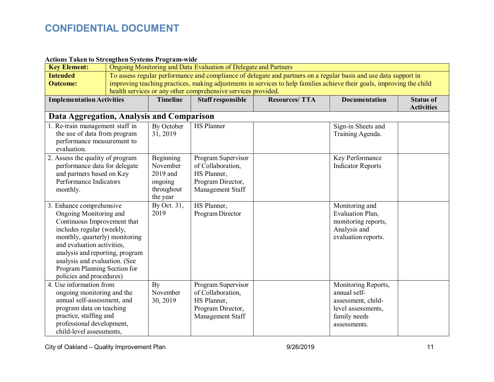### **Actions Taken to Strengthen Systems Program-wide**

| <b>Key Element:</b>                                                                                                                                                                                                                                                                                            | Ongoing Monitoring and Data Evaluation of Delegate and Partners                                                  |                                                                                                                        |                                                                                                 |                      |                                                                                                                 |                                       |
|----------------------------------------------------------------------------------------------------------------------------------------------------------------------------------------------------------------------------------------------------------------------------------------------------------------|------------------------------------------------------------------------------------------------------------------|------------------------------------------------------------------------------------------------------------------------|-------------------------------------------------------------------------------------------------|----------------------|-----------------------------------------------------------------------------------------------------------------|---------------------------------------|
| <b>Intended</b>                                                                                                                                                                                                                                                                                                | To assess regular performance and compliance of delegate and partners on a regular basis and use data support in |                                                                                                                        |                                                                                                 |                      |                                                                                                                 |                                       |
| <b>Outcome:</b>                                                                                                                                                                                                                                                                                                |                                                                                                                  | improving teaching practices, making adjustments in services to help families achieve their goals, improving the child |                                                                                                 |                      |                                                                                                                 |                                       |
|                                                                                                                                                                                                                                                                                                                | health services or any other comprehensive services provided.                                                    |                                                                                                                        |                                                                                                 |                      |                                                                                                                 |                                       |
| <b>Implementation Activities</b>                                                                                                                                                                                                                                                                               |                                                                                                                  | <b>Timeline</b>                                                                                                        | <b>Staff responsible</b>                                                                        | <b>Resources/TTA</b> | <b>Documentation</b>                                                                                            | <b>Status of</b><br><b>Activities</b> |
| Data Aggregation, Analysis and Comparison                                                                                                                                                                                                                                                                      |                                                                                                                  |                                                                                                                        |                                                                                                 |                      |                                                                                                                 |                                       |
| 1. Re-train management staff in<br>the use of data from program<br>performance measurement to<br>evaluation.                                                                                                                                                                                                   |                                                                                                                  | By October<br>31, 2019                                                                                                 | <b>HS Planner</b>                                                                               |                      | Sign-in Sheets and<br>Training Agenda.                                                                          |                                       |
| 2. Assess the quality of program<br>performance data for delegate<br>and partners based on Key<br>Performance Indicators<br>monthly.                                                                                                                                                                           |                                                                                                                  | Beginning<br>November<br>2019 and<br>ongoing<br>throughout<br>the year                                                 | Program Supervisor<br>of Collaboration,<br>HS Planner,<br>Program Director,<br>Management Staff |                      | Key Performance<br><b>Indicator Reports</b>                                                                     |                                       |
| 3. Enhance comprehensive<br>Ongoing Monitoring and<br>Continuous Improvement that<br>includes regular (weekly,<br>monthly, quarterly) monitoring<br>and evaluation activities,<br>analysis and reporting, program<br>analysis and evaluation. (See<br>Program Planning Section for<br>policies and procedures) |                                                                                                                  | By Oct. 31,<br>2019                                                                                                    | HS Planner,<br>Program Director                                                                 |                      | Monitoring and<br>Evaluation Plan,<br>monitoring reports,<br>Analysis and<br>evaluation reports.                |                                       |
| 4. Use information from<br>ongoing monitoring and the<br>annual self-assessment, and<br>program data on teaching<br>practice, staffing and<br>professional development,<br>child-level assessments,                                                                                                            |                                                                                                                  | By<br>November<br>30, 2019                                                                                             | Program Supervisor<br>of Collaboration,<br>HS Planner,<br>Program Director,<br>Management Staff |                      | Monitoring Reports,<br>annual self-<br>assessment, child-<br>level assessments,<br>family needs<br>assessments. |                                       |

City of Oakland – Quality Improvement Plan and the City of Oakland – Quality Improvement Plan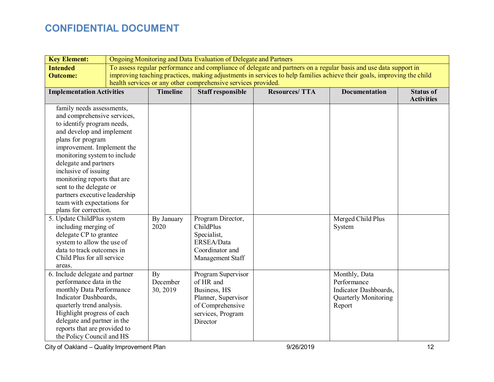| <b>Key Element:</b>                                                                                                                                                                                                                                                                                                                                                                                       | Ongoing Monitoring and Data Evaluation of Delegate and Partners |                                                                                                                                                                                                                                                                                                             |                                                                                                                             |                      |                                                                                                |                                       |
|-----------------------------------------------------------------------------------------------------------------------------------------------------------------------------------------------------------------------------------------------------------------------------------------------------------------------------------------------------------------------------------------------------------|-----------------------------------------------------------------|-------------------------------------------------------------------------------------------------------------------------------------------------------------------------------------------------------------------------------------------------------------------------------------------------------------|-----------------------------------------------------------------------------------------------------------------------------|----------------------|------------------------------------------------------------------------------------------------|---------------------------------------|
| <b>Intended</b><br><b>Outcome:</b>                                                                                                                                                                                                                                                                                                                                                                        |                                                                 | To assess regular performance and compliance of delegate and partners on a regular basis and use data support in<br>improving teaching practices, making adjustments in services to help families achieve their goals, improving the child<br>health services or any other comprehensive services provided. |                                                                                                                             |                      |                                                                                                |                                       |
| <b>Implementation Activities</b>                                                                                                                                                                                                                                                                                                                                                                          |                                                                 | <b>Timeline</b>                                                                                                                                                                                                                                                                                             | <b>Staff responsible</b>                                                                                                    | <b>Resources/TTA</b> | <b>Documentation</b>                                                                           | <b>Status of</b><br><b>Activities</b> |
| family needs assessments,<br>and comprehensive services,<br>to identify program needs,<br>and develop and implement<br>plans for program<br>improvement. Implement the<br>monitoring system to include<br>delegate and partners<br>inclusive of issuing<br>monitoring reports that are<br>sent to the delegate or<br>partners executive leadership<br>team with expectations for<br>plans for correction. |                                                                 |                                                                                                                                                                                                                                                                                                             |                                                                                                                             |                      |                                                                                                |                                       |
| 5. Update ChildPlus system<br>including merging of<br>delegate CP to grantee<br>system to allow the use of<br>data to track outcomes in<br>Child Plus for all service<br>areas.                                                                                                                                                                                                                           |                                                                 | By January<br>2020                                                                                                                                                                                                                                                                                          | Program Director,<br>ChildPlus<br>Specialist,<br>ERSEA/Data<br>Coordinator and<br>Management Staff                          |                      | Merged Child Plus<br>System                                                                    |                                       |
| 6. Include delegate and partner<br>performance data in the<br>monthly Data Performance<br>Indicator Dashboards,<br>quarterly trend analysis.<br>Highlight progress of each<br>delegate and partner in the<br>reports that are provided to<br>the Policy Council and HS                                                                                                                                    |                                                                 | By<br>December<br>30, 2019                                                                                                                                                                                                                                                                                  | Program Supervisor<br>of HR and<br>Business, HS<br>Planner, Supervisor<br>of Comprehensive<br>services, Program<br>Director |                      | Monthly, Data<br>Performance<br>Indicator Dashboards,<br><b>Quarterly Monitoring</b><br>Report |                                       |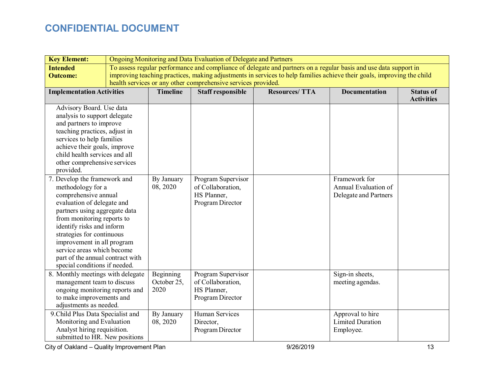| <b>Key Element:</b>                                                                                                                                                                                                                                                                                                                                               | Ongoing Monitoring and Data Evaluation of Delegate and Partners |                                                                                                                                                                                                                                                                                                             |                                                                            |                      |                                                                |                                       |
|-------------------------------------------------------------------------------------------------------------------------------------------------------------------------------------------------------------------------------------------------------------------------------------------------------------------------------------------------------------------|-----------------------------------------------------------------|-------------------------------------------------------------------------------------------------------------------------------------------------------------------------------------------------------------------------------------------------------------------------------------------------------------|----------------------------------------------------------------------------|----------------------|----------------------------------------------------------------|---------------------------------------|
| <b>Intended</b><br><b>Outcome:</b>                                                                                                                                                                                                                                                                                                                                |                                                                 | To assess regular performance and compliance of delegate and partners on a regular basis and use data support in<br>improving teaching practices, making adjustments in services to help families achieve their goals, improving the child<br>health services or any other comprehensive services provided. |                                                                            |                      |                                                                |                                       |
| <b>Implementation Activities</b>                                                                                                                                                                                                                                                                                                                                  |                                                                 | <b>Timeline</b>                                                                                                                                                                                                                                                                                             | <b>Staff responsible</b>                                                   | <b>Resources/TTA</b> | <b>Documentation</b>                                           | <b>Status of</b><br><b>Activities</b> |
| Advisory Board. Use data<br>analysis to support delegate<br>and partners to improve<br>teaching practices, adjust in<br>services to help families<br>achieve their goals, improve<br>child health services and all<br>other comprehensive services<br>provided.                                                                                                   |                                                                 |                                                                                                                                                                                                                                                                                                             |                                                                            |                      |                                                                |                                       |
| 7. Develop the framework and<br>methodology for a<br>comprehensive annual<br>evaluation of delegate and<br>partners using aggregate data<br>from monitoring reports to<br>identify risks and inform<br>strategies for continuous<br>improvement in all program<br>service areas which become<br>part of the annual contract with<br>special conditions if needed. |                                                                 | By January<br>08, 2020                                                                                                                                                                                                                                                                                      | Program Supervisor<br>of Collaboration,<br>HS Planner,<br>Program Director |                      | Framework for<br>Annual Evaluation of<br>Delegate and Partners |                                       |
| 8. Monthly meetings with delegate<br>management team to discuss<br>ongoing monitoring reports and<br>to make improvements and<br>adjustments as needed.                                                                                                                                                                                                           |                                                                 | Beginning<br>October 25,<br>2020                                                                                                                                                                                                                                                                            | Program Supervisor<br>of Collaboration,<br>HS Planner,<br>Program Director |                      | Sign-in sheets,<br>meeting agendas.                            |                                       |
| 9. Child Plus Data Specialist and<br>Monitoring and Evaluation<br>Analyst hiring requisition.<br>submitted to HR. New positions                                                                                                                                                                                                                                   |                                                                 | By January<br>08, 2020                                                                                                                                                                                                                                                                                      | Human Services<br>Director,<br>Program Director                            |                      | Approval to hire<br><b>Limited Duration</b><br>Employee.       |                                       |

City of Oakland – Quality Improvement Plan and the City of Oakland – Quality Improvement Plan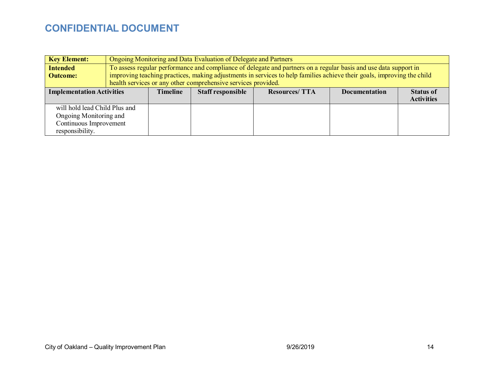| <b>Key Element:</b>              |                                                               | Ongoing Monitoring and Data Evaluation of Delegate and Partners |                          |                                                                                                                        |                      |                   |
|----------------------------------|---------------------------------------------------------------|-----------------------------------------------------------------|--------------------------|------------------------------------------------------------------------------------------------------------------------|----------------------|-------------------|
| <b>Intended</b>                  |                                                               |                                                                 |                          | To assess regular performance and compliance of delegate and partners on a regular basis and use data support in       |                      |                   |
| <b>Outcome:</b>                  |                                                               |                                                                 |                          | improving teaching practices, making adjustments in services to help families achieve their goals, improving the child |                      |                   |
|                                  | health services or any other comprehensive services provided. |                                                                 |                          |                                                                                                                        |                      |                   |
| <b>Implementation Activities</b> |                                                               | <b>Timeline</b>                                                 | <b>Staff responsible</b> | <b>Resources/TTA</b>                                                                                                   | <b>Documentation</b> | <b>Status of</b>  |
|                                  |                                                               |                                                                 |                          |                                                                                                                        |                      | <b>Activities</b> |
| will hold lead Child Plus and    |                                                               |                                                                 |                          |                                                                                                                        |                      |                   |
| Ongoing Monitoring and           |                                                               |                                                                 |                          |                                                                                                                        |                      |                   |
| Continuous Improvement           |                                                               |                                                                 |                          |                                                                                                                        |                      |                   |
| responsibility.                  |                                                               |                                                                 |                          |                                                                                                                        |                      |                   |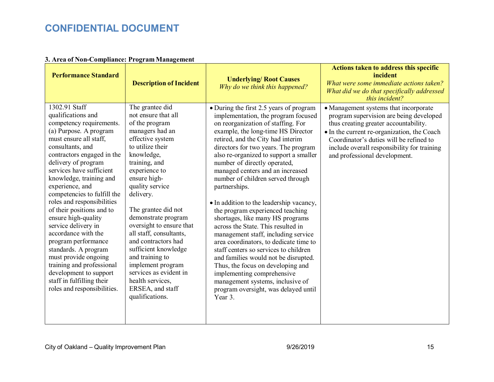#### **3. Area of Non-Compliance: Program Management**

| <b>Performance Standard</b>                                                                                                                                                                                                                                                                                                                                                                                                                                                                                                                                                                                                     | <b>Description of Incident</b>                                                                                                                                                                                                                                                                                                                                                                                                                                                                       | <b>Underlying/ Root Causes</b><br>Why do we think this happened?                                                                                                                                                                                                                                                                                                                                                                                                                                                                                                                                                                                                                                                                                                                                                                                                                                  | Actions taken to address this specific<br>incident<br>What were some immediate actions taken?<br>What did we do that specifically addressed<br>this incident?                                                                                                                                       |
|---------------------------------------------------------------------------------------------------------------------------------------------------------------------------------------------------------------------------------------------------------------------------------------------------------------------------------------------------------------------------------------------------------------------------------------------------------------------------------------------------------------------------------------------------------------------------------------------------------------------------------|------------------------------------------------------------------------------------------------------------------------------------------------------------------------------------------------------------------------------------------------------------------------------------------------------------------------------------------------------------------------------------------------------------------------------------------------------------------------------------------------------|---------------------------------------------------------------------------------------------------------------------------------------------------------------------------------------------------------------------------------------------------------------------------------------------------------------------------------------------------------------------------------------------------------------------------------------------------------------------------------------------------------------------------------------------------------------------------------------------------------------------------------------------------------------------------------------------------------------------------------------------------------------------------------------------------------------------------------------------------------------------------------------------------|-----------------------------------------------------------------------------------------------------------------------------------------------------------------------------------------------------------------------------------------------------------------------------------------------------|
| 1302.91 Staff<br>qualifications and<br>competency requirements.<br>(a) Purpose. A program<br>must ensure all staff,<br>consultants, and<br>contractors engaged in the<br>delivery of program<br>services have sufficient<br>knowledge, training and<br>experience, and<br>competencies to fulfill the<br>roles and responsibilities<br>of their positions and to<br>ensure high-quality<br>service delivery in<br>accordance with the<br>program performance<br>standards. A program<br>must provide ongoing<br>training and professional<br>development to support<br>staff in fulfilling their<br>roles and responsibilities. | The grantee did<br>not ensure that all<br>of the program<br>managers had an<br>effective system<br>to utilize their<br>knowledge,<br>training, and<br>experience to<br>ensure high-<br>quality service<br>delivery.<br>The grantee did not<br>demonstrate program<br>oversight to ensure that<br>all staff, consultants,<br>and contractors had<br>sufficient knowledge<br>and training to<br>implement program<br>services as evident in<br>health services,<br>ERSEA, and staff<br>qualifications. | • During the first 2.5 years of program<br>implementation, the program focused<br>on reorganization of staffing. For<br>example, the long-time HS Director<br>retired, and the City had interim<br>directors for two years. The program<br>also re-organized to support a smaller<br>number of directly operated,<br>managed centers and an increased<br>number of children served through<br>partnerships.<br>• In addition to the leadership vacancy,<br>the program experienced teaching<br>shortages, like many HS programs<br>across the State. This resulted in<br>management staff, including service<br>area coordinators, to dedicate time to<br>staff centers so services to children<br>and families would not be disrupted.<br>Thus, the focus on developing and<br>implementing comprehensive<br>management systems, inclusive of<br>program oversight, was delayed until<br>Year 3. | • Management systems that incorporate<br>program supervision are being developed<br>thus creating greater accountability.<br>• In the current re-organization, the Coach<br>Coordinator's duties will be refined to<br>include overall responsibility for training<br>and professional development. |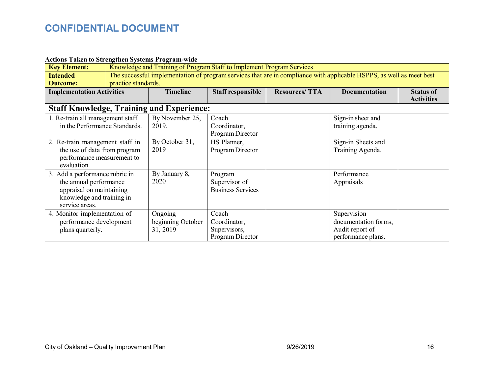#### **Actions Taken to Strengthen Systems Program-wide**

| <b>Key Element:</b>                                                                                                                 | Knowledge and Training of Program Staff to Implement Program Services                                                                       |                                                  |                                                           |                      |                                                                              |                                       |
|-------------------------------------------------------------------------------------------------------------------------------------|---------------------------------------------------------------------------------------------------------------------------------------------|--------------------------------------------------|-----------------------------------------------------------|----------------------|------------------------------------------------------------------------------|---------------------------------------|
| <b>Intended</b><br><b>Outcome:</b>                                                                                                  | The successful implementation of program services that are in compliance with applicable HSPPS, as well as meet best<br>practice standards. |                                                  |                                                           |                      |                                                                              |                                       |
| <b>Implementation Activities</b>                                                                                                    |                                                                                                                                             | <b>Timeline</b>                                  | <b>Staff responsible</b>                                  | <b>Resources/TTA</b> | <b>Documentation</b>                                                         | <b>Status of</b><br><b>Activities</b> |
|                                                                                                                                     |                                                                                                                                             | <b>Staff Knowledge, Training and Experience:</b> |                                                           |                      |                                                                              |                                       |
| 1. Re-train all management staff<br>in the Performance Standards.                                                                   |                                                                                                                                             | By November 25,<br>2019.                         | Coach<br>Coordinator,<br>Program Director                 |                      | Sign-in sheet and<br>training agenda.                                        |                                       |
| 2. Re-train management staff in<br>the use of data from program<br>performance measurement to<br>evaluation.                        |                                                                                                                                             | By October 31,<br>2019                           | HS Planner,<br>Program Director                           |                      | Sign-in Sheets and<br>Training Agenda.                                       |                                       |
| 3. Add a performance rubric in<br>the annual performance<br>appraisal on maintaining<br>knowledge and training in<br>service areas. |                                                                                                                                             | By January 8,<br>2020                            | Program<br>Supervisor of<br><b>Business Services</b>      |                      | Performance<br>Appraisals                                                    |                                       |
| 4. Monitor implementation of<br>performance development<br>plans quarterly.                                                         |                                                                                                                                             | Ongoing<br>beginning October<br>31, 2019         | Coach<br>Coordinator,<br>Supervisors,<br>Program Director |                      | Supervision<br>documentation forms,<br>Audit report of<br>performance plans. |                                       |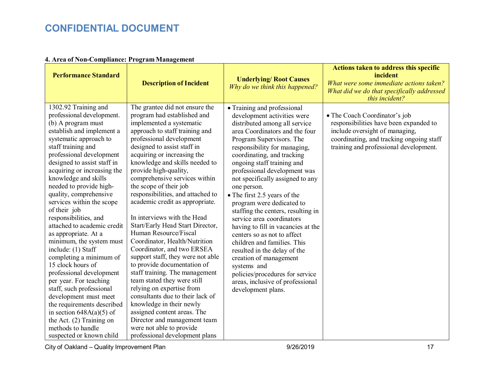| <b>Performance Standard</b>                                                                                                                                                                                                                                                                                                                                                                                                                                                                                                                                                                                                                                                                                                                                                                                      | <b>Description of Incident</b>                                                                                                                                                                                                                                                                                                                                                                                                                                                                                                                                                                                                                                                                                                                                                                                                                                                                                                                | <b>Underlying/ Root Causes</b><br>Why do we think this happened?                                                                                                                                                                                                                                                                                                                                                                                                                                                                                                                                                                                                                                                                                   | <b>Actions taken to address this specific</b><br>incident<br>What were some immediate actions taken?<br>What did we do that specifically addressed<br>this incident?                            |
|------------------------------------------------------------------------------------------------------------------------------------------------------------------------------------------------------------------------------------------------------------------------------------------------------------------------------------------------------------------------------------------------------------------------------------------------------------------------------------------------------------------------------------------------------------------------------------------------------------------------------------------------------------------------------------------------------------------------------------------------------------------------------------------------------------------|-----------------------------------------------------------------------------------------------------------------------------------------------------------------------------------------------------------------------------------------------------------------------------------------------------------------------------------------------------------------------------------------------------------------------------------------------------------------------------------------------------------------------------------------------------------------------------------------------------------------------------------------------------------------------------------------------------------------------------------------------------------------------------------------------------------------------------------------------------------------------------------------------------------------------------------------------|----------------------------------------------------------------------------------------------------------------------------------------------------------------------------------------------------------------------------------------------------------------------------------------------------------------------------------------------------------------------------------------------------------------------------------------------------------------------------------------------------------------------------------------------------------------------------------------------------------------------------------------------------------------------------------------------------------------------------------------------------|-------------------------------------------------------------------------------------------------------------------------------------------------------------------------------------------------|
| 1302.92 Training and<br>professional development.<br>(b) A program must<br>establish and implement a<br>systematic approach to<br>staff training and<br>professional development<br>designed to assist staff in<br>acquiring or increasing the<br>knowledge and skills<br>needed to provide high-<br>quality, comprehensive<br>services within the scope<br>of their job<br>responsibilities, and<br>attached to academic credit<br>as appropriate. At a<br>minimum, the system must<br>include: (1) Staff<br>completing a minimum of<br>15 clock hours of<br>professional development<br>per year. For teaching<br>staff, such professional<br>development must meet<br>the requirements described<br>in section $648A(a)(5)$ of<br>the Act. $(2)$ Training on<br>methods to handle<br>suspected or known child | The grantee did not ensure the<br>program had established and<br>implemented a systematic<br>approach to staff training and<br>professional development<br>designed to assist staff in<br>acquiring or increasing the<br>knowledge and skills needed to<br>provide high-quality,<br>comprehensive services within<br>the scope of their job<br>responsibilities, and attached to<br>academic credit as appropriate.<br>In interviews with the Head<br>Start/Early Head Start Director,<br>Human Resource/Fiscal<br>Coordinator, Health/Nutrition<br>Coordinator, and two ERSEA<br>support staff, they were not able<br>to provide documentation of<br>staff training. The management<br>team stated they were still<br>relying on expertise from<br>consultants due to their lack of<br>knowledge in their newly<br>assigned content areas. The<br>Director and management team<br>were not able to provide<br>professional development plans | • Training and professional<br>development activities were<br>distributed among all service<br>area Coordinators and the four<br>Program Supervisors. The<br>responsibility for managing,<br>coordinating, and tracking<br>ongoing staff training and<br>professional development was<br>not specifically assigned to any<br>one person.<br>• The first 2.5 years of the<br>program were dedicated to<br>staffing the centers, resulting in<br>service area coordinators<br>having to fill in vacancies at the<br>centers so as not to affect<br>children and families. This<br>resulted in the delay of the<br>creation of management<br>systems and<br>policies/procedures for service<br>areas, inclusive of professional<br>development plans. | • The Coach Coordinator's job<br>responsibilities have been expanded to<br>include oversight of managing,<br>coordinating, and tracking ongoing staff<br>training and professional development. |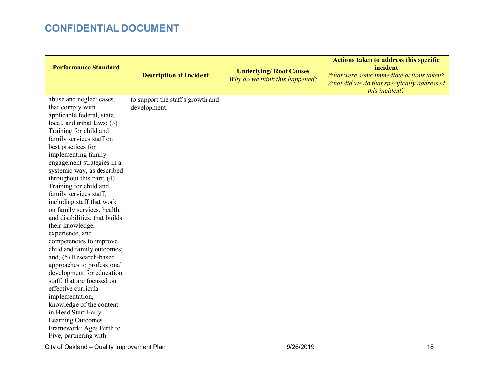| <b>Performance Standard</b>                                                                                                                                                                                                                                                                                                                                                                                                                                                                                                                              | <b>Description of Incident</b>                    | <b>Underlying/ Root Causes</b><br>Why do we think this happened? | <b>Actions taken to address this specific</b><br>incident<br>What were some immediate actions taken?<br>What did we do that specifically addressed<br>this incident? |
|----------------------------------------------------------------------------------------------------------------------------------------------------------------------------------------------------------------------------------------------------------------------------------------------------------------------------------------------------------------------------------------------------------------------------------------------------------------------------------------------------------------------------------------------------------|---------------------------------------------------|------------------------------------------------------------------|----------------------------------------------------------------------------------------------------------------------------------------------------------------------|
| abuse and neglect cases,<br>that comply with<br>applicable federal, state,<br>local, and tribal laws; (3)<br>Training for child and<br>family services staff on<br>best practices for<br>implementing family<br>engagement strategies in a<br>systemic way, as described<br>throughout this part; $(4)$<br>Training for child and<br>family services staff,<br>including staff that work<br>on family services, health,<br>and disabilities, that builds<br>their knowledge,<br>experience, and<br>competencies to improve<br>child and family outcomes; | to support the staff's growth and<br>development. |                                                                  |                                                                                                                                                                      |
| and, (5) Research-based<br>approaches to professional<br>development for education<br>staff, that are focused on<br>effective curricula<br>implementation,<br>knowledge of the content<br>in Head Start Early<br>Learning Outcomes<br>Framework: Ages Birth to<br>Five, partnering with                                                                                                                                                                                                                                                                  |                                                   |                                                                  |                                                                                                                                                                      |

City of Oakland – Quality Improvement Plan and the City of Oakland – Quality Improvement Plan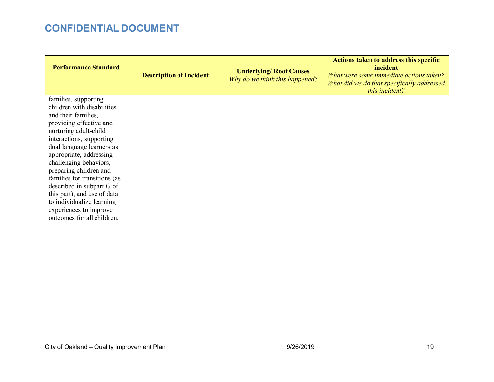| <b>Performance Standard</b>                                                                                                   | <b>Description of Incident</b> | <b>Underlying/ Root Causes</b><br>Why do we think this happened? | Actions taken to address this specific<br>incident<br>What were some immediate actions taken?<br>What did we do that specifically addressed<br>this incident? |
|-------------------------------------------------------------------------------------------------------------------------------|--------------------------------|------------------------------------------------------------------|---------------------------------------------------------------------------------------------------------------------------------------------------------------|
| families, supporting<br>children with disabilities<br>and their families,<br>providing effective and<br>nurturing adult-child |                                |                                                                  |                                                                                                                                                               |
| interactions, supporting<br>dual language learners as<br>appropriate, addressing                                              |                                |                                                                  |                                                                                                                                                               |
| challenging behaviors,<br>preparing children and<br>families for transitions (as<br>described in subpart G of                 |                                |                                                                  |                                                                                                                                                               |
| this part), and use of data<br>to individualize learning<br>experiences to improve<br>outcomes for all children.              |                                |                                                                  |                                                                                                                                                               |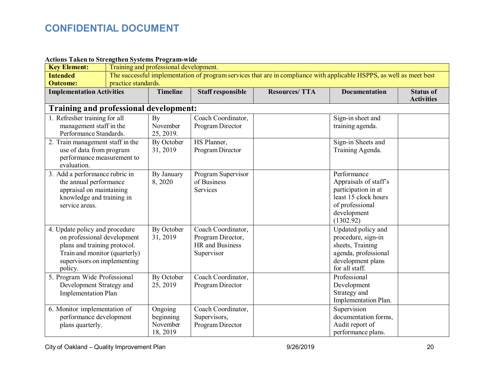| <b>Actions Taken to Strengthen Systems Program-wide</b> |                                                                                                                      |                 |                          |                      |                       |                                       |
|---------------------------------------------------------|----------------------------------------------------------------------------------------------------------------------|-----------------|--------------------------|----------------------|-----------------------|---------------------------------------|
| <b>Key Element:</b>                                     | Training and professional development.                                                                               |                 |                          |                      |                       |                                       |
| <b>Intended</b>                                         | The successful implementation of program services that are in compliance with applicable HSPPS, as well as meet best |                 |                          |                      |                       |                                       |
| <b>Outcome:</b>                                         | practice standards.                                                                                                  |                 |                          |                      |                       |                                       |
| <b>Implementation Activities</b>                        |                                                                                                                      | <b>Timeline</b> | <b>Staff responsible</b> | <b>Resources/TTA</b> | <b>Documentation</b>  | <b>Status of</b><br><b>Activities</b> |
| Training and professional development:                  |                                                                                                                      |                 |                          |                      |                       |                                       |
| 1. Refresher training for all                           |                                                                                                                      | By              | Coach Coordinator,       |                      | Sign-in sheet and     |                                       |
| management staff in the                                 |                                                                                                                      | November        | Program Director         |                      | training agenda.      |                                       |
| Performance Standards.                                  |                                                                                                                      | 25, 2019.       |                          |                      |                       |                                       |
| 2. Train management staff in the                        |                                                                                                                      | By October      | HS Planner,              |                      | Sign-in Sheets and    |                                       |
| use of data from program                                |                                                                                                                      | 31, 2019        | Program Director         |                      | Training Agenda.      |                                       |
| performance measurement to                              |                                                                                                                      |                 |                          |                      |                       |                                       |
| evaluation.                                             |                                                                                                                      |                 |                          |                      |                       |                                       |
| 3. Add a performance rubric in                          |                                                                                                                      | By January      | Program Supervisor       |                      | Performance           |                                       |
| the annual performance                                  |                                                                                                                      | 8,2020          | of Business              |                      | Appraisals of staff's |                                       |
| appraisal on maintaining                                |                                                                                                                      |                 | Services                 |                      | participation in at   |                                       |
| knowledge and training in                               |                                                                                                                      |                 |                          |                      | least 15 clock hours  |                                       |
| service areas.                                          |                                                                                                                      |                 |                          |                      | of professional       |                                       |
|                                                         |                                                                                                                      |                 |                          |                      | development           |                                       |
|                                                         |                                                                                                                      |                 |                          |                      | (1302.92)             |                                       |
| 4. Update policy and procedure                          |                                                                                                                      | By October      | Coach Coordinator,       |                      | Updated policy and    |                                       |
| on professional development                             |                                                                                                                      | 31, 2019        | Program Director,        |                      | procedure, sign-in    |                                       |
| plans and training protocol.                            |                                                                                                                      |                 | HR and Business          |                      | sheets, Training      |                                       |
| Train and monitor (quarterly)                           |                                                                                                                      |                 | Supervisor               |                      | agenda, professional  |                                       |
| supervisors on implementing                             |                                                                                                                      |                 |                          |                      | development plans     |                                       |
| policy.                                                 |                                                                                                                      |                 |                          |                      | for all staff.        |                                       |
| 5. Program Wide Professional                            |                                                                                                                      | By October      | Coach Coordinator,       |                      | Professional          |                                       |
| Development Strategy and                                |                                                                                                                      | 25, 2019        | Program Director         |                      | Development           |                                       |
| <b>Implementation Plan</b>                              |                                                                                                                      |                 |                          |                      | Strategy and          |                                       |
|                                                         |                                                                                                                      |                 |                          |                      | Implementation Plan.  |                                       |
| 6. Monitor implementation of                            |                                                                                                                      | Ongoing         | Coach Coordinator,       |                      | Supervision           |                                       |
| performance development                                 |                                                                                                                      | beginning       | Supervisors,             |                      | documentation forms,  |                                       |
| plans quarterly.                                        |                                                                                                                      | November        | Program Director         |                      | Audit report of       |                                       |
|                                                         |                                                                                                                      | 18, 2019        |                          |                      | performance plans.    |                                       |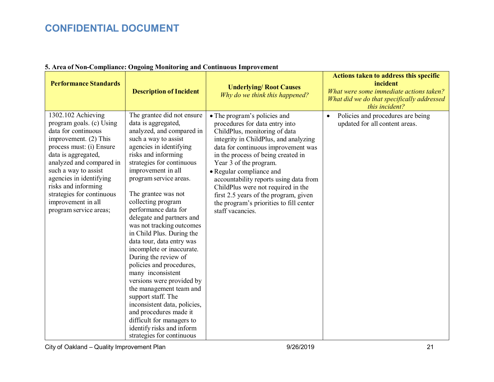| <b>Performance Standards</b>                                                                                                                                                                                                                                                                                                         | $\frac{1}{2}$<br><b>Description of Incident</b>                                                                                                                                                                                                                                                                                                                                                                                                                                                                                                                                                                                                                                                                                                                     | <b>Underlying/ Root Causes</b><br>Why do we think this happened?                                                                                                                                                                                                                                                                                                                                                                                                    | <b>Actions taken to address this specific</b><br>incident<br>What were some immediate actions taken?<br>What did we do that specifically addressed<br>this incident? |
|--------------------------------------------------------------------------------------------------------------------------------------------------------------------------------------------------------------------------------------------------------------------------------------------------------------------------------------|---------------------------------------------------------------------------------------------------------------------------------------------------------------------------------------------------------------------------------------------------------------------------------------------------------------------------------------------------------------------------------------------------------------------------------------------------------------------------------------------------------------------------------------------------------------------------------------------------------------------------------------------------------------------------------------------------------------------------------------------------------------------|---------------------------------------------------------------------------------------------------------------------------------------------------------------------------------------------------------------------------------------------------------------------------------------------------------------------------------------------------------------------------------------------------------------------------------------------------------------------|----------------------------------------------------------------------------------------------------------------------------------------------------------------------|
| 1302.102 Achieving<br>program goals. (c) Using<br>data for continuous<br>improvement. (2) This<br>process must: (i) Ensure<br>data is aggregated,<br>analyzed and compared in<br>such a way to assist<br>agencies in identifying<br>risks and informing<br>strategies for continuous<br>improvement in all<br>program service areas; | The grantee did not ensure<br>data is aggregated,<br>analyzed, and compared in<br>such a way to assist<br>agencies in identifying<br>risks and informing<br>strategies for continuous<br>improvement in all<br>program service areas.<br>The grantee was not<br>collecting program<br>performance data for<br>delegate and partners and<br>was not tracking outcomes<br>in Child Plus. During the<br>data tour, data entry was<br>incomplete or inaccurate.<br>During the review of<br>policies and procedures,<br>many inconsistent<br>versions were provided by<br>the management team and<br>support staff. The<br>inconsistent data, policies,<br>and procedures made it<br>difficult for managers to<br>identify risks and inform<br>strategies for continuous | • The program's policies and<br>procedures for data entry into<br>ChildPlus, monitoring of data<br>integrity in ChildPlus, and analyzing<br>data for continuous improvement was<br>in the process of being created in<br>Year 3 of the program.<br>• Regular compliance and<br>accountability reports using data from<br>ChildPlus were not required in the<br>first 2.5 years of the program, given<br>the program's priorities to fill center<br>staff vacancies. | Policies and procedures are being<br>$\bullet$<br>updated for all content areas.                                                                                     |

### **5. Area of Non-Compliance: Ongoing Monitoring and Continuous Improvement**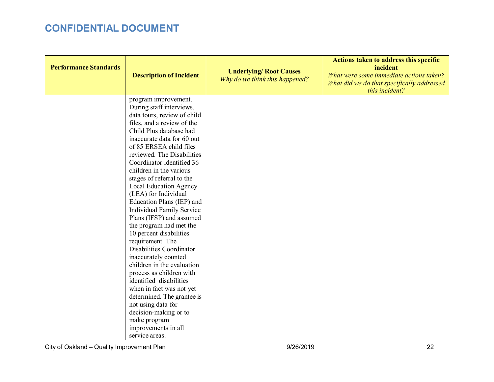| <b>Performance Standards</b> | <b>Description of Incident</b>                                                                                                                                                                                                                                                                                                                                                                                                                                                                                                                                                                                                                                                         | <b>Underlying/ Root Causes</b><br>Why do we think this happened? | Actions taken to address this specific<br>incident<br>What were some immediate actions taken?<br>What did we do that specifically addressed<br>this incident? |
|------------------------------|----------------------------------------------------------------------------------------------------------------------------------------------------------------------------------------------------------------------------------------------------------------------------------------------------------------------------------------------------------------------------------------------------------------------------------------------------------------------------------------------------------------------------------------------------------------------------------------------------------------------------------------------------------------------------------------|------------------------------------------------------------------|---------------------------------------------------------------------------------------------------------------------------------------------------------------|
|                              | program improvement.<br>During staff interviews,<br>data tours, review of child<br>files, and a review of the<br>Child Plus database had<br>inaccurate data for 60 out<br>of 85 ERSEA child files<br>reviewed. The Disabilities<br>Coordinator identified 36<br>children in the various<br>stages of referral to the<br>Local Education Agency<br>(LEA) for Individual<br>Education Plans (IEP) and<br><b>Individual Family Service</b><br>Plans (IFSP) and assumed<br>the program had met the<br>10 percent disabilities<br>requirement. The<br>Disabilities Coordinator<br>inaccurately counted<br>children in the evaluation<br>process as children with<br>identified disabilities |                                                                  |                                                                                                                                                               |
|                              | when in fact was not yet<br>determined. The grantee is<br>not using data for<br>decision-making or to<br>make program<br>improvements in all<br>service areas.                                                                                                                                                                                                                                                                                                                                                                                                                                                                                                                         |                                                                  |                                                                                                                                                               |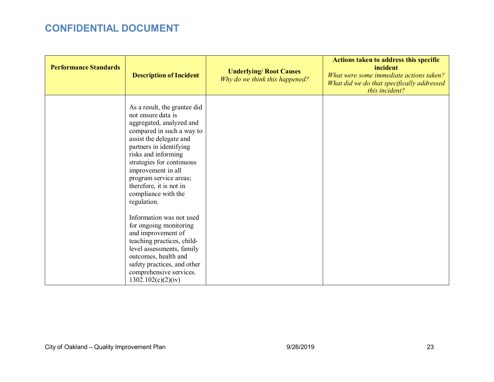| <b>Performance Standards</b> | <b>Description of Incident</b>                                                                                                                                                                                                                                                                                                         | <b>Underlying/ Root Causes</b><br>Why do we think this happened? | <b>Actions taken to address this specific</b><br>incident<br>What were some immediate actions taken?<br>What did we do that specifically addressed<br>this incident? |
|------------------------------|----------------------------------------------------------------------------------------------------------------------------------------------------------------------------------------------------------------------------------------------------------------------------------------------------------------------------------------|------------------------------------------------------------------|----------------------------------------------------------------------------------------------------------------------------------------------------------------------|
|                              | As a result, the grantee did<br>not ensure data is<br>aggregated, analyzed and<br>compared in such a way to<br>assist the delegate and<br>partners in identifying<br>risks and informing<br>strategies for continuous<br>improvement in all<br>program service areas;<br>therefore, it is not in<br>compliance with the<br>regulation. |                                                                  |                                                                                                                                                                      |
|                              | Information was not used<br>for ongoing monitoring<br>and improvement of<br>teaching practices, child-<br>level assessments, family<br>outcomes, health and<br>safety practices, and other<br>comprehensive services.<br>1302.102(c)(2)(iv)                                                                                            |                                                                  |                                                                                                                                                                      |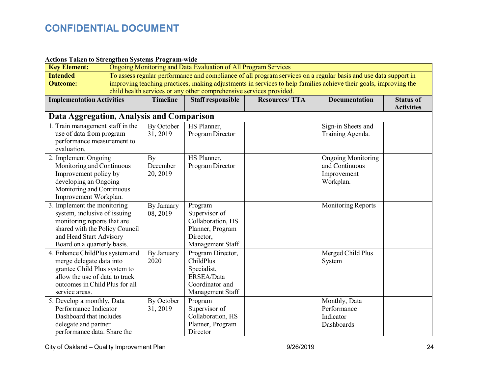### **Actions Taken to Strengthen Systems Program-wide**

| <b>Key Element:</b>                                                                                                                                                                    | Ongoing Monitoring and Data Evaluation of All Program Services                                                  |                                                                                                                                                                                         |                                                                                                    |                      |                                                                         |                                       |
|----------------------------------------------------------------------------------------------------------------------------------------------------------------------------------------|-----------------------------------------------------------------------------------------------------------------|-----------------------------------------------------------------------------------------------------------------------------------------------------------------------------------------|----------------------------------------------------------------------------------------------------|----------------------|-------------------------------------------------------------------------|---------------------------------------|
| <b>Intended</b>                                                                                                                                                                        | To assess regular performance and compliance of all program services on a regular basis and use data support in |                                                                                                                                                                                         |                                                                                                    |                      |                                                                         |                                       |
| <b>Outcome:</b>                                                                                                                                                                        |                                                                                                                 | improving teaching practices, making adjustments in services to help families achieve their goals, improving the<br>child health services or any other comprehensive services provided. |                                                                                                    |                      |                                                                         |                                       |
| <b>Implementation Activities</b>                                                                                                                                                       |                                                                                                                 | <b>Timeline</b>                                                                                                                                                                         | <b>Staff responsible</b>                                                                           | <b>Resources/TTA</b> | <b>Documentation</b>                                                    | <b>Status of</b><br><b>Activities</b> |
| Data Aggregation, Analysis and Comparison                                                                                                                                              |                                                                                                                 |                                                                                                                                                                                         |                                                                                                    |                      |                                                                         |                                       |
| 1. Train management staff in the<br>use of data from program<br>performance measurement to<br>evaluation.                                                                              |                                                                                                                 | By October<br>31, 2019                                                                                                                                                                  | HS Planner,<br>Program Director                                                                    |                      | Sign-in Sheets and<br>Training Agenda.                                  |                                       |
| 2. Implement Ongoing<br>Monitoring and Continuous<br>Improvement policy by<br>developing an Ongoing<br>Monitoring and Continuous<br>Improvement Workplan.                              |                                                                                                                 | By<br>December<br>20, 2019                                                                                                                                                              | HS Planner,<br>Program Director                                                                    |                      | <b>Ongoing Monitoring</b><br>and Continuous<br>Improvement<br>Workplan. |                                       |
| 3. Implement the monitoring<br>system, inclusive of issuing<br>monitoring reports that are<br>shared with the Policy Council<br>and Head Start Advisory<br>Board on a quarterly basis. |                                                                                                                 | By January<br>08, 2019                                                                                                                                                                  | Program<br>Supervisor of<br>Collaboration, HS<br>Planner, Program<br>Director,<br>Management Staff |                      | Monitoring Reports                                                      |                                       |
| 4. Enhance ChildPlus system and<br>merge delegate data into<br>grantee Child Plus system to<br>allow the use of data to track<br>outcomes in Child Plus for all<br>service areas.      |                                                                                                                 | By January<br>2020                                                                                                                                                                      | Program Director,<br>ChildPlus<br>Specialist,<br>ERSEA/Data<br>Coordinator and<br>Management Staff |                      | Merged Child Plus<br>System                                             |                                       |
| 5. Develop a monthly, Data<br>Performance Indicator<br>Dashboard that includes<br>delegate and partner<br>performance data. Share the                                                  |                                                                                                                 | By October<br>31, 2019                                                                                                                                                                  | Program<br>Supervisor of<br>Collaboration, HS<br>Planner, Program<br>Director                      |                      | Monthly, Data<br>Performance<br>Indicator<br>Dashboards                 |                                       |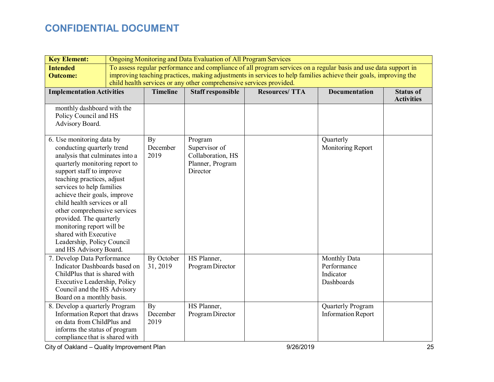| <b>Key Element:</b>                                                                                                                                                                                                                                                                                                                                                                                                                                          | Ongoing Monitoring and Data Evaluation of All Program Services |                                                                                                                                                                                                                                                                                                            |                                                                               |                      |                                                        |                                       |  |
|--------------------------------------------------------------------------------------------------------------------------------------------------------------------------------------------------------------------------------------------------------------------------------------------------------------------------------------------------------------------------------------------------------------------------------------------------------------|----------------------------------------------------------------|------------------------------------------------------------------------------------------------------------------------------------------------------------------------------------------------------------------------------------------------------------------------------------------------------------|-------------------------------------------------------------------------------|----------------------|--------------------------------------------------------|---------------------------------------|--|
| <b>Intended</b><br><b>Outcome:</b>                                                                                                                                                                                                                                                                                                                                                                                                                           |                                                                | To assess regular performance and compliance of all program services on a regular basis and use data support in<br>improving teaching practices, making adjustments in services to help families achieve their goals, improving the<br>child health services or any other comprehensive services provided. |                                                                               |                      |                                                        |                                       |  |
| <b>Implementation Activities</b>                                                                                                                                                                                                                                                                                                                                                                                                                             |                                                                | <b>Timeline</b>                                                                                                                                                                                                                                                                                            | <b>Staff responsible</b>                                                      | <b>Resources/TTA</b> | <b>Documentation</b>                                   | <b>Status of</b><br><b>Activities</b> |  |
| monthly dashboard with the<br>Policy Council and HS<br>Advisory Board.                                                                                                                                                                                                                                                                                                                                                                                       |                                                                |                                                                                                                                                                                                                                                                                                            |                                                                               |                      |                                                        |                                       |  |
| 6. Use monitoring data by<br>conducting quarterly trend<br>analysis that culminates into a<br>quarterly monitoring report to<br>support staff to improve<br>teaching practices, adjust<br>services to help families<br>achieve their goals, improve<br>child health services or all<br>other comprehensive services<br>provided. The quarterly<br>monitoring report will be<br>shared with Executive<br>Leadership, Policy Council<br>and HS Advisory Board. |                                                                | By<br>December<br>2019                                                                                                                                                                                                                                                                                     | Program<br>Supervisor of<br>Collaboration, HS<br>Planner, Program<br>Director |                      | Quarterly<br>Monitoring Report                         |                                       |  |
| 7. Develop Data Performance<br>Indicator Dashboards based on<br>ChildPlus that is shared with<br>Executive Leadership, Policy<br>Council and the HS Advisory<br>Board on a monthly basis.                                                                                                                                                                                                                                                                    |                                                                | By October<br>31, 2019                                                                                                                                                                                                                                                                                     | HS Planner,<br>Program Director                                               |                      | Monthly Data<br>Performance<br>Indicator<br>Dashboards |                                       |  |
| 8. Develop a quarterly Program<br>Information Report that draws<br>on data from ChildPlus and<br>informs the status of program<br>compliance that is shared with                                                                                                                                                                                                                                                                                             |                                                                | By<br>December<br>2019                                                                                                                                                                                                                                                                                     | HS Planner,<br>Program Director                                               |                      | Quarterly Program<br><b>Information Report</b>         |                                       |  |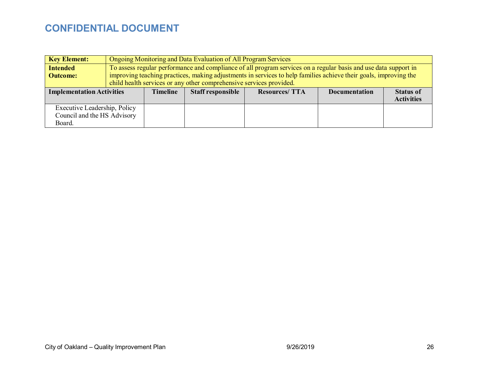| <b>Key Element:</b>                                                   |                                                                     | Ongoing Monitoring and Data Evaluation of All Program Services                                                   |                          |                                                                                                                 |                      |                                       |
|-----------------------------------------------------------------------|---------------------------------------------------------------------|------------------------------------------------------------------------------------------------------------------|--------------------------|-----------------------------------------------------------------------------------------------------------------|----------------------|---------------------------------------|
| <b>Intended</b>                                                       |                                                                     |                                                                                                                  |                          | To assess regular performance and compliance of all program services on a regular basis and use data support in |                      |                                       |
| <b>Outcome:</b>                                                       |                                                                     | improving teaching practices, making adjustments in services to help families achieve their goals, improving the |                          |                                                                                                                 |                      |                                       |
|                                                                       | child health services or any other comprehensive services provided. |                                                                                                                  |                          |                                                                                                                 |                      |                                       |
| <b>Implementation Activities</b>                                      |                                                                     | <b>Timeline</b>                                                                                                  | <b>Staff responsible</b> | <b>Resources/TTA</b>                                                                                            | <b>Documentation</b> | <b>Status of</b><br><b>Activities</b> |
| Executive Leadership, Policy<br>Council and the HS Advisory<br>Board. |                                                                     |                                                                                                                  |                          |                                                                                                                 |                      |                                       |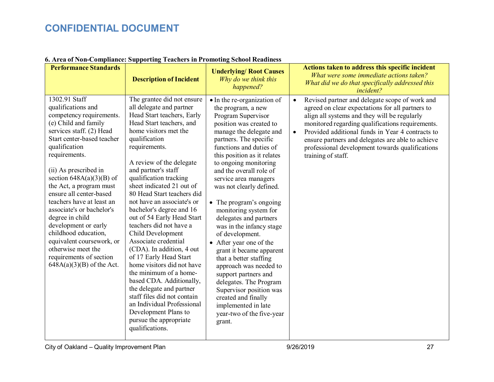| <b>Performance Standards</b>                                                                                                                                                                                                                                                                                                                                                                                                                                                                                                               | <b>Description of Incident</b>                                                                                                                                                                                                                                                                                                                                                                                                                                                                                                                                                                                                                                                                                                                                                               | <b>Underlying/ Root Causes</b><br>Why do we think this<br>happened?                                                                                                                                                                                                                                                                                                                                                                                                                                                                                                                                                                                                                                                                  | Actions taken to address this specific incident<br>What were some immediate actions taken?<br>What did we do that specifically addressed this<br>incident?                                                                                                                                                                                                                                                         |
|--------------------------------------------------------------------------------------------------------------------------------------------------------------------------------------------------------------------------------------------------------------------------------------------------------------------------------------------------------------------------------------------------------------------------------------------------------------------------------------------------------------------------------------------|----------------------------------------------------------------------------------------------------------------------------------------------------------------------------------------------------------------------------------------------------------------------------------------------------------------------------------------------------------------------------------------------------------------------------------------------------------------------------------------------------------------------------------------------------------------------------------------------------------------------------------------------------------------------------------------------------------------------------------------------------------------------------------------------|--------------------------------------------------------------------------------------------------------------------------------------------------------------------------------------------------------------------------------------------------------------------------------------------------------------------------------------------------------------------------------------------------------------------------------------------------------------------------------------------------------------------------------------------------------------------------------------------------------------------------------------------------------------------------------------------------------------------------------------|--------------------------------------------------------------------------------------------------------------------------------------------------------------------------------------------------------------------------------------------------------------------------------------------------------------------------------------------------------------------------------------------------------------------|
| 1302.91 Staff<br>qualifications and<br>competency requirements.<br>(e) Child and family<br>services staff. (2) Head<br>Start center-based teacher<br>qualification<br>requirements.<br>(ii) As prescribed in<br>section $648A(a)(3)(B)$ of<br>the Act, a program must<br>ensure all center-based<br>teachers have at least an<br>associate's or bachelor's<br>degree in child<br>development or early<br>childhood education,<br>equivalent coursework, or<br>otherwise meet the<br>requirements of section<br>$648A(a)(3)(B)$ of the Act. | The grantee did not ensure<br>all delegate and partner<br>Head Start teachers, Early<br>Head Start teachers, and<br>home visitors met the<br>qualification<br>requirements.<br>A review of the delegate<br>and partner's staff<br>qualification tracking<br>sheet indicated 21 out of<br>80 Head Start teachers did<br>not have an associate's or<br>bachelor's degree and 16<br>out of 54 Early Head Start<br>teachers did not have a<br>Child Development<br>Associate credential<br>(CDA). In addition, 4 out<br>of 17 Early Head Start<br>home visitors did not have<br>the minimum of a home-<br>based CDA. Additionally,<br>the delegate and partner<br>staff files did not contain<br>an Individual Professional<br>Development Plans to<br>pursue the appropriate<br>qualifications. | • In the re-organization of<br>the program, a new<br>Program Supervisor<br>position was created to<br>manage the delegate and<br>partners. The specific<br>functions and duties of<br>this position as it relates<br>to ongoing monitoring<br>and the overall role of<br>service area managers<br>was not clearly defined.<br>• The program's ongoing<br>monitoring system for<br>delegates and partners<br>was in the infancy stage<br>of development.<br>• After year one of the<br>grant it became apparent<br>that a better staffing<br>approach was needed to<br>support partners and<br>delegates. The Program<br>Supervisor position was<br>created and finally<br>implemented in late<br>year-two of the five-year<br>grant. | Revised partner and delegate scope of work and<br>$\bullet$<br>agreed on clear expectations for all partners to<br>align all systems and they will be regularly<br>monitored regarding qualifications requirements.<br>Provided additional funds in Year 4 contracts to<br>$\bullet$<br>ensure partners and delegates are able to achieve<br>professional development towards qualifications<br>training of staff. |

### **6. Area of Non-Compliance: Supporting Teachers in Promoting School Readiness**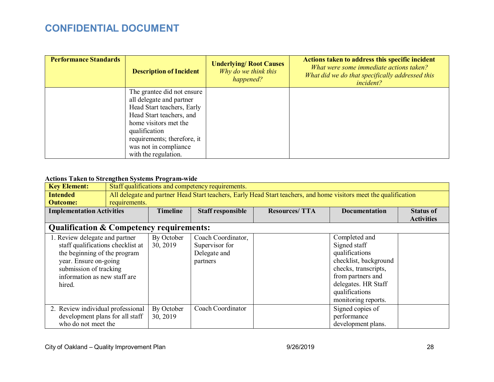| <b>Performance Standards</b> | <b>Description of Incident</b> | <b>Underlying/Root Causes</b><br>Why do we think this<br>happened? | Actions taken to address this specific incident<br>What were some immediate actions taken?<br>What did we do that specifically addressed this<br><i>incident?</i> |
|------------------------------|--------------------------------|--------------------------------------------------------------------|-------------------------------------------------------------------------------------------------------------------------------------------------------------------|
|                              | The grantee did not ensure     |                                                                    |                                                                                                                                                                   |
|                              | all delegate and partner       |                                                                    |                                                                                                                                                                   |
|                              | Head Start teachers, Early     |                                                                    |                                                                                                                                                                   |
|                              | Head Start teachers, and       |                                                                    |                                                                                                                                                                   |
|                              | home visitors met the          |                                                                    |                                                                                                                                                                   |
|                              | qualification                  |                                                                    |                                                                                                                                                                   |
|                              | requirements; therefore, it    |                                                                    |                                                                                                                                                                   |
|                              | was not in compliance          |                                                                    |                                                                                                                                                                   |
|                              | with the regulation.           |                                                                    |                                                                                                                                                                   |

### **Actions Taken to Strengthen Systems Program-wide**

| <b>Key Element:</b>                                 | Staff qualifications and competency requirements.                                                                 |                 |                          |                       |                       |                   |
|-----------------------------------------------------|-------------------------------------------------------------------------------------------------------------------|-----------------|--------------------------|-----------------------|-----------------------|-------------------|
| <b>Intended</b>                                     | All delegate and partner Head Start teachers, Early Head Start teachers, and home visitors meet the qualification |                 |                          |                       |                       |                   |
| <b>Outcome:</b>                                     | requirements.                                                                                                     |                 |                          |                       |                       |                   |
| <b>Implementation Activities</b>                    |                                                                                                                   | <b>Timeline</b> | <b>Staff responsible</b> | <b>Resources/ TTA</b> | <b>Documentation</b>  | <b>Status of</b>  |
|                                                     |                                                                                                                   |                 |                          |                       |                       | <b>Activities</b> |
| <b>Qualification &amp; Competency requirements:</b> |                                                                                                                   |                 |                          |                       |                       |                   |
| 1. Review delegate and partner                      |                                                                                                                   | By October      | Coach Coordinator,       |                       | Completed and         |                   |
| staff qualifications checklist at                   |                                                                                                                   | 30, 2019        | Supervisor for           |                       | Signed staff          |                   |
| the beginning of the program                        |                                                                                                                   |                 | Delegate and             |                       | qualifications        |                   |
| year. Ensure on-going                               |                                                                                                                   |                 | partners                 |                       | checklist, background |                   |
| submission of tracking                              |                                                                                                                   |                 |                          |                       | checks, transcripts,  |                   |
| information as new staff are                        |                                                                                                                   |                 |                          |                       | from partners and     |                   |
| hired.                                              |                                                                                                                   |                 |                          |                       | delegates. HR Staff   |                   |
|                                                     |                                                                                                                   |                 |                          |                       | qualifications        |                   |
|                                                     |                                                                                                                   |                 |                          |                       | monitoring reports.   |                   |
| 2. Review individual professional                   |                                                                                                                   | By October      | Coach Coordinator        |                       | Signed copies of      |                   |
| development plans for all staff                     |                                                                                                                   | 30, 2019        |                          |                       | performance           |                   |
| who do not meet the                                 |                                                                                                                   |                 |                          |                       | development plans.    |                   |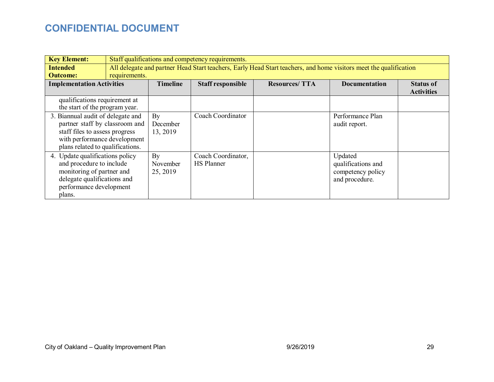| <b>Key Element:</b>                                                                                                                                                       | Staff qualifications and competency requirements. |                            |                                         |                                                                                                                   |                                                                      |  |
|---------------------------------------------------------------------------------------------------------------------------------------------------------------------------|---------------------------------------------------|----------------------------|-----------------------------------------|-------------------------------------------------------------------------------------------------------------------|----------------------------------------------------------------------|--|
| <b>Intended</b><br><b>Outcome:</b>                                                                                                                                        | requirements.                                     |                            |                                         | All delegate and partner Head Start teachers, Early Head Start teachers, and home visitors meet the qualification |                                                                      |  |
| <b>Timeline</b><br><b>Implementation Activities</b><br><b>Staff responsible</b>                                                                                           |                                                   |                            | <b>Resources/TTA</b>                    | <b>Documentation</b>                                                                                              | <b>Status of</b><br><b>Activities</b>                                |  |
| qualifications requirement at<br>the start of the program year.                                                                                                           |                                                   |                            |                                         |                                                                                                                   |                                                                      |  |
| 3. Biannual audit of delegate and<br>partner staff by classroom and<br>staff files to assess progress<br>with performance development<br>plans related to qualifications. |                                                   | By<br>December<br>13, 2019 | Coach Coordinator                       |                                                                                                                   | Performance Plan<br>audit report.                                    |  |
| 4. Update qualifications policy<br>and procedure to include<br>monitoring of partner and<br>delegate qualifications and<br>performance development<br>plans.              |                                                   | By<br>November<br>25, 2019 | Coach Coordinator,<br><b>HS</b> Planner |                                                                                                                   | Updated<br>qualifications and<br>competency policy<br>and procedure. |  |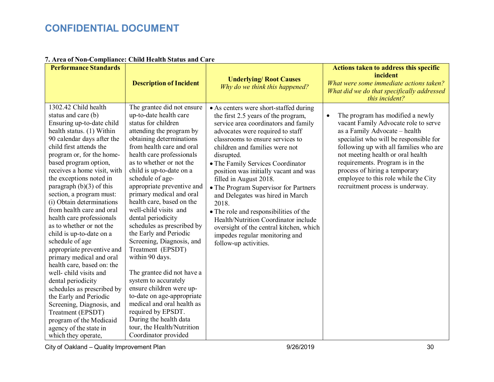| <b>Performance Standards</b>                                                                                                                                                                                                                                                                                                                                                                                                                                                                                                                                                                                                                                                                                                                                                                                                             | <b>Description of Incident</b>                                                                                                                                                                                                                                                                                                                                                                                                                                                                                                                                                                                                                                                                                                                                                                   | <b>Underlying/ Root Causes</b><br>Why do we think this happened?                                                                                                                                                                                                                                                                                                                                                                                                                                                                                                                                                                    | <b>Actions taken to address this specific</b><br>incident<br>What were some immediate actions taken?<br>What did we do that specifically addressed<br>this incident?                                                                                                                                                                                                                            |
|------------------------------------------------------------------------------------------------------------------------------------------------------------------------------------------------------------------------------------------------------------------------------------------------------------------------------------------------------------------------------------------------------------------------------------------------------------------------------------------------------------------------------------------------------------------------------------------------------------------------------------------------------------------------------------------------------------------------------------------------------------------------------------------------------------------------------------------|--------------------------------------------------------------------------------------------------------------------------------------------------------------------------------------------------------------------------------------------------------------------------------------------------------------------------------------------------------------------------------------------------------------------------------------------------------------------------------------------------------------------------------------------------------------------------------------------------------------------------------------------------------------------------------------------------------------------------------------------------------------------------------------------------|-------------------------------------------------------------------------------------------------------------------------------------------------------------------------------------------------------------------------------------------------------------------------------------------------------------------------------------------------------------------------------------------------------------------------------------------------------------------------------------------------------------------------------------------------------------------------------------------------------------------------------------|-------------------------------------------------------------------------------------------------------------------------------------------------------------------------------------------------------------------------------------------------------------------------------------------------------------------------------------------------------------------------------------------------|
| 1302.42 Child health<br>status and care (b)<br>Ensuring up-to-date child<br>health status. (1) Within<br>90 calendar days after the<br>child first attends the<br>program or, for the home-<br>based program option,<br>receives a home visit, with<br>the exceptions noted in<br>paragraph $(b)(3)$ of this<br>section, a program must:<br>(i) Obtain determinations<br>from health care and oral<br>health care professionals<br>as to whether or not the<br>child is up-to-date on a<br>schedule of age<br>appropriate preventive and<br>primary medical and oral<br>health care, based on: the<br>well- child visits and<br>dental periodicity<br>schedules as prescribed by<br>the Early and Periodic<br>Screening, Diagnosis, and<br>Treatment (EPSDT)<br>program of the Medicaid<br>agency of the state in<br>which they operate, | The grantee did not ensure<br>up-to-date health care<br>status for children<br>attending the program by<br>obtaining determinations<br>from health care and oral<br>health care professionals<br>as to whether or not the<br>child is up-to-date on a<br>schedule of age-<br>appropriate preventive and<br>primary medical and oral<br>health care, based on the<br>well-child visits and<br>dental periodicity<br>schedules as prescribed by<br>the Early and Periodic<br>Screening, Diagnosis, and<br>Treatment (EPSDT)<br>within 90 days.<br>The grantee did not have a<br>system to accurately<br>ensure children were up-<br>to-date on age-appropriate<br>medical and oral health as<br>required by EPSDT.<br>During the health data<br>tour, the Health/Nutrition<br>Coordinator provided | • As centers were short-staffed during<br>the first 2.5 years of the program,<br>service area coordinators and family<br>advocates were required to staff<br>classrooms to ensure services to<br>children and families were not<br>disrupted.<br>• The Family Services Coordinator<br>position was initially vacant and was<br>filled in August 2018.<br>• The Program Supervisor for Partners<br>and Delegates was hired in March<br>2018.<br>• The role and responsibilities of the<br>Health/Nutrition Coordinator include<br>oversight of the central kitchen, which<br>impedes regular monitoring and<br>follow-up activities. | The program has modified a newly<br>$\bullet$<br>vacant Family Advocate role to serve<br>as a Family Advocate - health<br>specialist who will be responsible for<br>following up with all families who are<br>not meeting health or oral health<br>requirements. Program is in the<br>process of hiring a temporary<br>employee to this role while the City<br>recruitment process is underway. |

### **7. Area of Non-Compliance: Child Health Status and Care**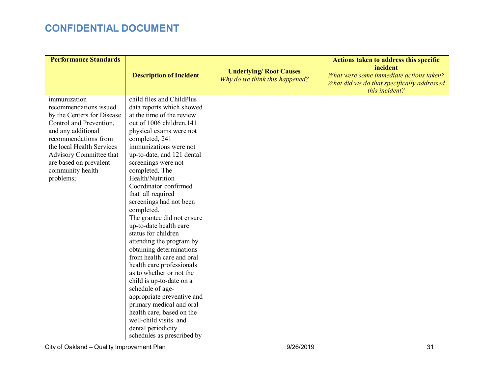| <b>Performance Standards</b>                                                                                                                                                                                                                                     |                                                                                                                                                                                                                                                                                                                                                                                                                                                                                                                                                                                                                                                                                                                                                                                                                            |                                                                  | Actions taken to address this specific                                                                              |
|------------------------------------------------------------------------------------------------------------------------------------------------------------------------------------------------------------------------------------------------------------------|----------------------------------------------------------------------------------------------------------------------------------------------------------------------------------------------------------------------------------------------------------------------------------------------------------------------------------------------------------------------------------------------------------------------------------------------------------------------------------------------------------------------------------------------------------------------------------------------------------------------------------------------------------------------------------------------------------------------------------------------------------------------------------------------------------------------------|------------------------------------------------------------------|---------------------------------------------------------------------------------------------------------------------|
|                                                                                                                                                                                                                                                                  | <b>Description of Incident</b>                                                                                                                                                                                                                                                                                                                                                                                                                                                                                                                                                                                                                                                                                                                                                                                             | <b>Underlying/ Root Causes</b><br>Why do we think this happened? | incident<br>What were some immediate actions taken?<br>What did we do that specifically addressed<br>this incident? |
| immunization<br>recommendations issued<br>by the Centers for Disease<br>Control and Prevention,<br>and any additional<br>recommendations from<br>the local Health Services<br>Advisory Committee that<br>are based on prevalent<br>community health<br>problems; | child files and ChildPlus<br>data reports which showed<br>at the time of the review<br>out of 1006 children, 141<br>physical exams were not<br>completed, 241<br>immunizations were not<br>up-to-date, and 121 dental<br>screenings were not<br>completed. The<br>Health/Nutrition<br>Coordinator confirmed<br>that all required<br>screenings had not been<br>completed.<br>The grantee did not ensure<br>up-to-date health care<br>status for children<br>attending the program by<br>obtaining determinations<br>from health care and oral<br>health care professionals<br>as to whether or not the<br>child is up-to-date on a<br>schedule of age-<br>appropriate preventive and<br>primary medical and oral<br>health care, based on the<br>well-child visits and<br>dental periodicity<br>schedules as prescribed by |                                                                  |                                                                                                                     |

City of Oakland – Quality Improvement Plan and the state of the state of 9/26/2019 31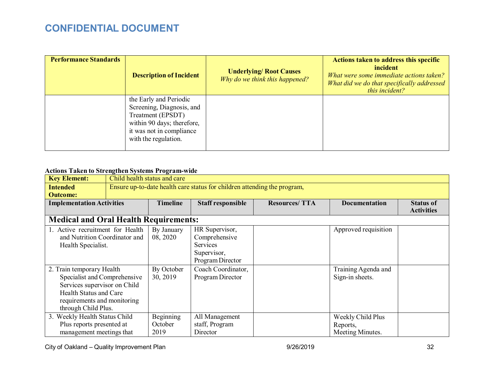| <b>Performance Standards</b> | <b>Description of Incident</b>                                                                                                                             | <b>Underlying/ Root Causes</b><br>Why do we think this happened? | Actions taken to address this specific<br>incident<br>What were some immediate actions taken?<br>What did we do that specifically addressed<br>this incident? |
|------------------------------|------------------------------------------------------------------------------------------------------------------------------------------------------------|------------------------------------------------------------------|---------------------------------------------------------------------------------------------------------------------------------------------------------------|
|                              | the Early and Periodic<br>Screening, Diagnosis, and<br>Treatment (EPSDT)<br>within 90 days; therefore,<br>it was not in compliance<br>with the regulation. |                                                                  |                                                                                                                                                               |

### **Actions Taken to Strengthen Systems Program-wide**

| <b>Key Element:</b>                                                                                                                                                       | Child health status and care |                                                                          |                                                                                       |                      |                                                   |                                       |
|---------------------------------------------------------------------------------------------------------------------------------------------------------------------------|------------------------------|--------------------------------------------------------------------------|---------------------------------------------------------------------------------------|----------------------|---------------------------------------------------|---------------------------------------|
| <b>Intended</b>                                                                                                                                                           |                              | Ensure up-to-date health care status for children attending the program, |                                                                                       |                      |                                                   |                                       |
| <b>Outcome:</b>                                                                                                                                                           |                              |                                                                          |                                                                                       |                      |                                                   |                                       |
| <b>Implementation Activities</b>                                                                                                                                          |                              | <b>Timeline</b>                                                          | <b>Staff responsible</b>                                                              | <b>Resources/TTA</b> | <b>Documentation</b>                              | <b>Status of</b><br><b>Activities</b> |
| <b>Medical and Oral Health Requirements:</b>                                                                                                                              |                              |                                                                          |                                                                                       |                      |                                                   |                                       |
| 1. Active recruitment for Health<br>and Nutrition Coordinator and<br>Health Specialist.                                                                                   |                              | By January<br>08, 2020                                                   | HR Supervisor,<br>Comprehensive<br><b>Services</b><br>Supervisor,<br>Program Director |                      | Approved requisition                              |                                       |
| 2. Train temporary Health<br>Specialist and Comprehensive<br>Services supervisor on Child<br>Health Status and Care<br>requirements and monitoring<br>through Child Plus. |                              | By October<br>30, 2019                                                   | Coach Coordinator,<br>Program Director                                                |                      | Training Agenda and<br>Sign-in sheets.            |                                       |
| 3. Weekly Health Status Child<br>Plus reports presented at<br>management meetings that                                                                                    |                              | Beginning<br>October<br>2019                                             | All Management<br>staff, Program<br>Director                                          |                      | Weekly Child Plus<br>Reports,<br>Meeting Minutes. |                                       |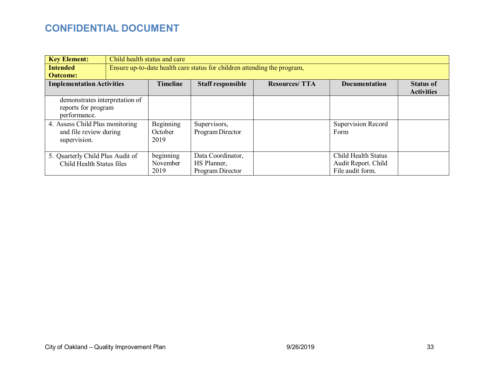| <b>Key Element:</b>              | Child health status and care |                                                                          |                      |                           |                   |
|----------------------------------|------------------------------|--------------------------------------------------------------------------|----------------------|---------------------------|-------------------|
| <b>Intended</b>                  |                              | Ensure up-to-date health care status for children attending the program, |                      |                           |                   |
| <b>Outcome:</b>                  |                              |                                                                          |                      |                           |                   |
| <b>Implementation Activities</b> | <b>Timeline</b>              | <b>Staff responsible</b>                                                 | <b>Resources/TTA</b> | <b>Documentation</b>      | <b>Status of</b>  |
|                                  |                              |                                                                          |                      |                           | <b>Activities</b> |
| demonstrates interpretation of   |                              |                                                                          |                      |                           |                   |
| reports for program              |                              |                                                                          |                      |                           |                   |
| performance.                     |                              |                                                                          |                      |                           |                   |
| 4. Assess Child Plus monitoring  | Beginning                    | Supervisors,                                                             |                      | <b>Supervision Record</b> |                   |
| and file review during           | October                      | Program Director                                                         |                      | Form                      |                   |
| supervision.                     | 2019                         |                                                                          |                      |                           |                   |
|                                  |                              |                                                                          |                      |                           |                   |
| 5. Quarterly Child Plus Audit of | beginning                    | Data Coordinator,                                                        |                      | Child Health Status       |                   |
|                                  |                              |                                                                          |                      |                           |                   |
| Child Health Status files        | November                     | HS Planner,                                                              |                      | Audit Report. Child       |                   |
|                                  | 2019                         | Program Director                                                         |                      | File audit form.          |                   |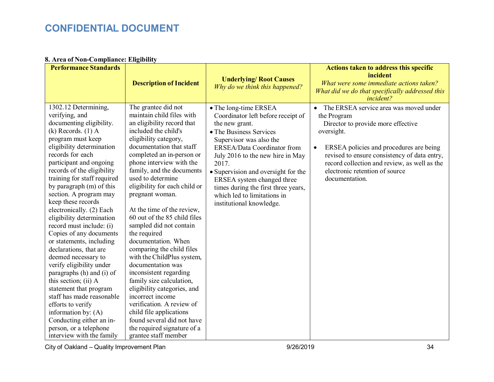#### **8. Area of Non-Compliance: Eligibility**

| <b>Performance Standards</b>                                                                                                                                                                                                                                                                                                                                                                                                                                                                                                                                                                                                                                                                                                                                                                                 |                                                                                                                                                                                                                                                                                                                                                                                                                                                                                                                                                                                                                                                                                                                                                                                                  |                                                                                                                                                                                                                                                                                                                                                                                        | <b>Actions taken to address this specific</b>                                                                                                                                                                                                                                                                                      |
|--------------------------------------------------------------------------------------------------------------------------------------------------------------------------------------------------------------------------------------------------------------------------------------------------------------------------------------------------------------------------------------------------------------------------------------------------------------------------------------------------------------------------------------------------------------------------------------------------------------------------------------------------------------------------------------------------------------------------------------------------------------------------------------------------------------|--------------------------------------------------------------------------------------------------------------------------------------------------------------------------------------------------------------------------------------------------------------------------------------------------------------------------------------------------------------------------------------------------------------------------------------------------------------------------------------------------------------------------------------------------------------------------------------------------------------------------------------------------------------------------------------------------------------------------------------------------------------------------------------------------|----------------------------------------------------------------------------------------------------------------------------------------------------------------------------------------------------------------------------------------------------------------------------------------------------------------------------------------------------------------------------------------|------------------------------------------------------------------------------------------------------------------------------------------------------------------------------------------------------------------------------------------------------------------------------------------------------------------------------------|
|                                                                                                                                                                                                                                                                                                                                                                                                                                                                                                                                                                                                                                                                                                                                                                                                              | <b>Description of Incident</b>                                                                                                                                                                                                                                                                                                                                                                                                                                                                                                                                                                                                                                                                                                                                                                   | <b>Underlying/ Root Causes</b><br>Why do we think this happened?                                                                                                                                                                                                                                                                                                                       | incident<br>What were some immediate actions taken?<br>What did we do that specifically addressed this<br>incident?                                                                                                                                                                                                                |
| 1302.12 Determining,<br>verifying, and<br>documenting eligibility.<br>$(k)$ Records. $(1)$ A<br>program must keep<br>eligibility determination<br>records for each<br>participant and ongoing<br>records of the eligibility<br>training for staff required<br>by paragraph (m) of this<br>section. A program may<br>keep these records<br>electronically. (2) Each<br>eligibility determination<br>record must include: (i)<br>Copies of any documents<br>or statements, including<br>declarations, that are<br>deemed necessary to<br>verify eligibility under<br>paragraphs (h) and (i) of<br>this section; (ii) A<br>statement that program<br>staff has made reasonable<br>efforts to verify<br>information by: $(A)$<br>Conducting either an in-<br>person, or a telephone<br>interview with the family | The grantee did not<br>maintain child files with<br>an eligibility record that<br>included the child's<br>eligibility category,<br>documentation that staff<br>completed an in-person or<br>phone interview with the<br>family, and the documents<br>used to determine<br>eligibility for each child or<br>pregnant woman.<br>At the time of the review,<br>60 out of the 85 child files<br>sampled did not contain<br>the required<br>documentation. When<br>comparing the child files<br>with the ChildPlus system,<br>documentation was<br>inconsistent regarding<br>family size calculation,<br>eligibility categories, and<br>incorrect income<br>verification. A review of<br>child file applications<br>found several did not have<br>the required signature of a<br>grantee staff member | • The long-time ERSEA<br>Coordinator left before receipt of<br>the new grant.<br>• The Business Services<br>Supervisor was also the<br>ERSEA/Data Coordinator from<br>July 2016 to the new hire in May<br>2017.<br>• Supervision and oversight for the<br>ERSEA system changed three<br>times during the first three years,<br>which led to limitations in<br>institutional knowledge. | The ERSEA service area was moved under<br>$\bullet$<br>the Program<br>Director to provide more effective<br>oversight.<br>ERSEA policies and procedures are being<br>$\bullet$<br>revised to ensure consistency of data entry,<br>record collection and review, as well as the<br>electronic retention of source<br>documentation. |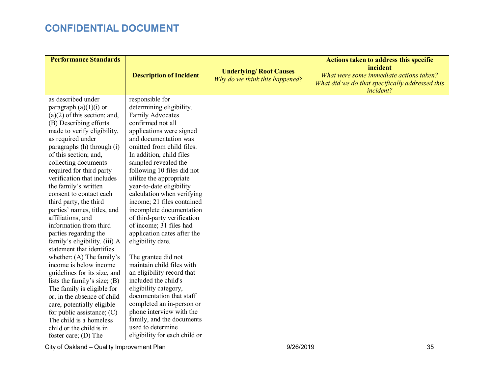| <b>Performance Standards</b>                               |                                                    |                                                                  | <b>Actions taken to address this specific</b>                                                                       |
|------------------------------------------------------------|----------------------------------------------------|------------------------------------------------------------------|---------------------------------------------------------------------------------------------------------------------|
|                                                            | <b>Description of Incident</b>                     | <b>Underlying/ Root Causes</b><br>Why do we think this happened? | incident<br>What were some immediate actions taken?<br>What did we do that specifically addressed this<br>incident? |
| as described under<br>paragraph $(a)(1)(i)$ or             | responsible for<br>determining eligibility.        |                                                                  |                                                                                                                     |
| $(a)(2)$ of this section; and,                             | Family Advocates                                   |                                                                  |                                                                                                                     |
| (B) Describing efforts                                     | confirmed not all                                  |                                                                  |                                                                                                                     |
| made to verify eligibility,                                | applications were signed                           |                                                                  |                                                                                                                     |
| as required under                                          | and documentation was<br>omitted from child files. |                                                                  |                                                                                                                     |
| paragraphs (h) through (i)<br>of this section; and,        | In addition, child files                           |                                                                  |                                                                                                                     |
| collecting documents                                       | sampled revealed the                               |                                                                  |                                                                                                                     |
| required for third party                                   | following 10 files did not                         |                                                                  |                                                                                                                     |
| verification that includes                                 | utilize the appropriate                            |                                                                  |                                                                                                                     |
| the family's written                                       | year-to-date eligibility                           |                                                                  |                                                                                                                     |
| consent to contact each                                    | calculation when verifying                         |                                                                  |                                                                                                                     |
| third party, the third                                     | income; 21 files contained                         |                                                                  |                                                                                                                     |
| parties' names, titles, and                                | incomplete documentation                           |                                                                  |                                                                                                                     |
| affiliations, and                                          | of third-party verification                        |                                                                  |                                                                                                                     |
| information from third                                     | of income; 31 files had                            |                                                                  |                                                                                                                     |
| parties regarding the                                      | application dates after the                        |                                                                  |                                                                                                                     |
| family's eligibility. (iii) A<br>statement that identifies | eligibility date.                                  |                                                                  |                                                                                                                     |
| whether: $(A)$ The family's                                | The grantee did not                                |                                                                  |                                                                                                                     |
| income is below income                                     | maintain child files with                          |                                                                  |                                                                                                                     |
| guidelines for its size, and                               | an eligibility record that                         |                                                                  |                                                                                                                     |
| lists the family's size; $(B)$                             | included the child's                               |                                                                  |                                                                                                                     |
| The family is eligible for                                 | eligibility category,                              |                                                                  |                                                                                                                     |
| or, in the absence of child                                | documentation that staff                           |                                                                  |                                                                                                                     |
| care, potentially eligible                                 | completed an in-person or                          |                                                                  |                                                                                                                     |
| for public assistance; $(C)$                               | phone interview with the                           |                                                                  |                                                                                                                     |
| The child is a homeless                                    | family, and the documents                          |                                                                  |                                                                                                                     |
| child or the child is in                                   | used to determine                                  |                                                                  |                                                                                                                     |
| foster care; $(D)$ The                                     | eligibility for each child or                      |                                                                  |                                                                                                                     |

City of Oakland – Quality Improvement Plan and the City of Oakland – Quality Improvement Plan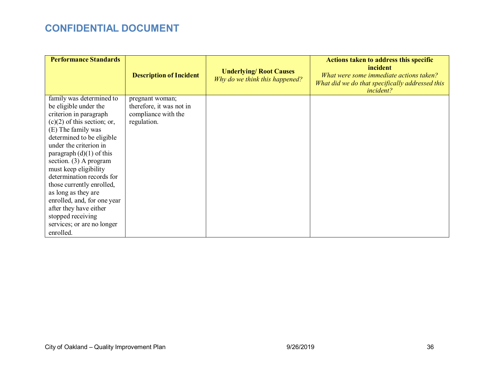| <b>Performance Standards</b>                                                                                                                                                                                                                                                                                                                                                                                                                                                         | <b>Description of Incident</b>                                                    | <b>Underlying/ Root Causes</b><br>Why do we think this happened? | Actions taken to address this specific<br>incident<br>What were some immediate actions taken?<br>What did we do that specifically addressed this<br><i>incident?</i> |
|--------------------------------------------------------------------------------------------------------------------------------------------------------------------------------------------------------------------------------------------------------------------------------------------------------------------------------------------------------------------------------------------------------------------------------------------------------------------------------------|-----------------------------------------------------------------------------------|------------------------------------------------------------------|----------------------------------------------------------------------------------------------------------------------------------------------------------------------|
| family was determined to<br>be eligible under the<br>criterion in paragraph<br>$(c)(2)$ of this section; or,<br>(E) The family was<br>determined to be eligible<br>under the criterion in<br>paragraph $(d)(1)$ of this<br>section. (3) A program<br>must keep eligibility<br>determination records for<br>those currently enrolled,<br>as long as they are<br>enrolled, and, for one year<br>after they have either<br>stopped receiving<br>services; or are no longer<br>enrolled. | pregnant woman;<br>therefore, it was not in<br>compliance with the<br>regulation. |                                                                  |                                                                                                                                                                      |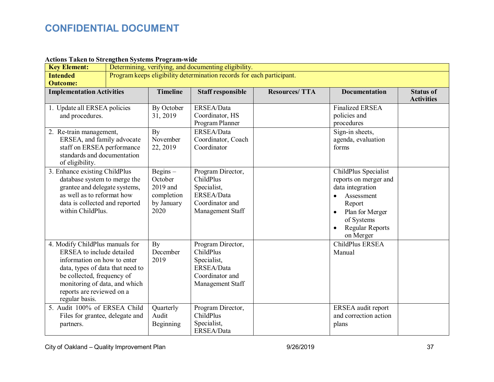#### **Actions Taken to Strengthen Systems Program-wide**

| <b>Key Element:</b>                                                                                                                                                                                                                           | Determining, verifying, and documenting eligibility. |                                                                       |                                                                                                    |                      |                                                                                                                                                                                             |                                       |
|-----------------------------------------------------------------------------------------------------------------------------------------------------------------------------------------------------------------------------------------------|------------------------------------------------------|-----------------------------------------------------------------------|----------------------------------------------------------------------------------------------------|----------------------|---------------------------------------------------------------------------------------------------------------------------------------------------------------------------------------------|---------------------------------------|
| <b>Intended</b>                                                                                                                                                                                                                               |                                                      |                                                                       | Program keeps eligibility determination records for each participant.                              |                      |                                                                                                                                                                                             |                                       |
| <b>Outcome:</b>                                                                                                                                                                                                                               |                                                      |                                                                       |                                                                                                    |                      |                                                                                                                                                                                             |                                       |
| <b>Implementation Activities</b>                                                                                                                                                                                                              |                                                      | <b>Timeline</b>                                                       | <b>Staff responsible</b>                                                                           | <b>Resources/TTA</b> | <b>Documentation</b>                                                                                                                                                                        | <b>Status of</b><br><b>Activities</b> |
| 1. Update all ERSEA policies<br>and procedures.                                                                                                                                                                                               |                                                      | By October<br>31, 2019                                                | ERSEA/Data<br>Coordinator, HS<br>Program Planner                                                   |                      | <b>Finalized ERSEA</b><br>policies and<br>procedures                                                                                                                                        |                                       |
| 2. Re-train management,<br>ERSEA, and family advocate<br>staff on ERSEA performance<br>standards and documentation<br>of eligibility.                                                                                                         |                                                      | By<br>November<br>22, 2019                                            | ERSEA/Data<br>Coordinator, Coach<br>Coordinator                                                    |                      | Sign-in sheets,<br>agenda, evaluation<br>forms                                                                                                                                              |                                       |
| 3. Enhance existing ChildPlus<br>database system to merge the<br>grantee and delegate systems,<br>as well as to reformat how<br>data is collected and reported<br>within ChildPlus.                                                           |                                                      | $Begins -$<br>October<br>2019 and<br>completion<br>by January<br>2020 | Program Director,<br>ChildPlus<br>Specialist,<br>ERSEA/Data<br>Coordinator and<br>Management Staff |                      | ChildPlus Specialist<br>reports on merger and<br>data integration<br>Assessment<br>$\bullet$<br>Report<br>Plan for Merger<br>of Systems<br><b>Regular Reports</b><br>$\bullet$<br>on Merger |                                       |
| 4. Modify ChildPlus manuals for<br>ERSEA to include detailed<br>information on how to enter<br>data, types of data that need to<br>be collected, frequency of<br>monitoring of data, and which<br>reports are reviewed on a<br>regular basis. |                                                      | By<br>December<br>2019                                                | Program Director,<br>ChildPlus<br>Specialist,<br>ERSEA/Data<br>Coordinator and<br>Management Staff |                      | ChildPlus ERSEA<br>Manual                                                                                                                                                                   |                                       |
| 5. Audit 100% of ERSEA Child<br>Files for grantee, delegate and<br>partners.                                                                                                                                                                  |                                                      | Quarterly<br>Audit<br>Beginning                                       | Program Director,<br>ChildPlus<br>Specialist,<br>ERSEA/Data                                        |                      | ERSEA audit report<br>and correction action<br>plans                                                                                                                                        |                                       |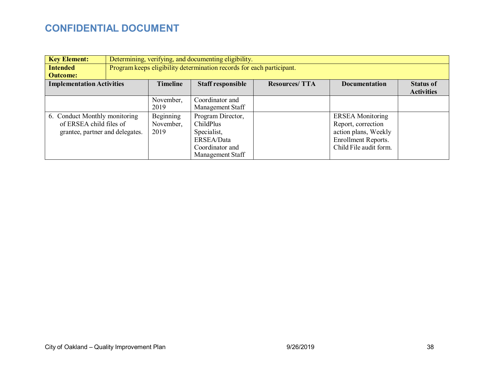| <b>Key Element:</b>              |  | Determining, verifying, and documenting eligibility. |                                                                       |                      |                         |                   |
|----------------------------------|--|------------------------------------------------------|-----------------------------------------------------------------------|----------------------|-------------------------|-------------------|
| <b>Intended</b>                  |  |                                                      | Program keeps eligibility determination records for each participant. |                      |                         |                   |
| <b>Outcome:</b>                  |  |                                                      |                                                                       |                      |                         |                   |
| <b>Implementation Activities</b> |  | <b>Timeline</b>                                      | <b>Staff responsible</b>                                              | <b>Resources/TTA</b> | <b>Documentation</b>    | <b>Status of</b>  |
|                                  |  |                                                      |                                                                       |                      |                         | <b>Activities</b> |
|                                  |  | November,                                            | Coordinator and                                                       |                      |                         |                   |
|                                  |  | 2019                                                 | Management Staff                                                      |                      |                         |                   |
| 6. Conduct Monthly monitoring    |  | Beginning                                            | Program Director,                                                     |                      | <b>ERSEA</b> Monitoring |                   |
| of ERSEA child files of          |  | November,                                            | ChildPlus                                                             |                      | Report, correction      |                   |
| grantee, partner and delegates.  |  | 2019                                                 | Specialist,                                                           |                      | action plans, Weekly    |                   |
|                                  |  |                                                      | ERSEA/Data                                                            |                      | Enrollment Reports.     |                   |
|                                  |  |                                                      | Coordinator and                                                       |                      | Child File audit form.  |                   |
|                                  |  |                                                      | Management Staff                                                      |                      |                         |                   |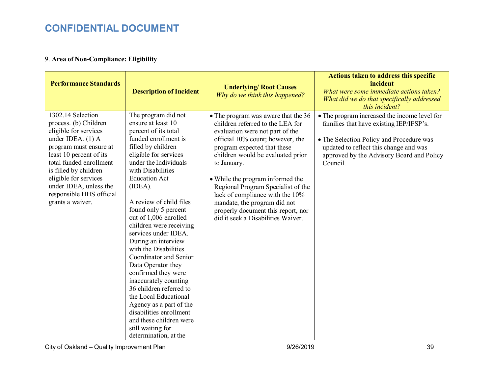### 9. **Area of Non-Compliance: Eligibility**

| <b>Performance Standards</b>                                                                                                                                                                                                                                                                         | <b>Description of Incident</b>                                                                                                                                                                                                                                                                                                                                                                                                                                                                                                                                                                                                                                                              | <b>Underlying/ Root Causes</b><br>Why do we think this happened?                                                                                                                                                                                                                                                                                                                                                                                           | <b>Actions taken to address this specific</b><br>incident<br>What were some immediate actions taken?<br>What did we do that specifically addressed<br>this incident?                                                                   |
|------------------------------------------------------------------------------------------------------------------------------------------------------------------------------------------------------------------------------------------------------------------------------------------------------|---------------------------------------------------------------------------------------------------------------------------------------------------------------------------------------------------------------------------------------------------------------------------------------------------------------------------------------------------------------------------------------------------------------------------------------------------------------------------------------------------------------------------------------------------------------------------------------------------------------------------------------------------------------------------------------------|------------------------------------------------------------------------------------------------------------------------------------------------------------------------------------------------------------------------------------------------------------------------------------------------------------------------------------------------------------------------------------------------------------------------------------------------------------|----------------------------------------------------------------------------------------------------------------------------------------------------------------------------------------------------------------------------------------|
| 1302.14 Selection<br>process. (b) Children<br>eligible for services<br>under IDEA. (1) A<br>program must ensure at<br>least 10 percent of its<br>total funded enrollment<br>is filled by children<br>eligible for services<br>under IDEA, unless the<br>responsible HHS official<br>grants a waiver. | The program did not<br>ensure at least 10<br>percent of its total<br>funded enrollment is<br>filled by children<br>eligible for services<br>under the Individuals<br>with Disabilities<br><b>Education Act</b><br>(IDEA).<br>A review of child files<br>found only 5 percent<br>out of 1,006 enrolled<br>children were receiving<br>services under IDEA.<br>During an interview<br>with the Disabilities<br>Coordinator and Senior<br>Data Operator they<br>confirmed they were<br>inaccurately counting<br>36 children referred to<br>the Local Educational<br>Agency as a part of the<br>disabilities enrollment<br>and these children were<br>still waiting for<br>determination, at the | • The program was aware that the 36<br>children referred to the LEA for<br>evaluation were not part of the<br>official 10% count; however, the<br>program expected that these<br>children would be evaluated prior<br>to January.<br>• While the program informed the<br>Regional Program Specialist of the<br>lack of compliance with the 10%<br>mandate, the program did not<br>properly document this report, nor<br>did it seek a Disabilities Waiver. | • The program increased the income level for<br>families that have existing IEP/IFSP's.<br>• The Selection Policy and Procedure was<br>updated to reflect this change and was<br>approved by the Advisory Board and Policy<br>Council. |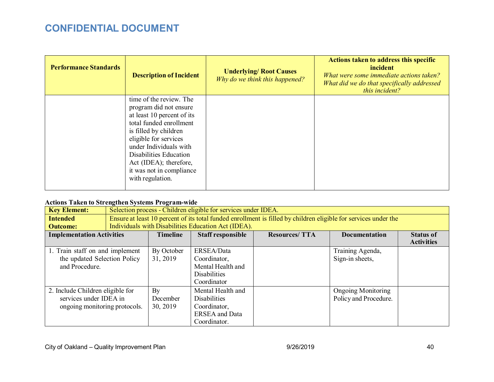| <b>Performance Standards</b> | <b>Description of Incident</b>                                                                                                                                                                                                                                         | <b>Underlying/ Root Causes</b><br>Why do we think this happened? | Actions taken to address this specific<br>incident<br>What were some immediate actions taken?<br>What did we do that specifically addressed<br>this incident? |
|------------------------------|------------------------------------------------------------------------------------------------------------------------------------------------------------------------------------------------------------------------------------------------------------------------|------------------------------------------------------------------|---------------------------------------------------------------------------------------------------------------------------------------------------------------|
|                              | time of the review. The<br>program did not ensure<br>at least 10 percent of its<br>total funded enrollment<br>is filled by children<br>eligible for services<br>under Individuals with<br>Disabilities Education<br>Act (IDEA); therefore,<br>it was not in compliance |                                                                  |                                                                                                                                                               |
|                              | with regulation.                                                                                                                                                                                                                                                       |                                                                  |                                                                                                                                                               |

### **Actions Taken to Strengthen Systems Program-wide**

| <b>Key Element:</b>              | Selection process - Children eligible for services under IDEA. |                                                                                                                 |                                                     |                      |                           |                   |
|----------------------------------|----------------------------------------------------------------|-----------------------------------------------------------------------------------------------------------------|-----------------------------------------------------|----------------------|---------------------------|-------------------|
| <b>Intended</b>                  |                                                                | Ensure at least 10 percent of its total funded enrollment is filled by children eligible for services under the |                                                     |                      |                           |                   |
| <b>Outcome:</b>                  |                                                                |                                                                                                                 | Individuals with Disabilities Education Act (IDEA). |                      |                           |                   |
| <b>Implementation Activities</b> |                                                                | <b>Timeline</b>                                                                                                 | <b>Staff responsible</b>                            | <b>Resources/TTA</b> | <b>Documentation</b>      | <b>Status of</b>  |
|                                  |                                                                |                                                                                                                 |                                                     |                      |                           | <b>Activities</b> |
| 1. Train staff on and implement  |                                                                | By October                                                                                                      | ERSEA/Data                                          |                      | Training Agenda,          |                   |
| the updated Selection Policy     |                                                                | 31, 2019                                                                                                        | Coordinator,                                        |                      | Sign-in sheets,           |                   |
| and Procedure.                   |                                                                |                                                                                                                 | Mental Health and                                   |                      |                           |                   |
|                                  |                                                                |                                                                                                                 | <b>Disabilities</b>                                 |                      |                           |                   |
|                                  |                                                                |                                                                                                                 | Coordinator                                         |                      |                           |                   |
| 2. Include Children eligible for |                                                                | By                                                                                                              | Mental Health and                                   |                      | <b>Ongoing Monitoring</b> |                   |
| services under IDEA in           |                                                                | December                                                                                                        | <b>Disabilities</b>                                 |                      | Policy and Procedure.     |                   |
| ongoing monitoring protocols.    |                                                                | 30, 2019                                                                                                        | Coordinator,                                        |                      |                           |                   |
|                                  |                                                                |                                                                                                                 | <b>ERSEA</b> and Data                               |                      |                           |                   |
|                                  |                                                                |                                                                                                                 | Coordinator.                                        |                      |                           |                   |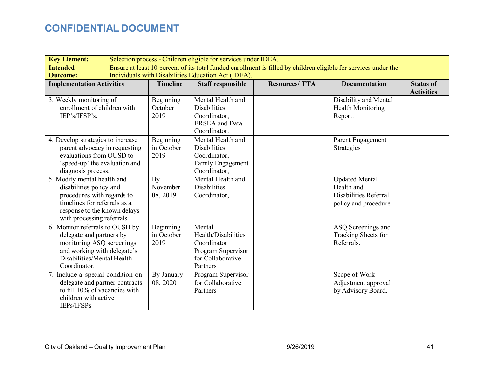| <b>Key Element:</b>                                        |                                                     | Selection process - Children eligible for services under IDEA. |                                       |                                                                                                                 |                       |                   |
|------------------------------------------------------------|-----------------------------------------------------|----------------------------------------------------------------|---------------------------------------|-----------------------------------------------------------------------------------------------------------------|-----------------------|-------------------|
| <b>Intended</b>                                            |                                                     |                                                                |                                       | Ensure at least 10 percent of its total funded enrollment is filled by children eligible for services under the |                       |                   |
| <b>Outcome:</b>                                            | Individuals with Disabilities Education Act (IDEA). |                                                                |                                       |                                                                                                                 |                       |                   |
| <b>Implementation Activities</b>                           |                                                     | <b>Timeline</b>                                                | <b>Staff responsible</b>              | <b>Resources/TTA</b>                                                                                            | <b>Documentation</b>  | <b>Status of</b>  |
|                                                            |                                                     |                                                                |                                       |                                                                                                                 |                       | <b>Activities</b> |
| 3. Weekly monitoring of<br>enrollment of children with     |                                                     | Beginning<br>October                                           | Mental Health and                     |                                                                                                                 | Disability and Mental |                   |
| IEP's/IFSP's.                                              |                                                     | 2019                                                           | <b>Disabilities</b>                   |                                                                                                                 | Health Monitoring     |                   |
|                                                            |                                                     |                                                                | Coordinator,<br><b>ERSEA</b> and Data |                                                                                                                 | Report.               |                   |
|                                                            |                                                     |                                                                | Coordinator.                          |                                                                                                                 |                       |                   |
| 4. Develop strategies to increase                          |                                                     | Beginning                                                      | Mental Health and                     |                                                                                                                 | Parent Engagement     |                   |
| parent advocacy in requesting                              |                                                     | in October                                                     | <b>Disabilities</b>                   |                                                                                                                 | Strategies            |                   |
| evaluations from OUSD to                                   |                                                     | 2019                                                           | Coordinator,                          |                                                                                                                 |                       |                   |
| 'speed-up' the evaluation and                              |                                                     |                                                                | Family Engagement                     |                                                                                                                 |                       |                   |
| diagnosis process.                                         |                                                     |                                                                | Coordinator,                          |                                                                                                                 |                       |                   |
| 5. Modify mental health and                                |                                                     | By                                                             | Mental Health and                     |                                                                                                                 | <b>Updated Mental</b> |                   |
| disabilities policy and                                    |                                                     | November                                                       | <b>Disabilities</b>                   |                                                                                                                 | Health and            |                   |
| procedures with regards to                                 |                                                     | 08, 2019                                                       | Coordinator,                          |                                                                                                                 | Disabilities Referral |                   |
| timelines for referrals as a                               |                                                     |                                                                |                                       |                                                                                                                 | policy and procedure. |                   |
| response to the known delays<br>with processing referrals. |                                                     |                                                                |                                       |                                                                                                                 |                       |                   |
| 6. Monitor referrals to OUSD by                            |                                                     | Beginning                                                      | Mental                                |                                                                                                                 | ASQ Screenings and    |                   |
| delegate and partners by                                   |                                                     | in October                                                     | Health/Disabilities                   |                                                                                                                 | Tracking Sheets for   |                   |
| monitoring ASQ screenings                                  |                                                     | 2019                                                           | Coordinator                           |                                                                                                                 | Referrals.            |                   |
| and working with delegate's                                |                                                     |                                                                | Program Supervisor                    |                                                                                                                 |                       |                   |
| Disabilities/Mental Health                                 |                                                     |                                                                | for Collaborative                     |                                                                                                                 |                       |                   |
| Coordinator.                                               |                                                     |                                                                | Partners                              |                                                                                                                 |                       |                   |
| 7. Include a special condition on                          |                                                     | By January                                                     | Program Supervisor                    |                                                                                                                 | Scope of Work         |                   |
| delegate and partner contracts                             |                                                     | 08, 2020                                                       | for Collaborative                     |                                                                                                                 | Adjustment approval   |                   |
| to fill 10% of vacancies with                              |                                                     |                                                                | Partners                              |                                                                                                                 | by Advisory Board.    |                   |
| children with active                                       |                                                     |                                                                |                                       |                                                                                                                 |                       |                   |
| IEPs/IFSPs                                                 |                                                     |                                                                |                                       |                                                                                                                 |                       |                   |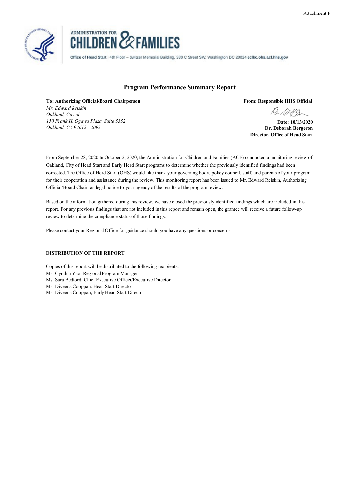



Office of Head Start | 4th Floor - Switzer Memorial Building, 330 C Street SW, Washington DC 20024 eclkc.ohs.acf.hhs.gov

### **Program Performance Summary Report**

**To: Authorizing Official/Board Chairperson** *Mr. Edward Reiskin Oakland, City of 150 Frank H. Ogawa Plaza, Suite 5352 Oakland, CA 94612 - 2093*

**From: Responsible HHS Official**

**Date: 10/13/2020 Dr. Deborah Bergeron Director, Office of Head Start**

From September 28, 2020 to October 2, 2020, the Administration for Children and Families (ACF) conducted a monitoring review of Oakland, City of Head Start and Early Head Start programs to determine whether the previously identified findings had been corrected. The Office of Head Start (OHS) would like thank your governing body, policy council, staff, and parents of your program for their cooperation and assistance during the review. This monitoring report has been issued to Mr. Edward Reiskin, Authorizing Official/Board Chair, as legal notice to your agency of the results of the program review.

Based on the information gathered during this review, we have closed the previously identified findings which are included in this report. For any previous findings that are not included in this report and remain open, the grantee will receive a future follow-up review to determine the compliance status of those findings.

Please contact your Regional Office for guidance should you have any questions or concerns.

### **DISTRIBUTION OF THE REPORT**

Copies of this report will be distributed to the following recipients: Ms. Cynthia Yao, Regional Program Manager Ms. Sara Bedford, Chief Executive Officer/Executive Director Ms. Diveena Cooppan, Head Start Director Ms. Diveena Cooppan, Early Head Start Director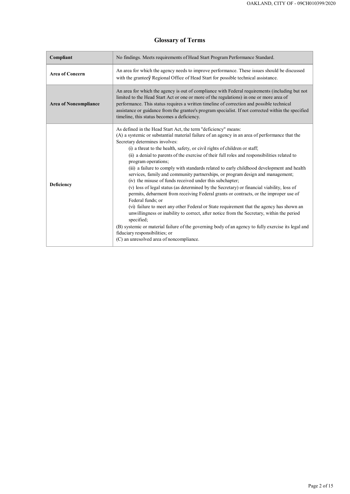### Page 2 of 15

# **Glossary of Terms**

| Compliant                    | No findings. Meets requirements of Head Start Program Performance Standard.                                                                                                                                                                                                                                                                                                                                                                                                                                                                                                                                                                                                                                                                                                                                                                                                                                                                                                                                                                                                                                                                                                                                                                               |
|------------------------------|-----------------------------------------------------------------------------------------------------------------------------------------------------------------------------------------------------------------------------------------------------------------------------------------------------------------------------------------------------------------------------------------------------------------------------------------------------------------------------------------------------------------------------------------------------------------------------------------------------------------------------------------------------------------------------------------------------------------------------------------------------------------------------------------------------------------------------------------------------------------------------------------------------------------------------------------------------------------------------------------------------------------------------------------------------------------------------------------------------------------------------------------------------------------------------------------------------------------------------------------------------------|
| <b>Area of Concern</b>       | An area for which the agency needs to improve performance. These issues should be discussed<br>with the granteey Regional Office of Head Start for possible technical assistance.                                                                                                                                                                                                                                                                                                                                                                                                                                                                                                                                                                                                                                                                                                                                                                                                                                                                                                                                                                                                                                                                         |
| <b>Area of Noncompliance</b> | An area for which the agency is out of compliance with Federal requirements (including but not<br>limited to the Head Start Act or one or more of the regulations) in one or more area of<br>performance. This status requires a written timeline of correction and possible technical<br>assistance or guidance from the grantee's program specialist. If not corrected within the specified<br>timeline, this status becomes a deficiency.                                                                                                                                                                                                                                                                                                                                                                                                                                                                                                                                                                                                                                                                                                                                                                                                              |
| <b>Deficiency</b>            | As defined in the Head Start Act, the term "deficiency" means:<br>(A) a systemic or substantial material failure of an agency in an area of performance that the<br>Secretary determines involves:<br>(i) a threat to the health, safety, or civil rights of children or staff;<br>(ii) a denial to parents of the exercise of their full roles and responsibilities related to<br>program operations;<br>(iii) a failure to comply with standards related to early childhood development and health<br>services, family and community partnerships, or program design and management;<br>(iv) the misuse of funds received under this subchapter;<br>(v) loss of legal status (as determined by the Secretary) or financial viability, loss of<br>permits, debarment from receiving Federal grants or contracts, or the improper use of<br>Federal funds; or<br>(vi) failure to meet any other Federal or State requirement that the agency has shown an<br>unwillingness or inability to correct, after notice from the Secretary, within the period<br>specified;<br>(B) systemic or material failure of the governing body of an agency to fully exercise its legal and<br>fiduciary responsibilities; or<br>(C) an unresolved area of noncompliance. |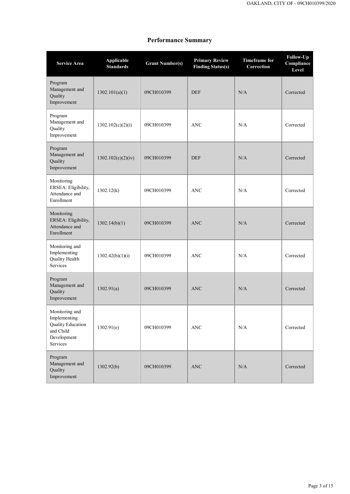# **Performance Summary**

| <b>Service Area</b>                                                                         | <b>Applicable</b><br><b>Standards</b> | <b>Grant Number(s)</b> | <b>Primary Review</b><br><b>Finding Status(s)</b> | <b>Timeframe for</b><br>Correction | <b>Follow-Up</b><br>Compliance<br>Level |
|---------------------------------------------------------------------------------------------|---------------------------------------|------------------------|---------------------------------------------------|------------------------------------|-----------------------------------------|
| Program<br>Management and<br>Quality<br>Improvement                                         | 1302.101(a)(1)                        | 09CH010399             | <b>DEF</b>                                        | N/A                                | Corrected                               |
| Program<br>Management and<br>Quality<br>Improvement                                         | 1302.102(c)(2)(i)                     | 09CH010399             | <b>ANC</b>                                        | N/A                                | Corrected                               |
| Program<br>Management and<br>Quality<br>Improvement                                         | 1302.102(c)(2)(iv)                    | 09CH010399             | <b>DEF</b>                                        | N/A                                | Corrected                               |
| Monitoring<br>ERSEA: Eligibility,<br>Attendance and<br>Enrollment                           | 1302.12(k)                            | 09CH010399             | <b>ANC</b>                                        | N/A                                | Corrected                               |
| Monitoring<br>ERSEA: Eligibility,<br>Attendance and<br>Enrollment                           | 1302.14(b)(1)                         | 09CH010399             | <b>ANC</b>                                        | N/A                                | Corrected                               |
| Monitoring and<br>Implementing<br>Quality Health<br>Services                                | 1302.42(b)(1)(i)                      | 09CH010399             | <b>ANC</b>                                        | N/A                                | Corrected                               |
| Program<br>Management and<br>Quality<br>Improvement                                         | 1302.91(a)                            | 09CH010399             | <b>ANC</b>                                        | N/A                                | Corrected                               |
| Monitoring and<br>Implementing<br>Quality Education<br>and Child<br>Development<br>Services | 1302.91(e)                            | 09CH010399             | <b>ANC</b>                                        | N/A                                | Corrected                               |
| Program<br>Management and<br>Quality                                                        | 1302.92(b)                            | 09CH010399             | <b>ANC</b>                                        | N/A                                | Corrected                               |

| Improvement |  |  |  |
|-------------|--|--|--|
|             |  |  |  |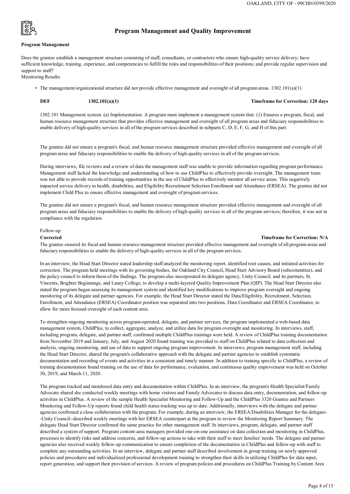

### **Program Management**

### **Program Management and Quality Improvement**

Does the grantee establish a management structure consisting of staff, consultants, or contractors who ensure high-quality service delivery; have sufficient knowledge, training, experience, and competencies to fulfill the roles and responsibilities of their positions; and provide regular supervision and support to staff?

Monitoring Results:

• The management/organizational structure did not provide effective management and oversight of all program areas. 1302.101(a)(1)

### **DEF 1302.101(a)(1) Timeframe for Correction: 120 days**

1302.101 Management system. (a) Implementation. A program must implement a management system that: (1) Ensures a program, fiscal, and human resource management structure that provides effective management and oversight of all program areas and fiduciary responsibilities to enable delivery of high-quality services in all of the program services described in subparts C, D, E, F, G, and H of this part.

The grantee did not ensure a program's fiscal, and human resource management structure provided effective management and oversight of all program areas and fiduciary responsibilities to enable the delivery of high-quality services in all of the program services.

During interviews, file reviews and a review of data the management staff was unable to provide information regarding program performance. Management staff lacked the knowledge and understanding of how to use ChildPlus to effectively provide oversight. The management team was not able to provide records of training opportunities in the use of ChildPlus to effectively monitor all service areas. This negatively impacted service delivery in health, disabilities, and Eligibility Recruitment Selection Enrollment and Attendance (ERSEA). The grantee did not implement Child Plus to ensure effective management and oversight of program services.

The grantee did not ensure a program's fiscal, and human resource management structure provided effective management and oversight of all program areas and fiduciary responsibilities to enable the delivery of high-quality services in all of the program services; therefore, it was not in compliance with the regulation.

#### Follow-up

#### **Corrected Timeframe for Correction: N/A**

The program tracked and monitored data entry and documentation within ChildPlus. In an interview, the program's Health Specialist/Family Advocate shared she conducted weekly meetings with home visitors and Family Advocates to discuss data entry, documentation, and follow-up activities in ChildPlus. A review of the sample Health Specialist Monitoring and Follow-Up and the ChildPlus 3320 Grantee and Partners Monitoring and Follow-Up reports found child health status tracking was up to date. Additionally, interviews with the delegate and partner agencies confirmed a close collaboration with the program. For example, during an interview, the ERSEA/Disabilities Manager for the delegate- -Unity Council--described weekly meetings with her ERSEA counterpart at the program to review the Monitoring Report Summary. The delegate Head Start Director confirmed the same practice for other management staff. In interviews, program, delegate, and partner staff described a system of support. Program content-area managers provided one-on-one assistance on data collection and monitoring in ChildPlus, processes to identify risks and address concerns, and follow-up actions to take with their staff to meet families' needs. The delegate and partner agencies also received weekly follow-up communication to ensure completion of the documentation in ChildPlus and follow-up with staff to complete any outstanding activities. In an interview, delegate and partner staff described involvement in group training on newly approved policies and procedures and individualized professional development training to strengthen their skills in utilizing ChildPlus for data input, report generation, and support their provision of services. A review of program policies and procedures on ChildPlus Training by Content Area

The grantee ensured its fiscal and human resource management structure provided effective management and oversight of all program areas and fiduciary responsibilities to enable the delivery of high-quality services in all of the program services.

In an interview, the Head Start Director stated leadership staff analyzed the monitoring report, identified root causes, and initiated activities for correction. The program held meetings with its governing bodies, the Oakland City Council, Head Start Advisory Board (subcommittee), and the policy council to inform them of the findings. The program also incorporated its delegate agency, Unity Council, and its partners, St. Vincents, Brighter Beginnings, and Laney College, to develop a multi-layered Quality Improvement Plan (QIP). The Head Start Director also stated the program began assessing its management system and identified key modifications to improve program oversight and ongoing monitoring of its delegate and partner agencies. For example, the Head Start Director stated the Data/Eligibility, Recruitment, Selection, Enrollment, and Attendance (ERSEA) Coordinator position was separated into two positions, Data Coordinator and ERSEA Coordinator, to allow for more focused oversight of each content area.

To strengthen ongoing monitoring across program-operated, delegate, and partner services, the program implemented a web-based data management system, ChildPlus, to collect, aggregate, analyze, and utilize data for program oversight and monitoring. In interviews, staff, including program, delegate, and partner staff, confirmed multiple ChildPlus trainings were held. A review of ChildPlus training documentation from November 2019 and January, July, and August 2020 found training was provided to staff on ChildPlus related to data collection and analysis, ongoing monitoring, and use of data to support ongoing program improvement. In interviews, program management staff, including the Head Start Director, shared the program's collaborative approach with the delegate and partner agencies to establish systematic documentation and recording of events and activities in a consistent and timely manner. In addition to training specific to ChildPlus, a review of training documentation found training on the use of data for performance, evaluation, and continuous quality improvement was held on October 30, 2019, and March 11, 2020.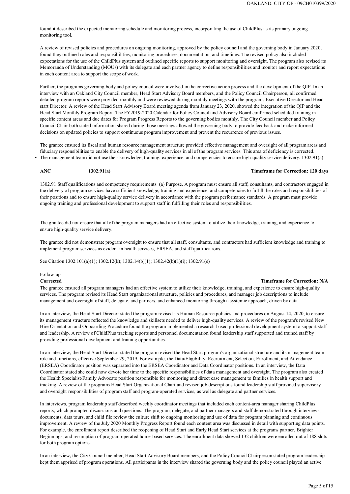found it described the expected monitoring schedule and monitoring process, incorporating the use of ChildPlus as its primary ongoing monitoring tool.

A review of revised policies and procedures on ongoing monitoring, approved by the policy council and the governing body in January 2020, found they outlined roles and responsibilities, monitoring procedures, documentation, and timelines. The revised policy also included expectations for the use of the ChildPlus system and outlined specific reports to support monitoring and oversight. The program also revised its Memoranda of Understanding (MOUs) with its delegate and each partner agency to define responsibilities and monitor and report expectations in each content area to support the scope of work.

Further, the programs governing body and policy council were involved in the corrective action process and the development of the QIP. In an interview with an Oakland City Council member, Head Start Advisory Board members, and the Policy Council Chairperson, all confirmed detailed program reports were provided monthly and were reviewed during monthly meetings with the programs Executive Director and Head start Director. A review of the Head Start Advisory Board meeting agenda from January 23, 2020, showed the integration of the QIP and the Head Start Monthly Program Report. The FY2019-2020 Calendar for Policy Council and Advisory Board confirmed scheduled training in specific content areas and due dates for Program Progress Reports to the governing bodies monthly. The City Council member and Policy Council Chair both stated information shared during those meetings allowed the governing body to provide feedback and make informed decisions on updated policies to support continuous program improvement and prevent the recurrence of previous issues.

The grantee ensured all program managers had an effective system to utilize their knowledge, training, and experience to ensure high-quality services. The program revised its Head Start organizational structure, policies and procedures, and manager job descriptions to include management and oversight of staff, delegate, and partners, and enhanced monitoring through a systemic approach, driven by data.

The grantee ensured its fiscal and human resource management structure provided effective management and oversight of all program areas and fiduciary responsibilities to enable the delivery of high-quality services in all of the program services. This area of deficiency is corrected. • The management team did not use their knowledge, training, experience, and competencies to ensure high-quality service delivery. 1302.91(a)

#### **ANC 1302.91(a) Timeframe for Correction: 120 days**

1302.91 Staff qualifications and competency requirements. (a) Purpose. A program must ensure all staff, consultants, and contractors engaged in the delivery of program services have sufficient knowledge, training and experience, and competencies to fulfill the roles and responsibilities of their positions and to ensure high-quality service delivery in accordance with the program performance standards. A program must provide ongoing training and professional development to support staff in fulfilling their roles and responsibilities.

The grantee did not ensure that all of the program managers had an effective system to utilize their knowledge, training, and experience to ensure high-quality service delivery.

The grantee did not demonstrate program oversight to ensure that all staff, consultants, and contractors had sufficient knowledge and training to implement program services as evident in health services, ERSEA, and staff qualifications.

See Citation 1302.101(a)(1); 1302.12(k); 1302.14(b)(1); 1302.42(b)(1)(i); 1302.91(e)

#### Follow-up

#### **Corrected Timeframe for Correction: N/A**

In an interview, the Head Start Director stated the program revised its Human Resource policies and procedures on August 14, 2020, to ensure its management structure reflected the knowledge and skillsets needed to deliver high-quality services. A review of the program's revised New Hire Orientation and Onboarding Procedure found the program implemented a research-based professional development system to support staff and leadership. A review of ChildPlus tracking reports and personnel documentation found leadership staff supported and trained staff by providing professional development and training opportunities.

In an interview, the Head Start Director stated the program revised the Head Start program's organizational structure and its management team role and functions, effective September 29, 2019. For example, the Data/Eligibility, Recruitment, Selection, Enrollment, and Attendance (ERSEA) Coordinator position was separated into the ERSEA Coordinator and Data Coordinator positions. In an interview, the Data Coordinator stated she could now devote her time to the specific responsibilities of data management and oversight. The program also created the Health Specialist/Family Advocate position responsible for monitoring and direct case management to families in health support and tracking. A review of the programs Head Start Organizational Chart and revised job descriptions found leadership staff provided supervisory and oversight responsibilities of program staff and program-operated services, as well as delegate and partner services.

In interviews, program leadership staff described weekly coordinator meetings that included each content-area manager sharing ChildPlus reports, which prompted discussions and questions. The program, delegate, and partner managers and staff demonstrated through interviews, documents, data tours, and child file review the culture shift to ongoing monitoring and use of data for program planning and continuous improvement. A review of the July 2020 Monthly Progress Report found each content area was discussed in detail with supporting data points. For example, the enrollment report described the reopening of Head Start and Early Head Start services at the programs partner, Brighter Beginnings, and resumption of program-operated home-based services. The enrollment data showed 132 children were enrolled out of 188 slots for both program options.

In an interview, the City Council member, Head Start Advisory Board members, and the Policy Council Chairperson stated program leadership kept them apprised of program operations. All participants in the interview shared the governing body and the policy council played an active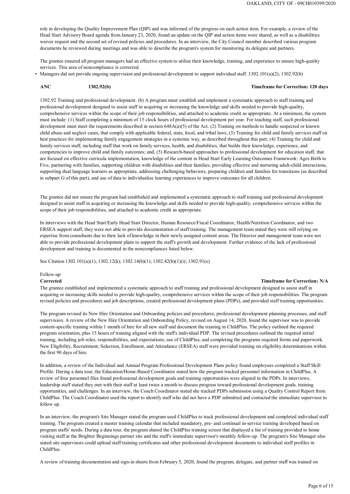role in developing the Quality Improvement Plan (QIP) and was informed of the progress on each action item. For example, a review of the Head Start Advisory Board agenda from January 23, 2020, found an update on the QIP and action items were shared, as well as a disabilities waiver request and the second set of revised policies and procedures. In an interview, the City Council member described various program documents he reviewed during meetings and was able to describe the program's system for monitoring its delegate and partners.

The grantee ensured all program managers had an effective system to utilize their knowledge, training, and experience to ensure high-quality services. This area of noncompliance is corrected.

• Managers did not provide ongoing supervision and professional development to support individual staff. 1302.101(a)(2); 1302.92(b)

#### **ANC 1302.92(b) Timeframe for Correction: 120 days**

1302.92 Training and professional development. (b) A program must establish and implement a systematic approach to staff training and professional development designed to assist staff in acquiring or increasing the knowledge and skills needed to provide high-quality, comprehensive services within the scope of their job responsibilities, and attached to academic credit as appropriate. At a minimum, the system must include: (1) Staff completing a minimum of 15 clock hours of professional development per year. For teaching staff, such professional development must meet the requirements described in section 648A(a)(5) of the Act. (2) Training on methods to handle suspected or known child abuse and neglect cases, that comply with applicable federal, state, local, and tribal laws; (3) Training for child and family services staff on best practices for implementing family engagement strategies in a systemic way, as described throughout this part; (4) Training for child and family services staff, including staff that work on family services, health, and disabilities, that builds their knowledge, experience, and competencies to improve child and family outcomes; and, (5) Research-based approaches to professional development for education staff, that are focused on effective curricula implementation, knowledge of the content in Head Start Early Learning Outcomes Framework: Ages Birth to Five, partnering with families, supporting children with disabilities and their families, providing effective and nurturing adult-child interactions, supporting dual language learners as appropriate, addressing challenging behaviors, preparing children and families for transitions (as described in subpart G of this part), and use of data to individualize learning experiences to improve outcomes for all children.

The grantee did not ensure the program had established and implemented a systematic approach to staff training and professional development designed to assist staff in acquiring or increasing the knowledge and skills needed to provide high-quality, comprehensive services within the scope of their job responsibilities, and attached to academic credit as appropriate.

In interviews with the Head Start/Early Head Start Director, Human Resource/Fiscal Coordinator, Health/Nutrition Coordinator, and two ERSEA support staff, they were not able to provide documentation of staff training. The management team stated they were still relying on expertise from consultants due to their lack of knowledge in their newly assigned content areas. The Director and management team were not able to provide professional development plans to support the staff's growth and development. Further evidence of the lack of professional development and training is documented in the noncompliances listed below.

See Citation 1302.101(a)(1); 1302.12(k); 1302.14(b)(1); 1302.42(b)(1)(i); 1302.91(e)

#### Follow-up

#### **Corrected Timeframe for Correction: N/A**

The grantee established and implemented a systematic approach to staff training and professional development designed to assist staff in acquiring or increasing skills needed to provide high-quality, comprehensive services within the scope of their job responsibilities. The program revised policies and procedures and job descriptions, created professional development plans (PDPs), and provided staff training opportunities.

The program revised its New Hire Orientation and Onboarding policies and procedures, professional development planning processes, and staff supervision. A review of the New Hire Orientation and Onboarding Policy, revised on August 14, 2020, found the supervisor was to provide content-specific training within 1 month of hire for all new staff and document the training in ChildPlus. The policy outlined the required program orientation, plus 15 hours of training aligned with the staff's individual PDP. The revised procedures outlined the required initial training, including job roles, responsibilities, and expectations; use of ChildPlus; and completing the programs required forms and paperwork. New Eligibility, Recruitment, Selection, Enrollment, and Attendance (ERSEA) staff were provided training on eligibility determinations within the first 90 days of hire.

In addition, a review of the Individual and Annual Program Professional Development Plans policy found employees completed a Staff Skill Profile. During a data tour, the Education/Home-Based Coordinator stated how the program tracked personnel information in ChildPlus. A review of four personnel files found professional development goals and training opportunities were aligned in the PDPs. In interviews, leadership staff stated they met with their staff at least twice a month to discuss progress toward professional development goals, training opportunities, and challenges. In an interview, the Coach Coordinator stated she tracked PDPs submission using a Quality Control Report from ChildPlus. The Coach Coordinator used the report to identify staff who did not have a PDP submitted and contacted the immediate supervisor to follow up.

In an interview, the program's Site Manager stated the program used ChildPlus to track professional development and completed individual staff training. The program created a master training calendar that included mandatory, pre- and continual in-service training developed based on program staffs' needs. During a data tour, the program shared the ChildPlus training screen that displayed a list of training provided to home visiting staff at the Brighter Beginnings partner site and the staff's immediate supervisor's monthly follow-up. The program's Site Manager also stated site supervisors could upload staff training certificates and other professional development documents to individual staff profiles in ChildPlus.

A review of training documentation and sign-in sheets from February 5, 2020, found the program, delegate, and partner staff was trained on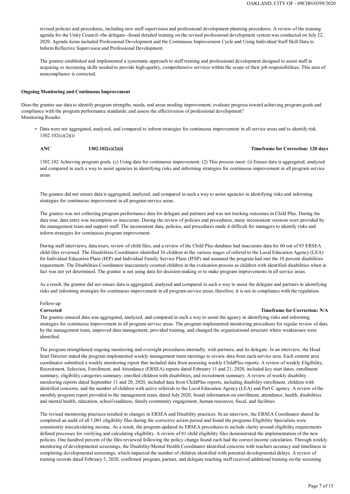revised policies and procedures, including new staff supervision and professional development planning procedures. A review of the training agenda for the Unity Council--the delegate--found detailed training on the revised professional development system was conducted on July 22, 2020. Agenda items included Professional Development and the Continuous Improvement Cycle and Using Individual Staff Skill Data to Inform Reflective Supervision and Professional Development.

The grantee established and implemented a systematic approach to staff training and professional development designed to assist staff in acquiring or increasing skills needed to provide high-quality, comprehensive services within the scope of their job responsibilities. This area of noncompliance is corrected.

#### **Ongoing Monitoring and Continuous Improvement**

Doesthe grantee use data to identify program strengths, needs, and areas needing improvement; evaluate progress toward achieving program goals and compliance with the program performance standards; and assess the effectiveness of professional development? Monitoring Results:

• Data were not aggregated, analyzed, and compared to inform strategies for continuous improvement in all service areas and to identify risk. 1302.102(c)(2)(i)

**ANC 1302.102(c)(2)(i) Timeframe for Correction: 120 days**

1302.102 Achieving program goals. (c) Using data for continuous improvement. (2) This process must: (i) Ensure data is aggregated, analyzed and compared in such a way to assist agencies in identifying risks and informing strategies for continuous improvement in all program service areas.

The grantee did not ensure data is aggregated, analyzed, and compared in such a way to assist agencies in identifying risks and informing strategies for continuous improvement in all program service areas.

The grantee was not collecting program performance data for delegate and partners and was not tracking outcomes in Child Plus. During the data tour, data entry was incomplete or inaccurate. During the review of policies and procedures, many inconsistent versions were provided by the management team and support staff. The inconsistent data, policies, and procedures made it difficult for managers to identify risks and inform strategies for continuous program improvement.

During staff interviews, data tours, review of child files, and a review of the Child Plus database had inaccurate data for 60 out of 85 ERSEA child files reviewed. The Disabilities Coordinator identified 36 children in the various stages of referral to the Local Education Agency (LEA) for Individual Education Plans (IEP) and Individual Family Service Plans (IFSP) and assumed the program had met the 10 percent disabilities requirement. The Disabilities Coordinator inaccurately counted children in the evaluation process as children with identified disabilities when in fact was not yet determined. The grantee is not using data for decision-making or to make program improvements in all service areas.

As a result, the grantee did not ensure data is aggregated, analyzed and compared in such a way to assist the delegate and partners in identifying risks and informing strategies for continuous improvement in all program service areas; therefore, it is not in compliance with the regulation.

#### Follow-up

#### **Corrected Timeframe for Correction: N/A**

The grantee ensured data was aggregated, analyzed, and compared in such a way to assist the agency in identifying risks and informing strategies for continuous improvement in all program service areas. The program implemented monitoring procedures for regular review of data by the management team, improved data management, provided training, and changed the organizational structure where weaknesses were identified.

The program strengthened ongoing monitoring and oversight procedures internally, with partners, and its delegate. In an interview, the Head Start Director stated the program implemented weekly management team meetings to review data from each service area. Each content area coordinator submitted a weekly monitoring report that included data from assessing weekly ChildPlus reports. A review of weekly Eligibility, Recruitment, Selection, Enrollment, and Attendance (ERSEA) reports dated February 11 and 21, 2020, included key start dates, enrollment summary, eligibility categories summary, enrolled children with disabilities, and recruitment summary. A review of weekly disability monitoring reports dated September 11 and 20, 2020, included data from ChildPlus reports, including disability enrollment, children with identified concerns, and the number of children with active referrals to the Local Education Agency (LEA) and Part C agency. A review of the monthly program report provided to the management team, dated July 2020, found information on enrollment, attendance, health, disabilities and mental health, education, school readiness, family community engagement, human resources, fiscal, and facilities.

The revised monitoring practices resulted in changes in ERSEA and Disability practices. In an interview, the ERSEA Coordinator shared he completed an audit of all 1,001 eligibility files during the corrective action period and found the programs Eligibility Specialists were consistently miscalculating income. As a result, the program updated its ERSEA procedures to include clarity around eligibility requirements defined processes for verifying and calculating eligibility. A review of 81 child eligibility files demonstrated the implementation of the new policies. One hundred percent of the files reviewed following the policy change found each had the correct income calculation. Through weekly monitoring of developmental screenings, the Disability/Mental Health Coordinator identified concerns with teachers accuracy and timeliness in completing developmental screenings, which impacted the number of children identified with potential developmental delays. A review of training records dated February 5, 2020, confirmed program, partner, and delegate teaching staff received additional training on the screening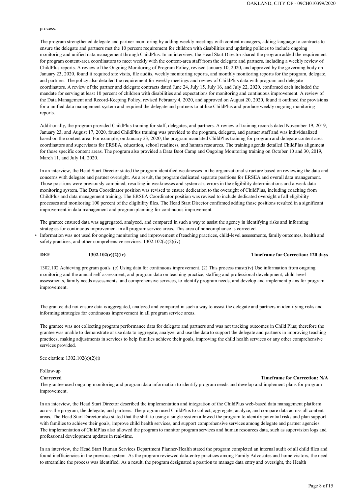process.

The program strengthened delegate and partner monitoring by adding weekly meetings with content managers, adding language to contracts to ensure the delegate and partners met the 10 percent requirement for children with disabilities and updating policies to include ongoing monitoring and unified data management through ChildPlus. In an interview, the Head Start Director shared the program added the requirement for program content-area coordinators to meet weekly with the content-area staff from the delegate and partners, including a weekly review of ChildPlus reports. A review of the Ongoing Monitoring of Program Policy, revised January 10, 2020, and approved by the governing body on January 23, 2020, found it required site visits, file audits, weekly monitoring reports, and monthly monitoring reports for the program, delegate, and partners. The policy also detailed the requirement for weekly meetings and review of ChildPlus data with program and delegate coordinators. A review of the partner and delegate contracts dated June 24, July 15, July 16, and July 22, 2020, confirmed each included the mandate for serving at least 10 percent of children with disabilities and expectations for monitoring and continuous improvement. A review of the Data Management and Record-Keeping Policy, revised February 4, 2020, and approved on August 20, 2020, found it outlined the provisions for a unified data management system and required the delegate and partners to utilize ChildPlus and produce weekly ongoing monitoring reports.

• Information was not used for ongoing monitoring and improvement of teaching practices, child-level assessments, family outcomes, health and safety practices, and other comprehensive services.  $1302.102(c)(2)(iv)$ 

Additionally, the program provided ChildPlus training for staff, delegates, and partners. A review of training records dated November 19, 2019, January 23, and August 17, 2020, found ChildPlus training was provided to the program, delegate, and partner staff and was individualized based on the content area. For example, on January 23, 2020, the program mandated ChildPlus training for program and delegate content area coordinators and supervisors for ERSEA, education, school readiness, and human resources. The training agenda detailed ChildPlus alignment for those specific content areas. The program also provided a Data Boot Camp and Ongoing Monitoring training on October 10 and 30, 2019, March 11, and July 14, 2020.

In an interview, the Head Start Director stated the program identified weaknesses in the organizational structure based on reviewing the data and concerns with delegate and partner oversight. As a result, the program dedicated separate positions for ERSEA and overall data management. Those positions were previously combined, resulting in weaknesses and systematic errors in the eligibility determinations and a weak data monitoring system. The Data Coordinator position was revised to ensure dedication to the oversight of ChildPlus, including coaching from ChildPlus and data management training. The ERSEA Coordinator position was revised to include dedicated oversight of all eligibility processes and monitoring 100 percent of the eligibility files. The Head Start Director confirmed adding those positions resulted in a significant improvement in data management and program planning for continuous improvement.

The grantee ensured data was aggregated, analyzed, and compared in such a way to assist the agency in identifying risks and informing strategies for continuous improvement in all program service areas. This area of noncompliance is corrected.

### **DEF 1302.102(c)(2)(iv) Timeframe for Correction: 120 days**

1302.102 Achieving program goals. (c) Using data for continuous improvement. (2) This process must:(iv) Use information from ongoing monitoring and the annual self-assessment, and program data on teaching practice, staffing and professional development, child-level assessments, family needs assessments, and comprehensive services, to identify program needs, and develop and implement plans for program improvement.

The grantee did not ensure data is aggregated, analyzed and compared in such a way to assist the delegate and partners in identifying risks and informing strategies for continuous improvement in all program service areas.

The grantee was not collecting program performance data for delegate and partners and was not tracking outcomes in Child Plus; therefore the grantee was unable to demonstrate or use data to aggregate, analyze, and use the data to support the delegate and partners in improving teaching practices, making adjustments in services to help families achieve their goals, improving the child health services or any other comprehensive services provided.

See citation: 1302.102(c)(2)(i)

Follow-up

The grantee used ongoing monitoring and program data information to identify program needs and develop and implement plans for program improvement.

In an interview, the Head Start Director described the implementation and integration of the ChildPlus web-based data management platform across the program, the delegate, and partners. The program used ChildPlus to collect, aggregate, analyze, and compare data across all content areas. The Head Start Director also stated that the shift to using a single system allowed the program to identify potential risks and plan support with families to achieve their goals, improve child health services, and support comprehensive services among delegate and partner agencies. The implementation of ChildPlus also allowed the program to monitor program services and human resources data, such as supervision logs and professional development updates in real-time.

In an interview, the Head Start Human Services Department Planner-Health stated the program completed an internal audit of all child files and found inefficiencies in the previous system. As the program reviewed data-entry practices among Family Advocates and home visitors, the need to streamline the process was identified. As a result, the program designated a position to manage data entry and oversight, the Health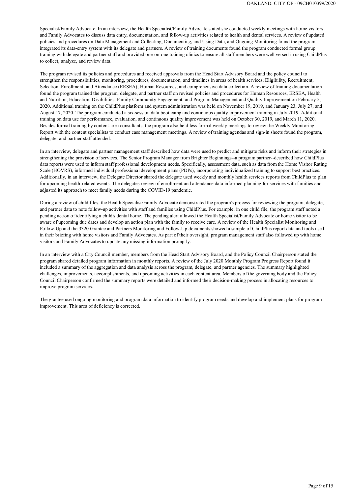

Specialist/Family Advocate. In an interview, the Health Specialist/Family Advocate stated she conducted weekly meetings with home visitors and Family Advocates to discuss data entry, documentation, and follow-up activities related to health and dental services. A review of updated policies and procedures on Data Management and Collecting, Documenting, and Using Data, and Ongoing Monitoring found the program integrated its data-entry system with its delegate and partners. A review of training documents found the program conducted formal group training with delegate and partner staff and provided one-on-one training clinics to ensure all staff members were well versed in using ChildPlus to collect, analyze, and review data.

The program revised its policies and procedures and received approvals from the Head Start Advisory Board and the policy council to strengthen the responsibilities, monitoring, procedures, documentation, and timelines in areas of health services; Eligibility, Recruitment, Selection, Enrollment, and Attendance (ERSEA); Human Resources; and comprehensive data collection. A review of training documentation found the program trained the program, delegate, and partner staff on revised policies and procedures for Human Resources, ERSEA, Health and Nutrition, Education, Disabilities, Family Community Engagement, and Program Management and Quality Improvement on February 5, 2020. Additional training on the ChildPlus platform and system administration was held on November 19, 2019, and January 23, July 27, and August 17, 2020. The program conducted a six-session data boot camp and continuous quality improvement training in July 2019. Additional training on data use for performance, evaluation, and continuous quality improvement was held on October 30, 2019, and March 11, 2020. Besides formal training by content-area consultants, the program also held less formal weekly meetings to review the Weekly Monitoring Report with the content specialists to conduct case management meetings. A review of training agendas and sign-in sheets found the program, delegate, and partner staff attended.

In an interview, delegate and partner management staff described how data were used to predict and mitigate risks and inform their strategies in strengthening the provision of services. The Senior Program Manager from Brighter Beginnings--a program partner--described how ChildPlus data reports were used to inform staff professional development needs. Specifically, assessment data, such as data from the Home Visitor Rating Scale (HOVRS), informed individual professional development plans (PDPs), incorporating individualized training to support best practices. Additionally, in an interview, the Delegate Director shared the delegate used weekly and monthly health services reports from ChildPlus to plan for upcoming health-related events. The delegates review of enrollment and attendance data informed planning for services with families and adjusted its approach to meet family needs during the COVID-19 pandemic.

During a review of child files, the Health Specialist/Family Advocate demonstrated the program's process for reviewing the program, delegate, and partner data to note follow-up activities with staff and families using ChildPlus. For example, in one child file, the program staff noted a pending action of identifying a child's dental home. The pending alert allowed the Health Specialist/Family Advocate or home visitor to be aware of upcoming due dates and develop an action plan with the family to receive care. A review of the Health Specialist Monitoring and Follow-Up and the 3320 Grantee and Partners Monitoring and Follow-Up documents showed a sample of ChildPlus report data and tools used in their briefing with home visitors and Family Advocates. As part of their oversight, program management staff also followed up with home visitors and Family Advocates to update any missing information promptly.

In an interview with a City Council member, members from the Head Start Advisory Board, and the Policy Council Chairperson stated the program shared detailed program information in monthly reports. A review of the July 2020 Monthly Program Progress Report found it included a summary of the aggregation and data analysis across the program, delegate, and partner agencies. The summary highlighted challenges, improvements, accomplishments, and upcoming activities in each content area. Members of the governing body and the Policy Council Chairperson confirmed the summary reports were detailed and informed their decision-making process in allocating resources to improve program services.

The grantee used ongoing monitoring and program data information to identify program needs and develop and implement plans for program improvement. This area of deficiency is corrected.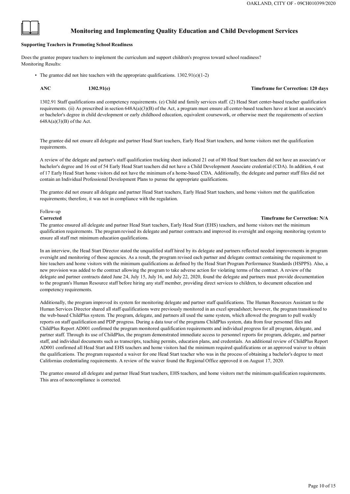### **Monitoring and Implementing Quality Education and Child Development Services**

### **Supporting Teachers in Promoting School Readiness**

1302.91 Staff qualifications and competency requirements. (e) Child and family services staff. (2) Head Start center-based teacher qualification requirements. (ii) As prescribed in section 648A(a)(3)(B) of the Act, a program must ensure all center-based teachers have at least an associate's or bachelor's degree in child development or early childhood education, equivalent coursework, or otherwise meet the requirements of section  $648A(a)(3)(B)$  of the Act.

Does the grantee prepare teachers to implement the curriculum and support children's progress toward school readiness? Monitoring Results:

• The grantee did not hire teachers with the appropriate qualifications. 1302.91(e)(1-2)

**ANC 1302.91(e) Timeframe for Correction: 120 days**

The grantee did not ensure all delegate and partner Head Start teachers, Early Head Start teachers, and home visitors met the qualification requirements.

A review of the delegate and partner's staff qualification tracking sheet indicated 21 out of 80 Head Start teachers did not have an associate's or bachelor's degree and 16 out of 54 Early Head Start teachers did not have a Child Development Associate credential (CDA). In addition, 4 out of 17 Early Head Start home visitors did not have the minimum of a home-based CDA. Additionally, the delegate and partner staff files did not contain an Individual Professional Development Plans to pursue the appropriate qualifications.

The grantee did not ensure all delegate and partner Head Start teachers, Early Head Start teachers, and home visitors met the qualification requirements; therefore, it was not in compliance with the regulation.

### Follow-up

#### **Corrected Timeframe for Correction: N/A**

The grantee ensured all delegate and partner Head Start teachers, Early Head Start (EHS) teachers, and home visitors met the minimum qualification requirements. The program revised its delegate and partner contracts and improved its oversight and ongoing monitoring system to ensure all staff met minimum education qualifications.

In an interview, the Head Start Director stated the unqualified staff hired by its delegate and partners reflected needed improvements in program oversight and monitoring of those agencies. As a result, the program revised each partner and delegate contract containing the requirement to hire teachers and home visitors with the minimum qualifications as defined by the Head Start Program Performance Standards (HSPPS). Also, a new provision was added to the contract allowing the program to take adverse action for violating terms of the contract. A review of the delegate and partner contracts dated June 24, July 15, July 16, and July 22, 2020, found the delegate and partners must provide documentation to the program's Human Resource staff before hiring any staff member, providing direct services to children, to document education and competency requirements.

Additionally, the program improved its system for monitoring delegate and partner staff qualifications. The Human Resources Assistant to the Human Services Director shared all staff qualifications were previously monitored in an excel spreadsheet; however, the program transitioned to the web-based ChildPlus system. The program, delegate, and partners all used the same system, which allowed the program to pull weekly reports on staff qualification and PDP progress. During a data tour of the programs ChildPlus system, data from four personnel files and ChildPlus Report AD001 confirmed the program monitored qualification requirements and individual progress for all program, delegate, and partner staff. Through its use of ChildPlus, the program demonstrated immediate access to personnel reports for program, delegate, and partner staff, and individual documents such as transcripts, teaching permits, education plans, and credentials. An additional review of ChildPlus Report AD001 confirmed all Head Start and EHS teachers and home visitors had the minimum required qualifications or an approved waiver to obtain the qualifications. The program requested a waiver for one Head Start teacher who was in the process of obtaining a bachelor's degree to meet Californias credentialing requirements. A review of the waiver found the Regional Office approved it on August 17, 2020.

The grantee ensured all delegate and partner Head Start teachers, EHS teachers, and home visitors met the minimum qualification requirements.

This area of noncompliance is corrected.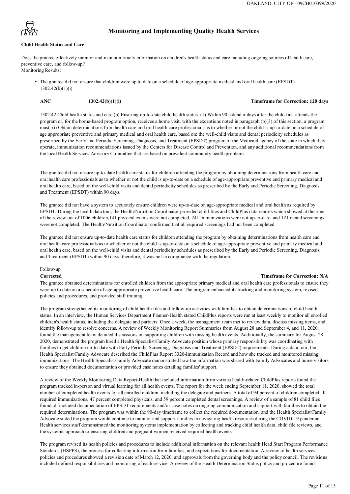

### **Child Health Status and Care**

### **Monitoring and Implementing Quality Health Services**

Doesthe grantee effectively monitor and maintain timely information on children's health status and care including ongoing sources of health care, preventive care, and follow-up? Monitoring Results:

• The grantee did not ensure that children were up to date on a schedule of age-appropriate medical and oral health care (EPSDT). 1302.42(b)(1)(i)

#### **ANC 1302.42(b)(1)(i) Timeframe for Correction: 120 days**

1302.42 Child health status and care (b) Ensuring up-to-date child health status. (1) Within 90 calendar days after the child first attends the program or, for the home-based program option, receives a home visit, with the exceptions noted in paragraph (b)(3) of this section, a program must: (i) Obtain determinations from health care and oral health care professionals as to whether or not the child is up-to-date on a schedule of age appropriate preventive and primary medical and oral health care, based on: the well-child visits and dental periodicity schedules as prescribed by the Early and Periodic Screening, Diagnosis, and Treatment (EPSDT) program of the Medicaid agency of the state in which they operate, immunization recommendations issued by the Centers for Disease Control and Prevention, and any additional recommendations from the local Health Services Advisory Committee that are based on prevalent community health problems.

The grantee did not ensure up-to-date health care status for children attending the program by obtaining determinations from health care and oral health care professionals as to whether or not the child is up-to-date on a schedule of age-appropriate preventive and primary medical and oral health care, based on the well-child visits and dental periodicity schedules as prescribed by the Early and Periodic Screening, Diagnosis, and Treatment (EPSDT) within 90 days.

The grantee did not have a system to accurately ensure children were up-to-date on age-appropriate medical and oral health as required by EPSDT. During the health data tour, the Health/Nutrition Coordinator provided child files and ChildPlus data reports which showed at the time of the review out of 1006 children,141 physical exams were not completed, 241 immunizations were not up-to-date, and 121 dental screenings were not completed. The Health/Nutrition Coordinator confirmed that all required screenings had not been completed.

The grantee did not ensure up-to-date health care status for children attending the program by obtaining determinations from health care and oral health care professionals as to whether or not the child is up-to-date on a schedule of age-appropriate preventive and primary medical and oral health care, based on the well-child visits and dental periodicity schedules as prescribed by the Early and Periodic Screening, Diagnosis, and Treatment (EPSDT) within 90 days; therefore, it was not in compliance with the regulation.

#### Follow-up

#### **Corrected Timeframe for Correction: N/A**

The grantee obtained determinations for enrolled children from the appropriate primary medical and oral health care professionals to ensure they were up to date on a schedule of age-appropriate preventive health care. The program enhanced its tracking and monitoring system, revised policies and procedures, and provided staff training.

The program strengthened its monitoring of child health files and follow-up activities with families to obtain determinations of child health status. In an interview, the Human Services Department Planner-Health stated ChildPlus reports were run at least weekly to monitor all enrolled children's health status, including the delegate and partners. Once a week, the management team met to review data, discuss missing items, and identify follow-up to resolve concerns. A review of Weekly Monitoring Report Summaries from August 28 and September 4, and 11, 2020, found the management team detailed discussions on supporting children with missing health events. Additionally, the summary for August 28, 2020, demonstrated the program hired a Health Specialist/Family Advocate position whose primary responsibility was coordinating with families to get children up-to-date with Early Periodic Screening, Diagnosis and Treatment (EPSDT) requirements. During a data tour, the Health Specialist/Family Advocate described the ChildPlus Report 3320-Immunization Record and how she tracked and monitored missing immunizations. The Health Specialist/Family Advocate demonstrated how the information was shared with Family Advocates and home visitors to ensure they obtained documentation or provided case notes detailing families' support.

A review of the Weekly Monitoring Data Report-Health that included information from various health-related ChildPlus reports found the program tracked in-person and virtual learning for all health events. The report for the week ending September 11, 2020, showed the total number of completed health events for all enrolled children, including the delegate and partners. A total of 94 percent of children completed all required immunizations, 47 percent completed physicals, and 59 percent completed dental screenings. A review of a sample of 81 child files found all included documentation of EPSDT requirements and/or case notes on ongoing communication and support with families to obtain the required determinations. The program was within the 90-day timeframe to collect the required documentation, and the Health Specialist/Family Advocate stated the program would continue to monitor and support families in navigating health resources during the COVID-19 pandemic. Health services staff demonstrated the monitoring systems implementation by collecting and tracking child health data, child file reviews, and the systemic approach to ensuring children and pregnant women received required health events.

The program revised its health policies and procedures to include additional information on the relevant health Head Start Program Performance Standards (HSPPS), the process for collecting information from families, and expectations for documentation. A review of health services policies and procedures showed a revision date of March 12, 2020, and approvals from the governing body and the policy council. The revisions included defined responsibilities and monitoring of each service. A review of the Health Determination Status policy and procedure found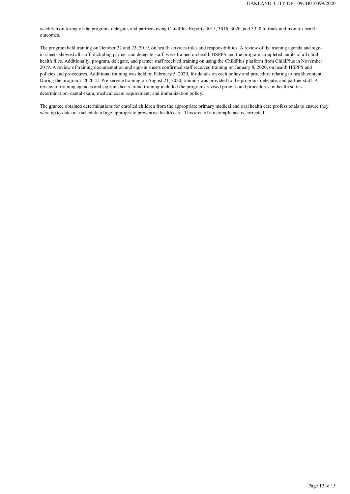### Page 12 of 15

weekly monitoring of the program, delegate, and partners using ChildPlus Reports 3015, 3016, 3020, and 3320 to track and monitor health outcomes.

The program held training on October 22 and 23, 2019, on health services roles and responsibilities. A review of the training agenda and signin-sheets showed all staff, including partner and delegate staff, were trained on health HSPPS and the program completed audits of all child health files. Additionally, program, delegate, and partner staff received training on using the ChildPlus platform from ChildPlus in November 2019. A review of training documentation and sign-in sheets confirmed staff received training on January 8, 2020, on health HSPPS and policies and procedures. Additional training was held on February 5, 2020, for details on each policy and procedure relating to health content. During the program's 2020-21 Pre-service training on August 21, 2020, training was provided to the program, delegate, and partner staff. A review of training agendas and sign-in sheets found training included the programs revised policies and procedures on health status determination, dental exam, medical exam requirement, and immunization policy.

The grantee obtained determinations for enrolled children from the appropriate primary medical and oral health care professionals to ensure they were up to date on a schedule of age-appropriate preventive health care. This area of noncompliance is corrected.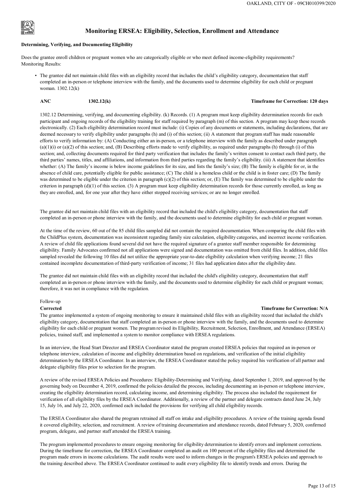

### **Monitoring ERSEA: Eligibility, Selection, Enrollment and Attendance**

#### **Determining, Verifying, and Documenting Eligibility**

Does the grantee enroll children or pregnant women who are categorically eligible or who meet defined income-eligibility requirements? Monitoring Results:

• The grantee did not maintain child files with an eligibility record that includes the child's eligibility category, documentation that staff completed an in-person or telephone interview with the family, and the documents used to determine eligibility for each child or pregnant woman. 1302.12(k)

#### **ANC 1302.12(k) Timeframe for Correction: 120 days**

1302.12 Determining, verifying, and documenting eligibility. (k) Records. (1) A program must keep eligibility determination records for each participant and ongoing records of the eligibility training for staff required by paragraph (m) of this section. A program may keep these records electronically. (2) Each eligibility determination record must include: (i) Copies of any documents or statements, including declarations, that are deemed necessary to verify eligibility under paragraphs (h) and (i) of this section; (ii) A statement that program staff has made reasonable efforts to verify information by: (A) Conducting either an in-person, or a telephone interview with the family as described under paragraph  $(a)(1)(i)$  or  $(a)(2)$  of this section; and,  $(B)$  Describing efforts made to verify eligibility, as required under paragraphs (h) through (i) of this section; and, collecting documents required for third party verification that includes the family's written consent to contact each third party, the third parties' names, titles, and affiliations, and information from third parties regarding the family's eligibility. (iii) A statement that identifies whether: (A) The family's income is below income guidelines for its size, and lists the family's size; (B) The family is eligible for or, in the absence of child care, potentially eligible for public assistance; (C) The child is a homeless child or the child is in foster care; (D) The family was determined to be eligible under the criterion in paragraph (c)(2) of this section; or, (E) The family was determined to be eligible under the criterion in paragraph (d)(1) of this section. (3) A program must keep eligibility determination records for those currently enrolled, as long as they are enrolled, and, for one year after they have either stopped receiving services; or are no longer enrolled.

The grantee did not maintain child files with an eligibility record that included the child's eligibility category, documentation that staff completed an in-person or phone interview with the family, and the documents used to determine eligibility for each child or pregnant woman.

At the time of the review, 60 out of the 85 child files sampled did not contain the required documentation. When comparing the child files with the ChildPlus system, documentation was inconsistent regarding family size calculation, eligibility categories, and incorrect income verification. A review of child file applications found several did not have the required signature of a grantee staff member responsible for determining eligibility. Family Advocates confirmed not all applications were signed and documentation was omitted from child files. In addition, child files sampled revealed the following 10 files did not utilize the appropriate year-to-date eligibility calculation when verifying income; 21 files contained incomplete documentation of third-party verification of income; 31 files had application dates after the eligibility date.

The program implemented procedures to ensure ongoing monitoring for eligibility determination to identify errors and implement corrections. During the timeframe for correction, the ERSEA Coordinator completed an audit on 100 percent of the eligibility files and determined the program made errors in income calculations. The audit results were used to inform changes in the program's ERSEA policies and approach to the training described above. The ERSEA Coordinator continued to audit every eligibility file to identify trends and errors. During the

The grantee did not maintain child files with an eligibility record that included the child's eligibility category, documentation that staff completed an in-person or phone interview with the family, and the documents used to determine eligibility for each child or pregnant woman; therefore, it was not in compliance with the regulation.

#### Follow-up

#### **Corrected Timeframe for Correction: N/A**

The grantee implemented a system of ongoing monitoring to ensure it maintained child files with an eligibility record that included the child's eligibility category, documentation that staff completed an in-person or phone interview with the family, and the documents used to determine eligibility for each child or pregnant women. The program revised its Eligibility, Recruitment, Selection, Enrollment, and Attendance (ERSEA) policies, trained staff, and implemented a system to monitor compliance with ERSEA regulations.

In an interview, the Head Start Director and ERSEA Coordinator stated the program created ERSEA policies that required an in-person or telephone interview, calculation of income and eligibility determination based on regulations, and verification of the initial eligibility determination by the ERSEA Coordinator. In an interview, the ERSEA Coordinator stated the policy required his verification of all partner and delegate eligibility files prior to selection for the program.

A review of the revised ERSEA Policies and Procedures: Eligibility-Determining and Verifying, dated September 1, 2019, and approved by the governing body on December 4, 2019, confirmed the policies detailed the process, including documenting an in-person or telephone interview, creating the eligibility determination record, calculating income, and determining eligibility. The process also included the requirement for verification of all eligibility files by the ERSEA Coordinator. Additionally, a review of the partner and delegate contracts dated June 24, July 15, July 16, and July 22, 2020, confirmed each included the provisions for verifying all child eligibility records.

The ERSEA Coordinator also shared the program retrained all staff on intake and eligibility procedures. A review of the training agenda found it covered eligibility, selection, and recruitment. A review of training documentation and attendance records, dated February 5, 2020, confirmed program, delegate, and partner staff attended the ERSEA training.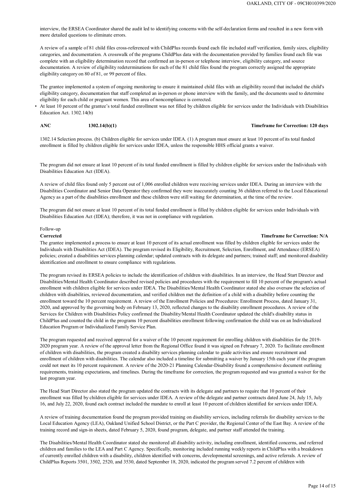interview, the ERSEA Coordinator shared the audit led to identifying concerns with the self-declaration forms and resulted in a new form with more detailed questions to eliminate errors.

A review of a sample of 81 child files cross-referenced with ChildPlus records found each file included staff verification, family sizes, eligibility categories, and documentation. A crosswalk of the programs ChildPlus data with the documentation provided by families found each file was complete with an eligibility determination record that confirmed an in-person or telephone interview, eligibility category, and source documentation. A review of eligibility redeterminations for each of the 81 child files found the program correctly assigned the appropriate eligibility category on 80 of 81, or 99 percent of files.

The grantee implemented a system of ongoing monitoring to ensure it maintained child files with an eligibility record that included the child's eligibility category, documentation that staff completed an in-person or phone interview with the family, and the documents used to determine eligibility for each child or pregnant women. This area of noncompliance is corrected.

• At least 10 percent of the grantee's total funded enrollment was not filled by children eligible for services under the Individuals with Disabilities Education Act. 1302.14(b)

#### **ANC 1302.14(b)(1) Timeframe for Correction: 120 days**

1302.14 Selection process. (b) Children eligible for services under IDEA. (1) A program must ensure at least 10 percent of its total funded enrollment is filled by children eligible for services under IDEA, unless the responsible HHS official grants a waiver.

The program did not ensure at least 10 percent of its total funded enrollment is filled by children eligible for services under the Individuals with Disabilities Education Act (IDEA).

A review of child files found only 5 percent out of 1,006 enrolled children were receiving services under IDEA. During an interview with the Disabilities Coordinator and Senior Data Operator they confirmed they were inaccurately counting 36 children referred to the Local Educational Agency as a part of the disabilities enrollment and these children were still waiting for determination, at the time of the review.

The program did not ensure at least 10 percent of its total funded enrollment is filled by children eligible for services under Individuals with Disabilities Education Act (IDEA); therefore, it was not in compliance with regulation.

#### Follow-up

#### **Corrected Timeframe for Correction: N/A**

The grantee implemented a process to ensure at least 10 percent of its actual enrollment was filled by children eligible for services under the Individuals with Disabilities Act (IDEA). The program revised its Eligibility, Recruitment, Selection, Enrollment, and Attendance (ERSEA) policies; created a disabilities services planning calendar; updated contracts with its delegate and partners; trained staff; and monitored disability identification and enrollment to ensure compliance with regulations.

The program revised its ERSEA policies to include the identification of children with disabilities. In an interview, the Head Start Director and Disabilities/Mental Health Coordinator described revised policies and procedures with the requirement to fill 10 percent of the program's actual enrollment with children eligible for services under IDEA. The Disabilities/Mental Health Coordinator stated she also oversaw the selection of children with disabilities, reviewed documentation, and verified children met the definition of a child with a disability before counting the enrollment toward the 10 percent requirement. A review of the Enrollment Policies and Procedures: Enrollment Process, dated January 31, 2020, and approved by the governing body on February 13, 2020, reflected changes to the disability enrollment procedures. A review of the Services for Children with Disabilities Policy confirmed the Disability/Mental Health Coordinator updated the child's disability status in ChildPlus and counted the child in the programs 10 percent disabilities enrollment following confirmation the child was on an Individualized Education Program or Individualized Family Service Plan.

The program requested and received approval for a waiver of the 10 percent requirement for enrolling children with disabilities for the 2019- 2020 program year. A review of the approval letter from the Regional Office found it was signed on February 7, 2020. To facilitate enrollment of children with disabilities, the program created a disability services planning calendar to guide activities and ensure recruitment and enrollment of children with disabilities. The calendar also included a timeline for submitting a waiver by January 15th each year if the program could not meet its 10 percent requirement. A review of the 2020-21 Planning Calendar-Disability found a comprehensive document outlining requirements, training expectations, and timelines. During the timeframe for correction, the program requested and was granted a waiver for the last program year.

The Head Start Director also stated the program updated the contracts with its delegate and partners to require that 10 percent of their enrollment was filled by children eligible for services under IDEA. A review of the delegate and partner contracts dated June 24, July 15, July 16, and July 22, 2020, found each contract included the mandate to enroll at least 10 percent of children identified for services under IDEA.

A review of training documentation found the program provided training on disability services, including referrals for disability services to the Local Education Agency (LEA), Oakland Unified School District, or the Part C provider, the Regional Center of the East Bay. A review of the training record and sign-in sheets, dated February 5, 2020, found program, delegate, and partner staff attended the training.

The Disabilities/Mental Health Coordinator stated she monitored all disability activity, including enrollment, identified concerns, and referred children and families to the LEA and Part C Agency. Specifically, monitoring included running weekly reports in ChildPlus with a breakdown of currently enrolled children with a disability, children identified with concerns, developmental screenings, and active referrals. A review of ChildPlus Reports 3501, 3502, 2520, and 3530, dated September 18, 2020, indicated the program served 7.2 percent of children with